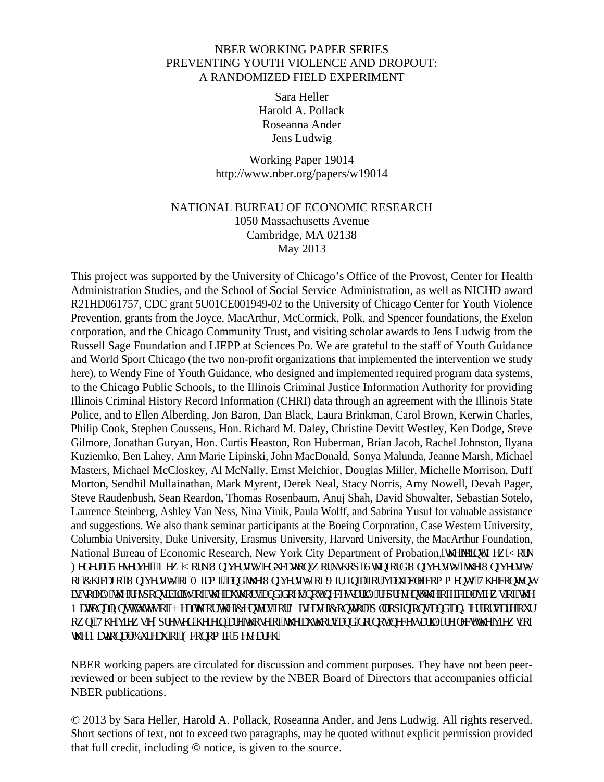# NBER WORKING PAPER SERIES PREVENTING YOUTH VIOLENCE AND DROPOUT: A RANDOMIZED FIELD EXPERIMENT

Sara Heller Harold A. Pollack Roseanna Ander Jens Ludwig

Working Paper 19014 http://www.nber.org/papers/w19014

# NATIONAL BUREAU OF ECONOMIC RESEARCH 1050 Massachusetts Avenue Cambridge, MA 02138 May 2013

This project was supported by the University of Chicago's Office of the Provost, Center for Health Administration Studies, and the School of Social Service Administration, as well as NICHD award R21HD061757, CDC grant 5U01CE001949-02 to the University of Chicago Center for Youth Violence Prevention, grants from the Joyce, MacArthur, McCormick, Polk, and Spencer foundations, the Exelon corporation, and the Chicago Community Trust, and visiting scholar awards to Jens Ludwig from the Russell Sage Foundation and LIEPP at Sciences Po. We are grateful to the staff of Youth Guidance and World Sport Chicago (the two non-profit organizations that implemented the intervention we study here), to Wendy Fine of Youth Guidance, who designed and implemented required program data systems, to the Chicago Public Schools, to the Illinois Criminal Justice Information Authority for providing Illinois Criminal History Record Information (CHRI) data through an agreement with the Illinois State Police, and to Ellen Alberding, Jon Baron, Dan Black, Laura Brinkman, Carol Brown, Kerwin Charles, Philip Cook, Stephen Coussens, Hon. Richard M. Daley, Christine Devitt Westley, Ken Dodge, Steve Gilmore, Jonathan Guryan, Hon. Curtis Heaston, Ron Huberman, Brian Jacob, Rachel Johnston, Ilyana Kuziemko, Ben Lahey, Ann Marie Lipinski, John MacDonald, Sonya Malunda, Jeanne Marsh, Michael Masters, Michael McCloskey, Al McNally, Ernst Melchior, Douglas Miller, Michelle Morrison, Duff Morton, Sendhil Mullainathan, Mark Myrent, Derek Neal, Stacy Norris, Amy Nowell, Devah Pager, Steve Raudenbush, Sean Reardon, Thomas Rosenbaum, Anuj Shah, David Showalter, Sebastian Sotelo, Laurence Steinberg, Ashley Van Ness, Nina Vinik, Paula Wolff, and Sabrina Yusuf for valuable assistance and suggestions. We also thank seminar participants at the Boeing Corporation, Case Western University, Columbia University, Duke University, Erasmus University, Harvard University, the MacArthur Foundation, National Bureau of Economic Research, New York City Department of Probation, 'vig'lqkpv'P gy '[qtm Hef gtcn'T guetxg"I'P gy 'J qtm'Wpkxgtuky{ "gf wecvkqp"y qtmuj qr. "Uxcphqtf "Wpkxgtuky{. "vj g"Wpkxgtuky{ qh'Ej keci q. "Wpkxgtuky "qh'O ko k "cpf "y g "Wpkxgtuky "qh'Xki kpkc 'hqt "xcnwcdng"eqo o gpw0'Vj g "eqpygpy ku'luqren{ 'vi g't gur qpuklktky{ 'qh'vi g'cwy qtu'cpf 'f qgu'pqv'pgeguuctkn{ 't gr t gugpv'vi g'qhhekcn'xkgy u'qh'vi g P cvkqpcn'Kourkww.gu'qh'J gcnj ''qt''y g'Egpvgtu'hqt'F kugcug'Eqpvtqn0Cm'qr kokqpu''cpf ''cp{'gttqtu''ctg''qwt qy p0Vj g'xkgy u'gzr tguugf 'j gtgkp'ctg'y qug''qh'y g'cwy qtu''cpf 'f q''pqv'pgeguuctkn{'tghngev'y g'xkgy u''qh  $\dot{\mathbf{y}}$  g'P c $\mathbf{y}$ kgpcn' $\mathbf{D}$ wtgc $\mathbf{w}'$ gh' $\mathbf{G}$ egpqo ke' $\mathbf{T}$ gugctej 0

NBER working papers are circulated for discussion and comment purposes. They have not been peerreviewed or been subject to the review by the NBER Board of Directors that accompanies official NBER publications.

© 2013 by Sara Heller, Harold A. Pollack, Roseanna Ander, and Jens Ludwig. All rights reserved. Short sections of text, not to exceed two paragraphs, may be quoted without explicit permission provided that full credit, including © notice, is given to the source.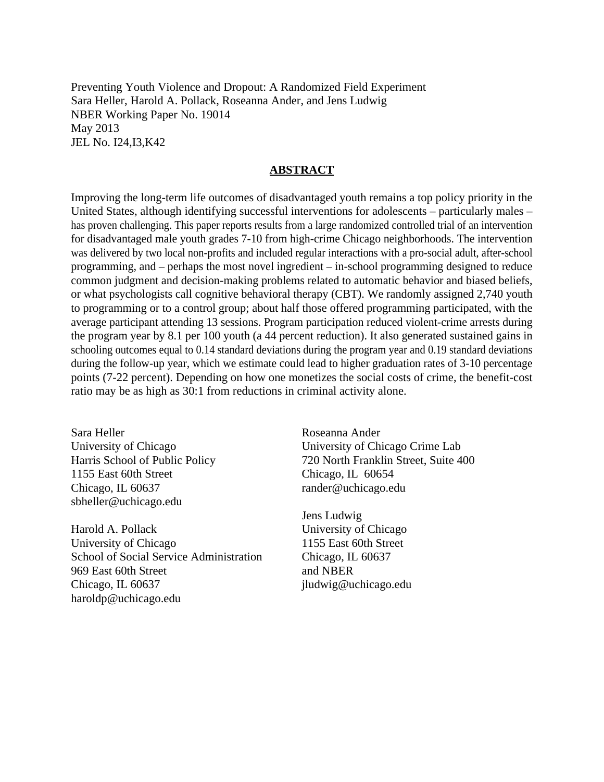Preventing Youth Violence and Dropout: A Randomized Field Experiment Sara Heller, Harold A. Pollack, Roseanna Ander, and Jens Ludwig NBER Working Paper No. 19014 May 2013 JEL No. I24,I3,K42

# **ABSTRACT**

Improving the long-term life outcomes of disadvantaged youth remains a top policy priority in the United States, although identifying successful interventions for adolescents – particularly males – has proven challenging. This paper reports results from a large randomized controlled trial of an intervention for disadvantaged male youth grades 7-10 from high-crime Chicago neighborhoods. The intervention was delivered by two local non-profits and included regular interactions with a pro-social adult, after-school programming, and – perhaps the most novel ingredient – in-school programming designed to reduce common judgment and decision-making problems related to automatic behavior and biased beliefs, or what psychologists call cognitive behavioral therapy (CBT). We randomly assigned 2,740 youth to programming or to a control group; about half those offered programming participated, with the average participant attending 13 sessions. Program participation reduced violent-crime arrests during the program year by 8.1 per 100 youth (a 44 percent reduction). It also generated sustained gains in schooling outcomes equal to 0.14 standard deviations during the program year and 0.19 standard deviations during the follow-up year, which we estimate could lead to higher graduation rates of 3-10 percentage points (7-22 percent). Depending on how one monetizes the social costs of crime, the benefit-cost ratio may be as high as 30:1 from reductions in criminal activity alone.

Sara Heller University of Chicago Harris School of Public Policy 1155 East 60th Street Chicago, IL 60637 sbheller@uchicago.edu

Harold A. Pollack University of Chicago School of Social Service Administration 969 East 60th Street Chicago, IL 60637 haroldp@uchicago.edu

Roseanna Ander University of Chicago Crime Lab 720 North Franklin Street, Suite 400 Chicago, IL 60654 rander@uchicago.edu

Jens Ludwig University of Chicago 1155 East 60th Street Chicago, IL 60637 and NBER jludwig@uchicago.edu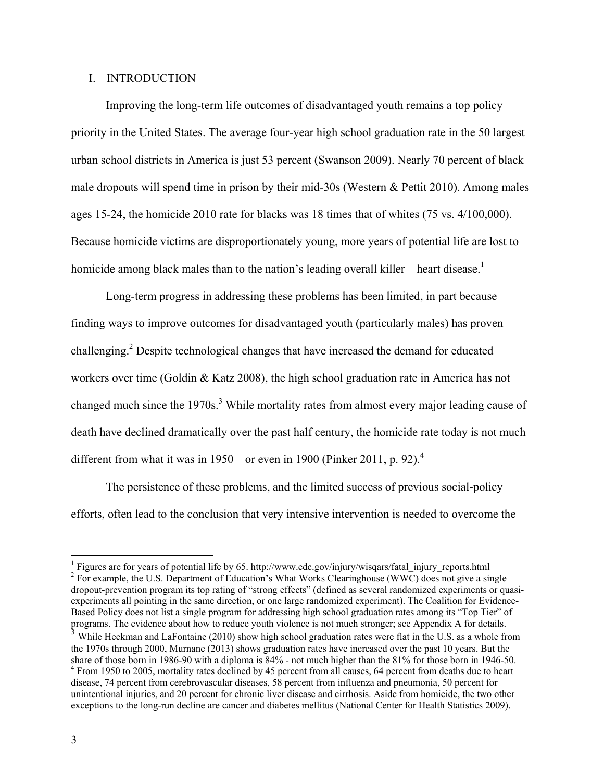#### I. INTRODUCTION

Improving the long-term life outcomes of disadvantaged youth remains a top policy priority in the United States. The average four-year high school graduation rate in the 50 largest urban school districts in America is just 53 percent (Swanson 2009). Nearly 70 percent of black male dropouts will spend time in prison by their mid-30s (Western & Pettit 2010). Among males ages 15-24, the homicide 2010 rate for blacks was 18 times that of whites (75 vs. 4/100,000). Because homicide victims are disproportionately young, more years of potential life are lost to homicide among black males than to the nation's leading overall killer – heart disease.<sup>1</sup>

Long-term progress in addressing these problems has been limited, in part because finding ways to improve outcomes for disadvantaged youth (particularly males) has proven challenging.<sup>2</sup> Despite technological changes that have increased the demand for educated workers over time (Goldin & Katz 2008), the high school graduation rate in America has not changed much since the 1970s.<sup>3</sup> While mortality rates from almost every major leading cause of death have declined dramatically over the past half century, the homicide rate today is not much different from what it was in  $1950$  – or even in 1900 (Pinker 2011, p. 92).<sup>4</sup>

The persistence of these problems, and the limited success of previous social-policy efforts, often lead to the conclusion that very intensive intervention is needed to overcome the

<sup>&</sup>lt;sup>1</sup> Figures are for years of potential life by 65. http://www.cdc.gov/injury/wisqars/fatal\_injury\_reports.html  $^{2}$  Equation to LLS. Department of Education's What Works Clearinghouse (WWC) does not give a given <sup>2</sup> For example, the U.S. Department of Education's What Works Clearinghouse (WWC) does not give a single dropout-prevention program its top rating of "strong effects" (defined as several randomized experiments or quasiexperiments all pointing in the same direction, or one large randomized experiment). The Coalition for Evidence-Based Policy does not list a single program for addressing high school graduation rates among its "Top Tier" of programs. The evidence about how to reduce youth violence is not much stronger; see Appendix A for details.

<sup>&</sup>lt;sup>3</sup> While Heckman and LaFontaine (2010) show high school graduation rates were flat in the U.S. as a whole from the 1970s through 2000, Murnane (2013) shows graduation rates have increased over the past 10 years. But the share of those born in 1986-90 with a diploma is 84% - not much higher than the 81% for those born in 1946-50. <sup>4</sup> From 1950 to 2005, mortality rates declined by 45 percent from all causes, 64 percent from deaths due to heart disease, 74 percent from cerebrovascular diseases, 58 percent from influenza and pneumonia, 50 percent for unintentional injuries, and 20 percent for chronic liver disease and cirrhosis. Aside from homicide, the two other exceptions to the long-run decline are cancer and diabetes mellitus (National Center for Health Statistics 2009).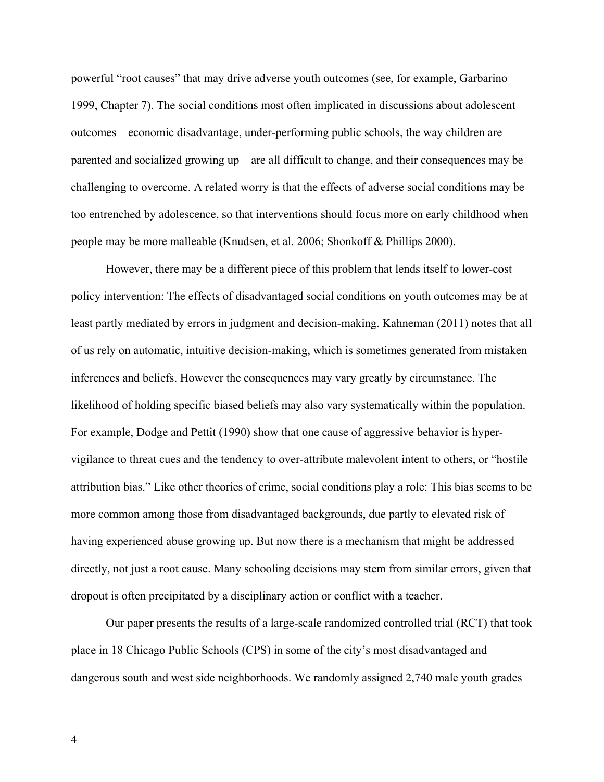powerful "root causes" that may drive adverse youth outcomes (see, for example, Garbarino 1999, Chapter 7). The social conditions most often implicated in discussions about adolescent outcomes – economic disadvantage, under-performing public schools, the way children are parented and socialized growing up – are all difficult to change, and their consequences may be challenging to overcome. A related worry is that the effects of adverse social conditions may be too entrenched by adolescence, so that interventions should focus more on early childhood when people may be more malleable (Knudsen, et al. 2006; Shonkoff & Phillips 2000).

However, there may be a different piece of this problem that lends itself to lower-cost policy intervention: The effects of disadvantaged social conditions on youth outcomes may be at least partly mediated by errors in judgment and decision-making. Kahneman (2011) notes that all of us rely on automatic, intuitive decision-making, which is sometimes generated from mistaken inferences and beliefs. However the consequences may vary greatly by circumstance. The likelihood of holding specific biased beliefs may also vary systematically within the population. For example, Dodge and Pettit (1990) show that one cause of aggressive behavior is hypervigilance to threat cues and the tendency to over-attribute malevolent intent to others, or "hostile attribution bias." Like other theories of crime, social conditions play a role: This bias seems to be more common among those from disadvantaged backgrounds, due partly to elevated risk of having experienced abuse growing up. But now there is a mechanism that might be addressed directly, not just a root cause. Many schooling decisions may stem from similar errors, given that dropout is often precipitated by a disciplinary action or conflict with a teacher.

Our paper presents the results of a large-scale randomized controlled trial (RCT) that took place in 18 Chicago Public Schools (CPS) in some of the city's most disadvantaged and dangerous south and west side neighborhoods. We randomly assigned 2,740 male youth grades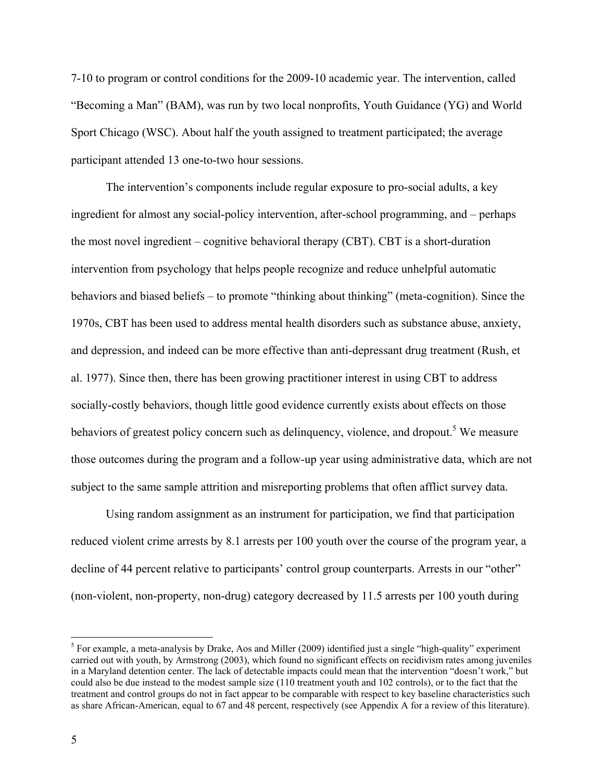7-10 to program or control conditions for the 2009-10 academic year. The intervention, called "Becoming a Man" (BAM), was run by two local nonprofits, Youth Guidance (YG) and World Sport Chicago (WSC). About half the youth assigned to treatment participated; the average participant attended 13 one-to-two hour sessions.

The intervention's components include regular exposure to pro-social adults, a key ingredient for almost any social-policy intervention, after-school programming, and – perhaps the most novel ingredient – cognitive behavioral therapy (CBT). CBT is a short-duration intervention from psychology that helps people recognize and reduce unhelpful automatic behaviors and biased beliefs – to promote "thinking about thinking" (meta-cognition). Since the 1970s, CBT has been used to address mental health disorders such as substance abuse, anxiety, and depression, and indeed can be more effective than anti-depressant drug treatment (Rush, et al. 1977). Since then, there has been growing practitioner interest in using CBT to address socially-costly behaviors, though little good evidence currently exists about effects on those behaviors of greatest policy concern such as delinquency, violence, and dropout.<sup>5</sup> We measure those outcomes during the program and a follow-up year using administrative data, which are not subject to the same sample attrition and misreporting problems that often afflict survey data.

Using random assignment as an instrument for participation, we find that participation reduced violent crime arrests by 8.1 arrests per 100 youth over the course of the program year, a decline of 44 percent relative to participants' control group counterparts. Arrests in our "other" (non-violent, non-property, non-drug) category decreased by 11.5 arrests per 100 youth during

 $<sup>5</sup>$  For example, a meta-analysis by Drake, Aos and Miller (2009) identified just a single "high-quality" experiment</sup> carried out with youth, by Armstrong (2003), which found no significant effects on recidivism rates among juveniles in a Maryland detention center. The lack of detectable impacts could mean that the intervention "doesn't work," but could also be due instead to the modest sample size (110 treatment youth and 102 controls), or to the fact that the treatment and control groups do not in fact appear to be comparable with respect to key baseline characteristics such as share African-American, equal to 67 and 48 percent, respectively (see Appendix A for a review of this literature).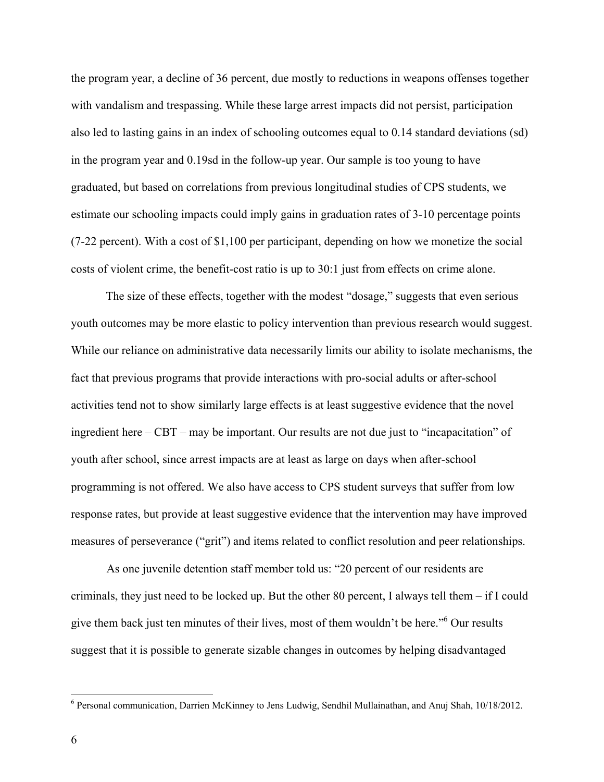the program year, a decline of 36 percent, due mostly to reductions in weapons offenses together with vandalism and trespassing. While these large arrest impacts did not persist, participation also led to lasting gains in an index of schooling outcomes equal to 0.14 standard deviations (sd) in the program year and 0.19sd in the follow-up year. Our sample is too young to have graduated, but based on correlations from previous longitudinal studies of CPS students, we estimate our schooling impacts could imply gains in graduation rates of 3-10 percentage points (7-22 percent). With a cost of \$1,100 per participant, depending on how we monetize the social costs of violent crime, the benefit-cost ratio is up to 30:1 just from effects on crime alone.

The size of these effects, together with the modest "dosage," suggests that even serious youth outcomes may be more elastic to policy intervention than previous research would suggest. While our reliance on administrative data necessarily limits our ability to isolate mechanisms, the fact that previous programs that provide interactions with pro-social adults or after-school activities tend not to show similarly large effects is at least suggestive evidence that the novel ingredient here – CBT – may be important. Our results are not due just to "incapacitation" of youth after school, since arrest impacts are at least as large on days when after-school programming is not offered. We also have access to CPS student surveys that suffer from low response rates, but provide at least suggestive evidence that the intervention may have improved measures of perseverance ("grit") and items related to conflict resolution and peer relationships.

 As one juvenile detention staff member told us: "20 percent of our residents are criminals, they just need to be locked up. But the other 80 percent, I always tell them – if I could give them back just ten minutes of their lives, most of them wouldn't be here."<sup>6</sup> Our results suggest that it is possible to generate sizable changes in outcomes by helping disadvantaged

<sup>-&</sup>lt;br><sup>6</sup> Personal communication, Darrien McKinney to Jens Ludwig, Sendhil Mullainathan, and Anuj Shah, 10/18/2012.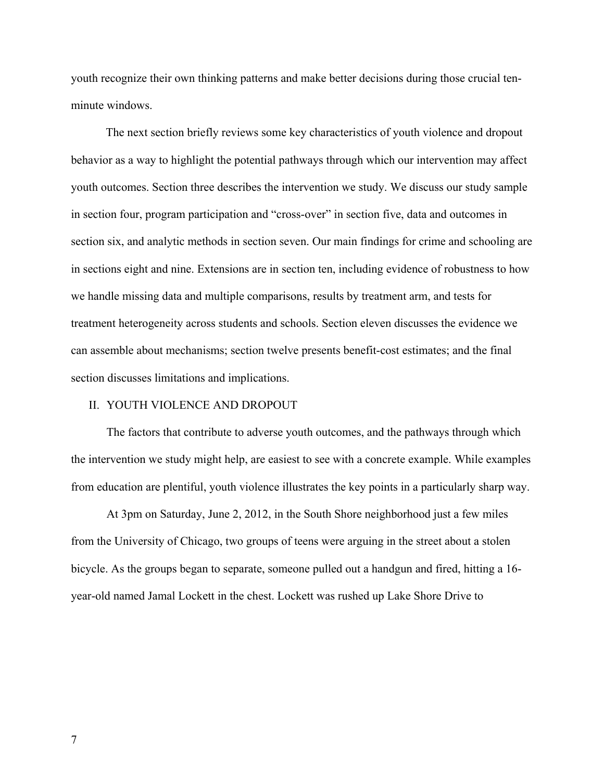youth recognize their own thinking patterns and make better decisions during those crucial tenminute windows.

The next section briefly reviews some key characteristics of youth violence and dropout behavior as a way to highlight the potential pathways through which our intervention may affect youth outcomes. Section three describes the intervention we study. We discuss our study sample in section four, program participation and "cross-over" in section five, data and outcomes in section six, and analytic methods in section seven. Our main findings for crime and schooling are in sections eight and nine. Extensions are in section ten, including evidence of robustness to how we handle missing data and multiple comparisons, results by treatment arm, and tests for treatment heterogeneity across students and schools. Section eleven discusses the evidence we can assemble about mechanisms; section twelve presents benefit-cost estimates; and the final section discusses limitations and implications.

#### II. YOUTH VIOLENCE AND DROPOUT

The factors that contribute to adverse youth outcomes, and the pathways through which the intervention we study might help, are easiest to see with a concrete example. While examples from education are plentiful, youth violence illustrates the key points in a particularly sharp way.

At 3pm on Saturday, June 2, 2012, in the South Shore neighborhood just a few miles from the University of Chicago, two groups of teens were arguing in the street about a stolen bicycle. As the groups began to separate, someone pulled out a handgun and fired, hitting a 16 year-old named Jamal Lockett in the chest. Lockett was rushed up Lake Shore Drive to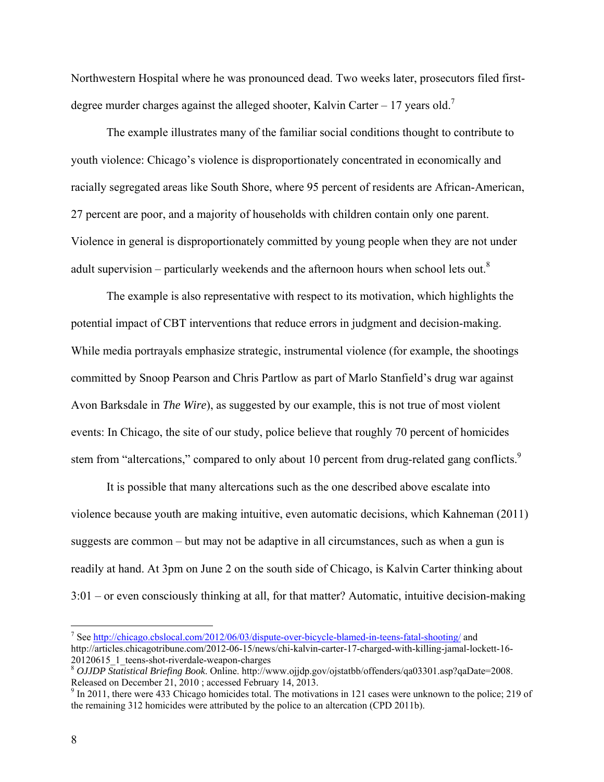Northwestern Hospital where he was pronounced dead. Two weeks later, prosecutors filed firstdegree murder charges against the alleged shooter, Kalvin Carter – 17 years old.<sup>7</sup>

The example illustrates many of the familiar social conditions thought to contribute to youth violence: Chicago's violence is disproportionately concentrated in economically and racially segregated areas like South Shore, where 95 percent of residents are African-American, 27 percent are poor, and a majority of households with children contain only one parent. Violence in general is disproportionately committed by young people when they are not under adult supervision – particularly weekends and the afternoon hours when school lets out. $8$ 

The example is also representative with respect to its motivation, which highlights the potential impact of CBT interventions that reduce errors in judgment and decision-making. While media portrayals emphasize strategic, instrumental violence (for example, the shootings committed by Snoop Pearson and Chris Partlow as part of Marlo Stanfield's drug war against Avon Barksdale in *The Wire*), as suggested by our example, this is not true of most violent events: In Chicago, the site of our study, police believe that roughly 70 percent of homicides stem from "altercations," compared to only about 10 percent from drug-related gang conflicts.<sup>9</sup>

It is possible that many altercations such as the one described above escalate into violence because youth are making intuitive, even automatic decisions, which Kahneman (2011) suggests are common – but may not be adaptive in all circumstances, such as when a gun is readily at hand. At 3pm on June 2 on the south side of Chicago, is Kalvin Carter thinking about 3:01 – or even consciously thinking at all, for that matter? Automatic, intuitive decision-making

T<br><sup>7</sup> See <u>http://chicago.cbslocal.com/2012/06/03/dispute-over-bicycle-blamed-in-teens-fatal-shooting/ and</u> http://articles.chicagotribune.com/2012-06-15/news/chi-kalvin-carter-17-charged-with-killing-jamal-lockett-16- 20120615\_1\_teens-shot-riverdale-weapon-charges

<sup>8</sup> *OJJDP Statistical Briefing Book*. Online. http://www.ojjdp.gov/ojstatbb/offenders/qa03301.asp?qaDate=2008. Released on December 21, 2010 ; accessed February 14, 2013.

 $9$  In 2011, there were 433 Chicago homicides total. The motivations in 121 cases were unknown to the police; 219 of the remaining 312 homicides were attributed by the police to an altercation (CPD 2011b).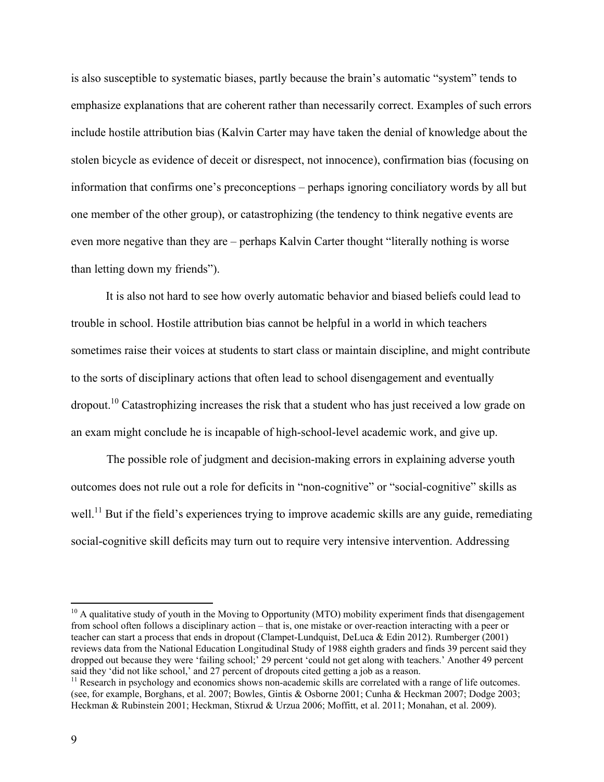is also susceptible to systematic biases, partly because the brain's automatic "system" tends to emphasize explanations that are coherent rather than necessarily correct. Examples of such errors include hostile attribution bias (Kalvin Carter may have taken the denial of knowledge about the stolen bicycle as evidence of deceit or disrespect, not innocence), confirmation bias (focusing on information that confirms one's preconceptions – perhaps ignoring conciliatory words by all but one member of the other group), or catastrophizing (the tendency to think negative events are even more negative than they are – perhaps Kalvin Carter thought "literally nothing is worse than letting down my friends").

It is also not hard to see how overly automatic behavior and biased beliefs could lead to trouble in school. Hostile attribution bias cannot be helpful in a world in which teachers sometimes raise their voices at students to start class or maintain discipline, and might contribute to the sorts of disciplinary actions that often lead to school disengagement and eventually dropout.10 Catastrophizing increases the risk that a student who has just received a low grade on an exam might conclude he is incapable of high-school-level academic work, and give up.

 The possible role of judgment and decision-making errors in explaining adverse youth outcomes does not rule out a role for deficits in "non-cognitive" or "social-cognitive" skills as well.<sup>11</sup> But if the field's experiences trying to improve academic skills are any guide, remediating social-cognitive skill deficits may turn out to require very intensive intervention. Addressing

 $10$  A qualitative study of youth in the Moving to Opportunity (MTO) mobility experiment finds that disengagement from school often follows a disciplinary action – that is, one mistake or over-reaction interacting with a peer or teacher can start a process that ends in dropout (Clampet-Lundquist, DeLuca & Edin 2012). Rumberger (2001) reviews data from the National Education Longitudinal Study of 1988 eighth graders and finds 39 percent said they dropped out because they were 'failing school;' 29 percent 'could not get along with teachers.' Another 49 percent said they 'did not like school,' and 27 percent of dropouts cited getting a job as a reason.

 $11$  Research in psychology and economics shows non-academic skills are correlated with a range of life outcomes. (see, for example, Borghans, et al. 2007; Bowles, Gintis & Osborne 2001; Cunha & Heckman 2007; Dodge 2003; Heckman & Rubinstein 2001; Heckman, Stixrud & Urzua 2006; Moffitt, et al. 2011; Monahan, et al. 2009).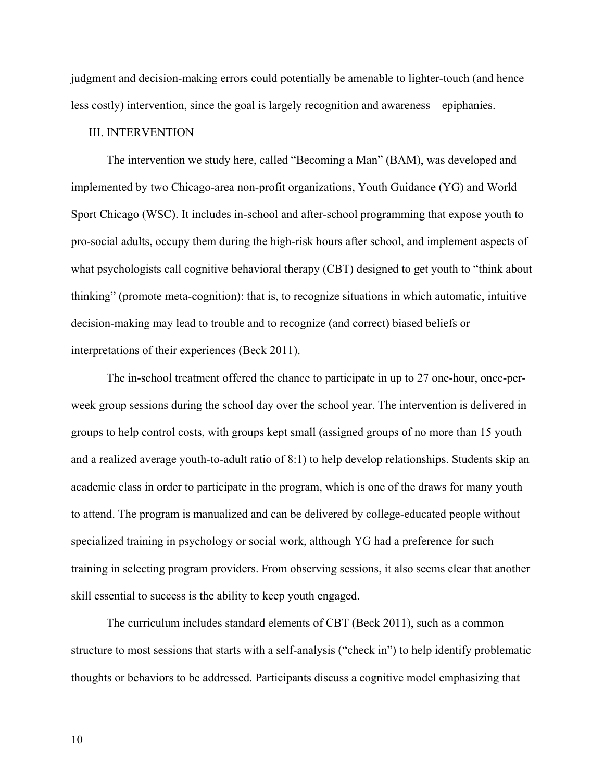judgment and decision-making errors could potentially be amenable to lighter-touch (and hence less costly) intervention, since the goal is largely recognition and awareness – epiphanies.

# III. INTERVENTION

The intervention we study here, called "Becoming a Man" (BAM), was developed and implemented by two Chicago-area non-profit organizations, Youth Guidance (YG) and World Sport Chicago (WSC). It includes in-school and after-school programming that expose youth to pro-social adults, occupy them during the high-risk hours after school, and implement aspects of what psychologists call cognitive behavioral therapy (CBT) designed to get youth to "think about thinking" (promote meta-cognition): that is, to recognize situations in which automatic, intuitive decision-making may lead to trouble and to recognize (and correct) biased beliefs or interpretations of their experiences (Beck 2011).

The in-school treatment offered the chance to participate in up to 27 one-hour, once-perweek group sessions during the school day over the school year. The intervention is delivered in groups to help control costs, with groups kept small (assigned groups of no more than 15 youth and a realized average youth-to-adult ratio of 8:1) to help develop relationships. Students skip an academic class in order to participate in the program, which is one of the draws for many youth to attend. The program is manualized and can be delivered by college-educated people without specialized training in psychology or social work, although YG had a preference for such training in selecting program providers. From observing sessions, it also seems clear that another skill essential to success is the ability to keep youth engaged.

The curriculum includes standard elements of CBT (Beck 2011), such as a common structure to most sessions that starts with a self-analysis ("check in") to help identify problematic thoughts or behaviors to be addressed. Participants discuss a cognitive model emphasizing that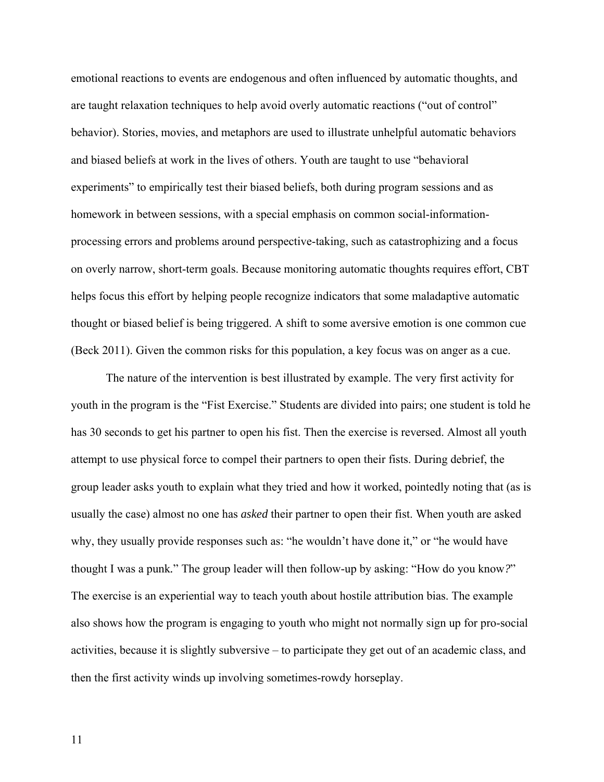emotional reactions to events are endogenous and often influenced by automatic thoughts, and are taught relaxation techniques to help avoid overly automatic reactions ("out of control" behavior). Stories, movies, and metaphors are used to illustrate unhelpful automatic behaviors and biased beliefs at work in the lives of others. Youth are taught to use "behavioral experiments" to empirically test their biased beliefs, both during program sessions and as homework in between sessions, with a special emphasis on common social-informationprocessing errors and problems around perspective-taking, such as catastrophizing and a focus on overly narrow, short-term goals. Because monitoring automatic thoughts requires effort, CBT helps focus this effort by helping people recognize indicators that some maladaptive automatic thought or biased belief is being triggered. A shift to some aversive emotion is one common cue (Beck 2011). Given the common risks for this population, a key focus was on anger as a cue.

The nature of the intervention is best illustrated by example. The very first activity for youth in the program is the "Fist Exercise." Students are divided into pairs; one student is told he has 30 seconds to get his partner to open his fist. Then the exercise is reversed. Almost all youth attempt to use physical force to compel their partners to open their fists. During debrief, the group leader asks youth to explain what they tried and how it worked, pointedly noting that (as is usually the case) almost no one has *asked* their partner to open their fist. When youth are asked why, they usually provide responses such as: "he wouldn't have done it," or "he would have thought I was a punk*.*" The group leader will then follow-up by asking: "How do you know*?*" The exercise is an experiential way to teach youth about hostile attribution bias. The example also shows how the program is engaging to youth who might not normally sign up for pro-social activities, because it is slightly subversive – to participate they get out of an academic class, and then the first activity winds up involving sometimes-rowdy horseplay.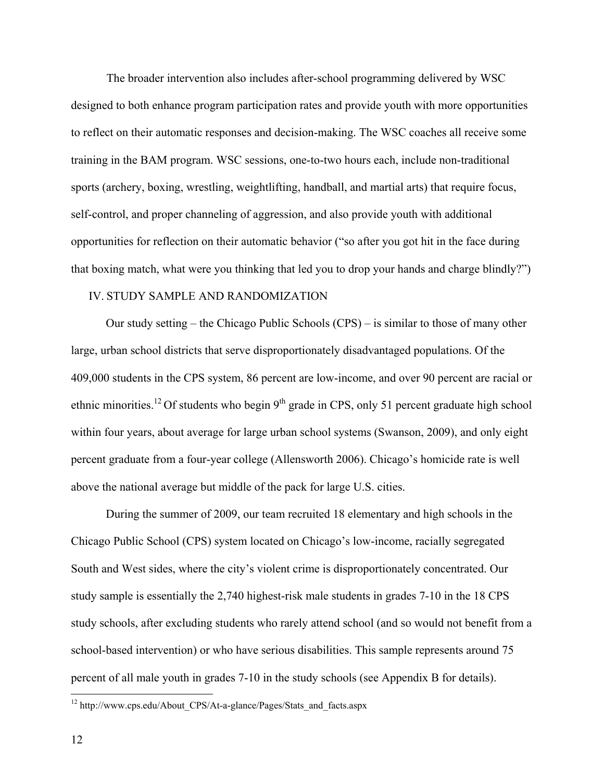The broader intervention also includes after-school programming delivered by WSC designed to both enhance program participation rates and provide youth with more opportunities to reflect on their automatic responses and decision-making. The WSC coaches all receive some training in the BAM program. WSC sessions, one-to-two hours each, include non-traditional sports (archery, boxing, wrestling, weightlifting, handball, and martial arts) that require focus, self-control, and proper channeling of aggression, and also provide youth with additional opportunities for reflection on their automatic behavior ("so after you got hit in the face during that boxing match, what were you thinking that led you to drop your hands and charge blindly?")

## IV. STUDY SAMPLE AND RANDOMIZATION

Our study setting – the Chicago Public Schools (CPS) – is similar to those of many other large, urban school districts that serve disproportionately disadvantaged populations. Of the 409,000 students in the CPS system, 86 percent are low-income, and over 90 percent are racial or ethnic minorities.<sup>12</sup> Of students who begin  $9<sup>th</sup>$  grade in CPS, only 51 percent graduate high school within four years, about average for large urban school systems (Swanson, 2009), and only eight percent graduate from a four-year college (Allensworth 2006). Chicago's homicide rate is well above the national average but middle of the pack for large U.S. cities.

During the summer of 2009, our team recruited 18 elementary and high schools in the Chicago Public School (CPS) system located on Chicago's low-income, racially segregated South and West sides, where the city's violent crime is disproportionately concentrated. Our study sample is essentially the 2,740 highest-risk male students in grades 7-10 in the 18 CPS study schools, after excluding students who rarely attend school (and so would not benefit from a school-based intervention) or who have serious disabilities. This sample represents around 75 percent of all male youth in grades 7-10 in the study schools (see Appendix B for details).

 $12$  http://www.cps.edu/About\_CPS/At-a-glance/Pages/Stats\_and\_facts.aspx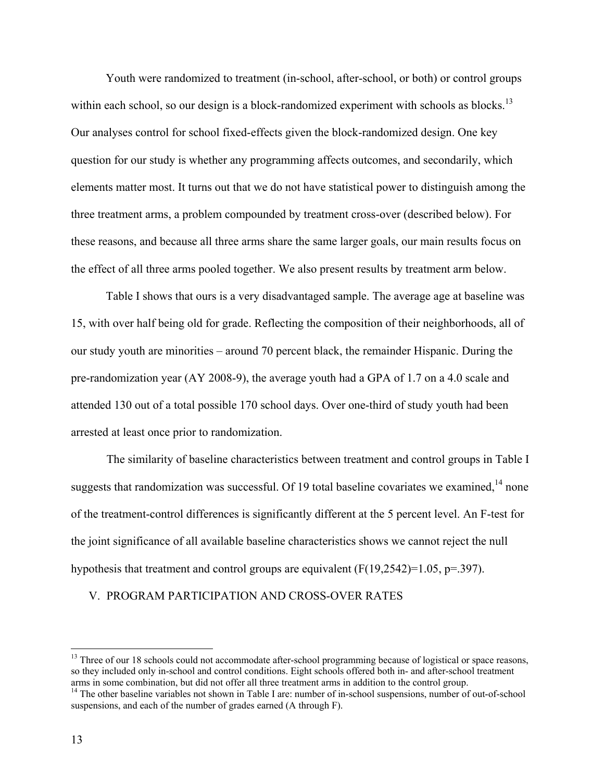Youth were randomized to treatment (in-school, after-school, or both) or control groups within each school, so our design is a block-randomized experiment with schools as blocks.<sup>13</sup> Our analyses control for school fixed-effects given the block-randomized design. One key question for our study is whether any programming affects outcomes, and secondarily, which elements matter most. It turns out that we do not have statistical power to distinguish among the three treatment arms, a problem compounded by treatment cross-over (described below). For these reasons, and because all three arms share the same larger goals, our main results focus on the effect of all three arms pooled together. We also present results by treatment arm below.

Table I shows that ours is a very disadvantaged sample. The average age at baseline was 15, with over half being old for grade. Reflecting the composition of their neighborhoods, all of our study youth are minorities – around 70 percent black, the remainder Hispanic. During the pre-randomization year (AY 2008-9), the average youth had a GPA of 1.7 on a 4.0 scale and attended 130 out of a total possible 170 school days. Over one-third of study youth had been arrested at least once prior to randomization.

 The similarity of baseline characteristics between treatment and control groups in Table I suggests that randomization was successful. Of 19 total baseline covariates we examined,<sup>14</sup> none of the treatment-control differences is significantly different at the 5 percent level. An F-test for the joint significance of all available baseline characteristics shows we cannot reject the null hypothesis that treatment and control groups are equivalent (F(19,2542)=1.05, p=.397).

#### V. PROGRAM PARTICIPATION AND CROSS-OVER RATES

<sup>&</sup>lt;sup>13</sup> Three of our 18 schools could not accommodate after-school programming because of logistical or space reasons, so they included only in-school and control conditions. Eight schools offered both in- and after-school treatment arms in some combination, but did not offer all three treatment arms in addition to the control group.

<sup>&</sup>lt;sup>14</sup> The other baseline variables not shown in Table I are: number of in-school suspensions, number of out-of-school suspensions, and each of the number of grades earned (A through F).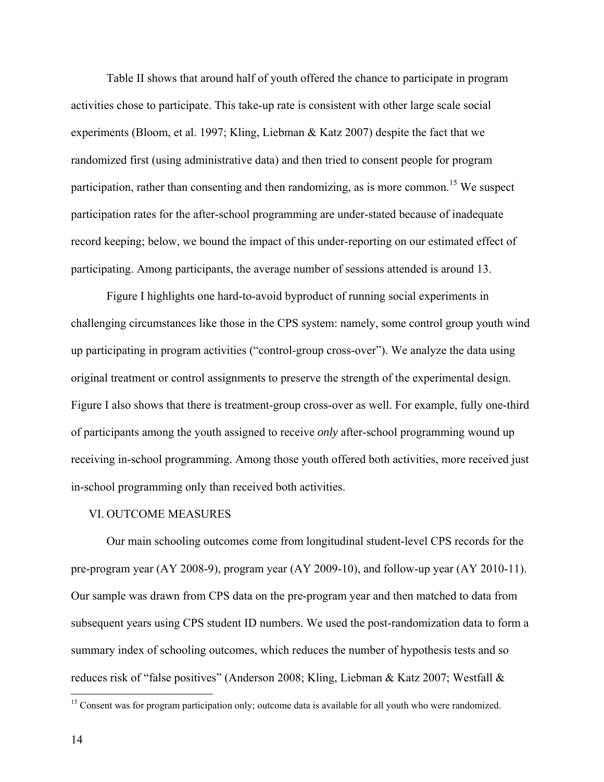Table II shows that around half of youth offered the chance to participate in program activities chose to participate. This take-up rate is consistent with other large scale social experiments (Bloom, et al. 1997; Kling, Liebman & Katz 2007) despite the fact that we randomized first (using administrative data) and then tried to consent people for program participation, rather than consenting and then randomizing, as is more common.<sup>15</sup> We suspect participation rates for the after-school programming are under-stated because of inadequate record keeping; below, we bound the impact of this under-reporting on our estimated effect of participating. Among participants, the average number of sessions attended is around 13.

 Figure I highlights one hard-to-avoid byproduct of running social experiments in challenging circumstances like those in the CPS system: namely, some control group youth wind up participating in program activities ("control-group cross-over"). We analyze the data using original treatment or control assignments to preserve the strength of the experimental design. Figure I also shows that there is treatment-group cross-over as well. For example, fully one-third of participants among the youth assigned to receive *only* after-school programming wound up receiving in-school programming. Among those youth offered both activities, more received just in-school programming only than received both activities.

#### VI. OUTCOME MEASURES

Our main schooling outcomes come from longitudinal student-level CPS records for the pre-program year (AY 2008-9), program year (AY 2009-10), and follow-up year (AY 2010-11). Our sample was drawn from CPS data on the pre-program year and then matched to data from subsequent years using CPS student ID numbers. We used the post-randomization data to form a summary index of schooling outcomes, which reduces the number of hypothesis tests and so reduces risk of "false positives" (Anderson 2008; Kling, Liebman & Katz 2007; Westfall &

<sup>&</sup>lt;sup>15</sup> Consent was for program participation only; outcome data is available for all youth who were randomized.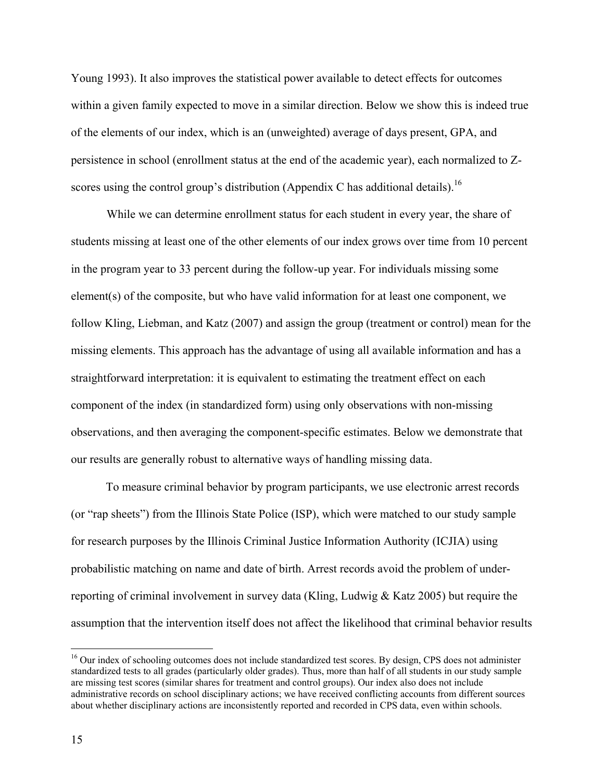Young 1993). It also improves the statistical power available to detect effects for outcomes within a given family expected to move in a similar direction. Below we show this is indeed true of the elements of our index, which is an (unweighted) average of days present, GPA, and persistence in school (enrollment status at the end of the academic year), each normalized to Zscores using the control group's distribution (Appendix C has additional details).<sup>16</sup>

While we can determine enrollment status for each student in every year, the share of students missing at least one of the other elements of our index grows over time from 10 percent in the program year to 33 percent during the follow-up year. For individuals missing some element(s) of the composite, but who have valid information for at least one component, we follow Kling, Liebman, and Katz (2007) and assign the group (treatment or control) mean for the missing elements. This approach has the advantage of using all available information and has a straightforward interpretation: it is equivalent to estimating the treatment effect on each component of the index (in standardized form) using only observations with non-missing observations, and then averaging the component-specific estimates. Below we demonstrate that our results are generally robust to alternative ways of handling missing data.

To measure criminal behavior by program participants, we use electronic arrest records (or "rap sheets") from the Illinois State Police (ISP), which were matched to our study sample for research purposes by the Illinois Criminal Justice Information Authority (ICJIA) using probabilistic matching on name and date of birth. Arrest records avoid the problem of underreporting of criminal involvement in survey data (Kling, Ludwig  $\&$  Katz 2005) but require the assumption that the intervention itself does not affect the likelihood that criminal behavior results

<sup>&</sup>lt;sup>16</sup> Our index of schooling outcomes does not include standardized test scores. By design, CPS does not administer standardized tests to all grades (particularly older grades). Thus, more than half of all students in our study sample are missing test scores (similar shares for treatment and control groups). Our index also does not include administrative records on school disciplinary actions; we have received conflicting accounts from different sources about whether disciplinary actions are inconsistently reported and recorded in CPS data, even within schools.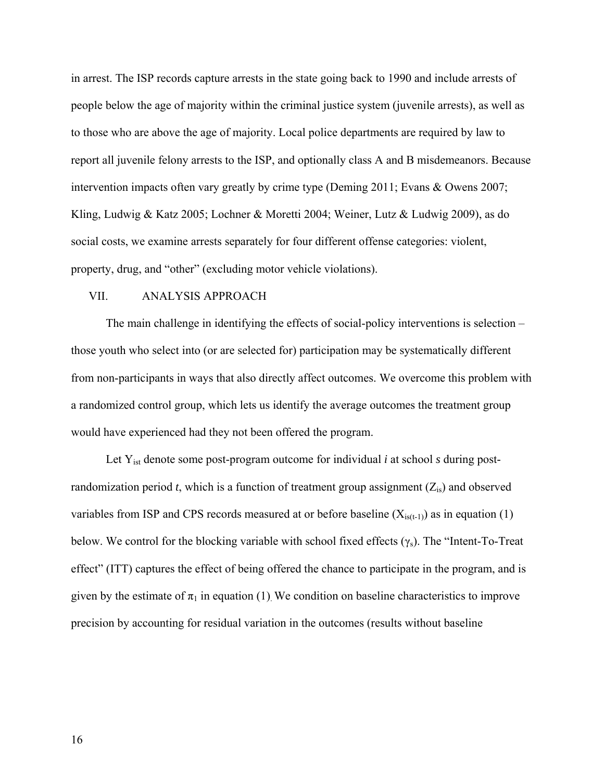in arrest. The ISP records capture arrests in the state going back to 1990 and include arrests of people below the age of majority within the criminal justice system (juvenile arrests), as well as to those who are above the age of majority. Local police departments are required by law to report all juvenile felony arrests to the ISP, and optionally class A and B misdemeanors. Because intervention impacts often vary greatly by crime type (Deming 2011; Evans & Owens 2007; Kling, Ludwig & Katz 2005; Lochner & Moretti 2004; Weiner, Lutz & Ludwig 2009), as do social costs, we examine arrests separately for four different offense categories: violent, property, drug, and "other" (excluding motor vehicle violations).

### VII. ANALYSIS APPROACH

The main challenge in identifying the effects of social-policy interventions is selection – those youth who select into (or are selected for) participation may be systematically different from non-participants in ways that also directly affect outcomes. We overcome this problem with a randomized control group, which lets us identify the average outcomes the treatment group would have experienced had they not been offered the program.

Let  $Y_{ist}$  denote some post-program outcome for individual  $i$  at school  $s$  during postrandomization period  $t$ , which is a function of treatment group assignment  $(Z_{is})$  and observed variables from ISP and CPS records measured at or before baseline  $(X_{is(t-1)})$  as in equation (1) below. We control for the blocking variable with school fixed effects  $(\gamma_s)$ . The "Intent-To-Treat" effect" (ITT) captures the effect of being offered the chance to participate in the program, and is given by the estimate of  $\pi_1$  in equation (1). We condition on baseline characteristics to improve precision by accounting for residual variation in the outcomes (results without baseline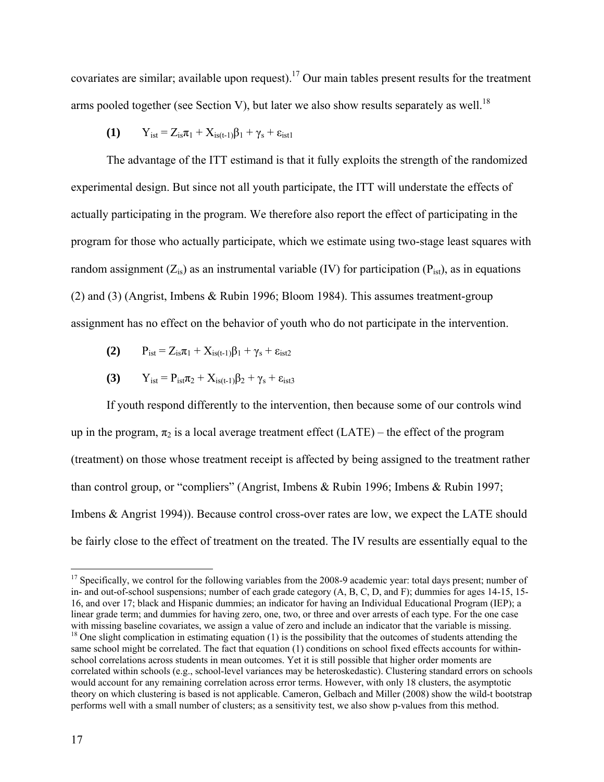covariates are similar; available upon request).<sup>17</sup> Our main tables present results for the treatment arms pooled together (see Section V), but later we also show results separately as well.<sup>18</sup>

$$
(1) \qquad Y_{ist} = Z_{is}\pi_1 + X_{is(t-1)}\beta_1 + \gamma_s + \epsilon_{ist1}
$$

The advantage of the ITT estimand is that it fully exploits the strength of the randomized experimental design. But since not all youth participate, the ITT will understate the effects of actually participating in the program. We therefore also report the effect of participating in the program for those who actually participate, which we estimate using two-stage least squares with random assignment  $(Z_{is})$  as an instrumental variable (IV) for participation ( $P_{ist}$ ), as in equations (2) and (3) (Angrist, Imbens & Rubin 1996; Bloom 1984). This assumes treatment-group assignment has no effect on the behavior of youth who do not participate in the intervention.

- **(2)**  $P_{\text{ist}} = Z_{\text{is}} \pi_1 + X_{\text{is}(t-1)} \beta_1 + \gamma_s + \varepsilon_{\text{ist2}}$
- **(3)**  $Y_{\text{ist}} = P_{\text{ist}} \pi_2 + X_{\text{is}(t-1)} \beta_2 + \gamma_s + \varepsilon_{\text{ist}3}$

If youth respond differently to the intervention, then because some of our controls wind up in the program,  $\pi_2$  is a local average treatment effect (LATE) – the effect of the program (treatment) on those whose treatment receipt is affected by being assigned to the treatment rather than control group, or "compliers" (Angrist, Imbens & Rubin 1996; Imbens & Rubin 1997; Imbens & Angrist 1994)). Because control cross-over rates are low, we expect the LATE should be fairly close to the effect of treatment on the treated. The IV results are essentially equal to the

 $17$  Specifically, we control for the following variables from the 2008-9 academic year: total days present; number of in- and out-of-school suspensions; number of each grade category (A, B, C, D, and F); dummies for ages 14-15, 15- 16, and over 17; black and Hispanic dummies; an indicator for having an Individual Educational Program (IEP); a linear grade term; and dummies for having zero, one, two, or three and over arrests of each type. For the one case with missing baseline covariates, we assign a value of zero and include an indicator that the variable is missing.<br><sup>18</sup> One slight complication in estimating equation (1) is the possibility that the outcomes of students a

same school might be correlated. The fact that equation (1) conditions on school fixed effects accounts for withinschool correlations across students in mean outcomes. Yet it is still possible that higher order moments are correlated within schools (e.g., school-level variances may be heteroskedastic). Clustering standard errors on schools would account for any remaining correlation across error terms. However, with only 18 clusters, the asymptotic theory on which clustering is based is not applicable. Cameron, Gelbach and Miller (2008) show the wild-t bootstrap performs well with a small number of clusters; as a sensitivity test, we also show p-values from this method.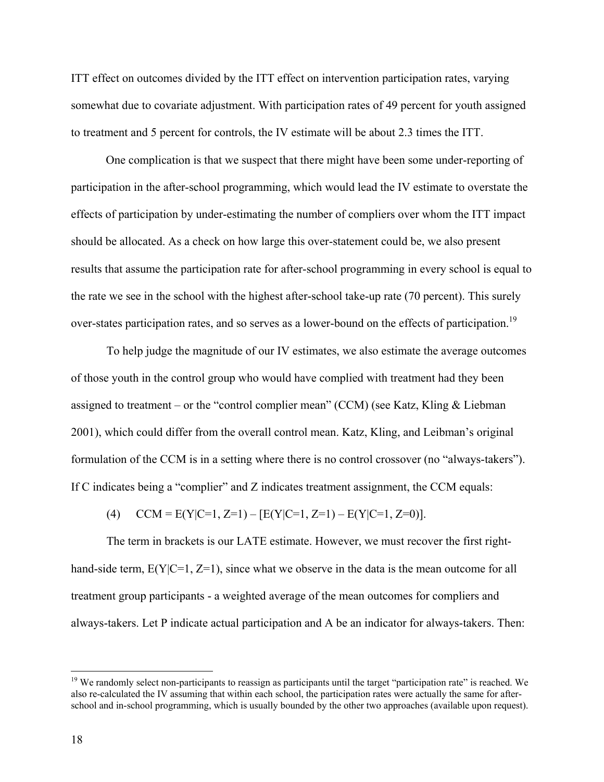ITT effect on outcomes divided by the ITT effect on intervention participation rates, varying somewhat due to covariate adjustment. With participation rates of 49 percent for youth assigned to treatment and 5 percent for controls, the IV estimate will be about 2.3 times the ITT.

One complication is that we suspect that there might have been some under-reporting of participation in the after-school programming, which would lead the IV estimate to overstate the effects of participation by under-estimating the number of compliers over whom the ITT impact should be allocated. As a check on how large this over-statement could be, we also present results that assume the participation rate for after-school programming in every school is equal to the rate we see in the school with the highest after-school take-up rate (70 percent). This surely over-states participation rates, and so serves as a lower-bound on the effects of participation.<sup>19</sup>

To help judge the magnitude of our IV estimates, we also estimate the average outcomes of those youth in the control group who would have complied with treatment had they been assigned to treatment – or the "control complier mean" (CCM) (see Katz, Kling & Liebman 2001), which could differ from the overall control mean. Katz, Kling, and Leibman's original formulation of the CCM is in a setting where there is no control crossover (no "always-takers"). If C indicates being a "complier" and Z indicates treatment assignment, the CCM equals:

(4)  $CCM = E(Y|C=1, Z=1) - [E(Y|C=1, Z=1) - E(Y|C=1, Z=0)].$ 

The term in brackets is our LATE estimate. However, we must recover the first righthand-side term,  $E(Y|C=1, Z=1)$ , since what we observe in the data is the mean outcome for all treatment group participants - a weighted average of the mean outcomes for compliers and always-takers. Let P indicate actual participation and A be an indicator for always-takers. Then:

 $19$  We randomly select non-participants to reassign as participants until the target "participation rate" is reached. We also re-calculated the IV assuming that within each school, the participation rates were actually the same for afterschool and in-school programming, which is usually bounded by the other two approaches (available upon request).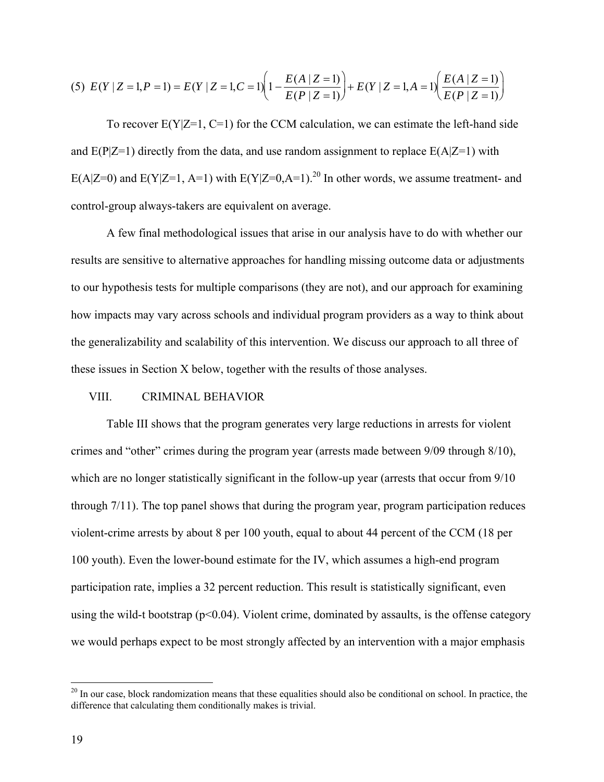$$
(5) \ E(Y \mid Z=1, P=1) = E(Y \mid Z=1, C=1) \left(1 - \frac{E(A \mid Z=1)}{E(P \mid Z=1)}\right) + E(Y \mid Z=1, A=1) \left(\frac{E(A \mid Z=1)}{E(P \mid Z=1)}\right)
$$

To recover  $E(Y|Z=1, C=1)$  for the CCM calculation, we can estimate the left-hand side and  $E(P|Z=1)$  directly from the data, and use random assignment to replace  $E(A|Z=1)$  with E(A|Z=0) and E(Y|Z=1, A=1) with E(Y|Z=0,A=1).<sup>20</sup> In other words, we assume treatment- and control-group always-takers are equivalent on average.

 A few final methodological issues that arise in our analysis have to do with whether our results are sensitive to alternative approaches for handling missing outcome data or adjustments to our hypothesis tests for multiple comparisons (they are not), and our approach for examining how impacts may vary across schools and individual program providers as a way to think about the generalizability and scalability of this intervention. We discuss our approach to all three of these issues in Section X below, together with the results of those analyses.

## VIII. CRIMINAL BEHAVIOR

Table III shows that the program generates very large reductions in arrests for violent crimes and "other" crimes during the program year (arrests made between 9/09 through 8/10), which are no longer statistically significant in the follow-up year (arrests that occur from 9/10 through 7/11). The top panel shows that during the program year, program participation reduces violent-crime arrests by about 8 per 100 youth, equal to about 44 percent of the CCM (18 per 100 youth). Even the lower-bound estimate for the IV, which assumes a high-end program participation rate, implies a 32 percent reduction. This result is statistically significant, even using the wild-t bootstrap ( $p<0.04$ ). Violent crime, dominated by assaults, is the offense category we would perhaps expect to be most strongly affected by an intervention with a major emphasis

 $20$  In our case, block randomization means that these equalities should also be conditional on school. In practice, the difference that calculating them conditionally makes is trivial.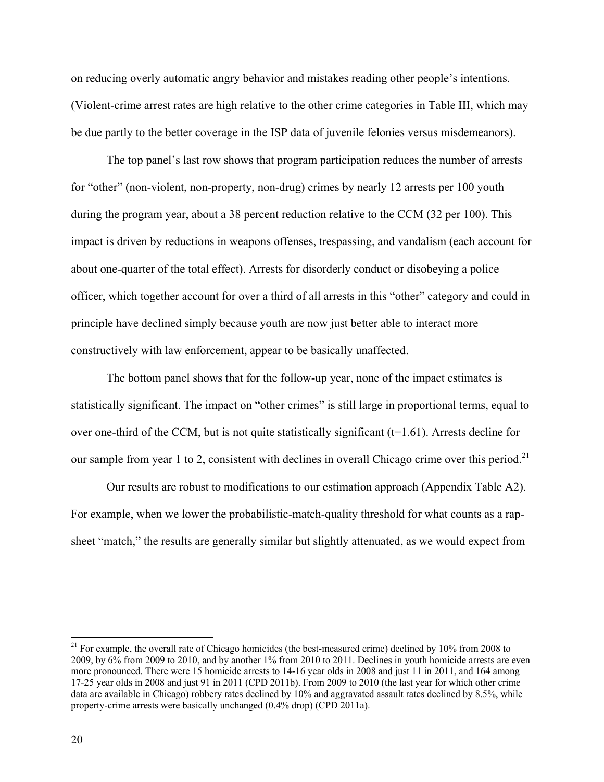on reducing overly automatic angry behavior and mistakes reading other people's intentions. (Violent-crime arrest rates are high relative to the other crime categories in Table III, which may be due partly to the better coverage in the ISP data of juvenile felonies versus misdemeanors).

The top panel's last row shows that program participation reduces the number of arrests for "other" (non-violent, non-property, non-drug) crimes by nearly 12 arrests per 100 youth during the program year, about a 38 percent reduction relative to the CCM (32 per 100). This impact is driven by reductions in weapons offenses, trespassing, and vandalism (each account for about one-quarter of the total effect). Arrests for disorderly conduct or disobeying a police officer, which together account for over a third of all arrests in this "other" category and could in principle have declined simply because youth are now just better able to interact more constructively with law enforcement, appear to be basically unaffected.

The bottom panel shows that for the follow-up year, none of the impact estimates is statistically significant. The impact on "other crimes" is still large in proportional terms, equal to over one-third of the CCM, but is not quite statistically significant  $(t=1.61)$ . Arrests decline for our sample from year 1 to 2, consistent with declines in overall Chicago crime over this period.<sup>21</sup>

Our results are robust to modifications to our estimation approach (Appendix Table A2). For example, when we lower the probabilistic-match-quality threshold for what counts as a rapsheet "match," the results are generally similar but slightly attenuated, as we would expect from

<sup>&</sup>lt;sup>21</sup> For example, the overall rate of Chicago homicides (the best-measured crime) declined by  $10\%$  from 2008 to 2009, by 6% from 2009 to 2010, and by another 1% from 2010 to 2011. Declines in youth homicide arrests are even more pronounced. There were 15 homicide arrests to 14-16 year olds in 2008 and just 11 in 2011, and 164 among 17-25 year olds in 2008 and just 91 in 2011 (CPD 2011b). From 2009 to 2010 (the last year for which other crime data are available in Chicago) robbery rates declined by 10% and aggravated assault rates declined by 8.5%, while property-crime arrests were basically unchanged (0.4% drop) (CPD 2011a).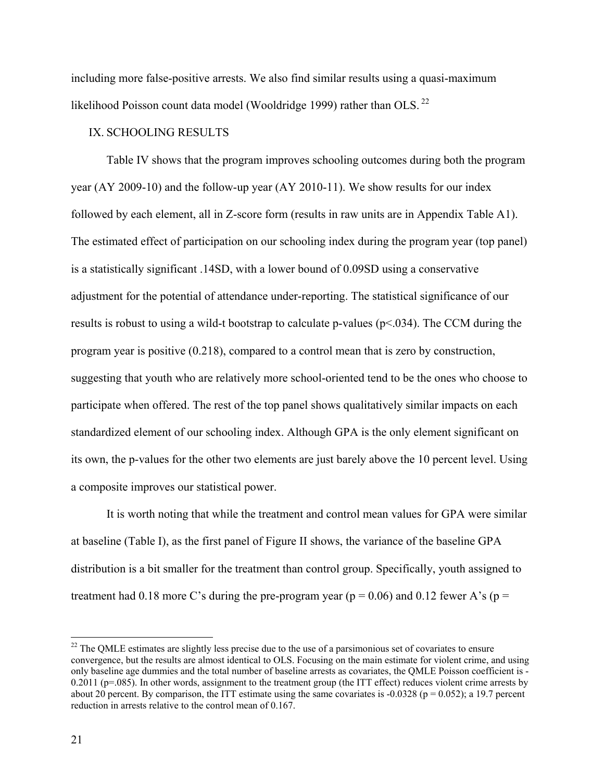including more false-positive arrests. We also find similar results using a quasi-maximum likelihood Poisson count data model (Wooldridge 1999) rather than OLS.<sup>22</sup>

## IX. SCHOOLING RESULTS

 Table IV shows that the program improves schooling outcomes during both the program year (AY 2009-10) and the follow-up year (AY 2010-11). We show results for our index followed by each element, all in Z-score form (results in raw units are in Appendix Table A1). The estimated effect of participation on our schooling index during the program year (top panel) is a statistically significant .14SD, with a lower bound of 0.09SD using a conservative adjustment for the potential of attendance under-reporting. The statistical significance of our results is robust to using a wild-t bootstrap to calculate p-values ( $p<034$ ). The CCM during the program year is positive (0.218), compared to a control mean that is zero by construction, suggesting that youth who are relatively more school-oriented tend to be the ones who choose to participate when offered. The rest of the top panel shows qualitatively similar impacts on each standardized element of our schooling index. Although GPA is the only element significant on its own, the p-values for the other two elements are just barely above the 10 percent level. Using a composite improves our statistical power.

It is worth noting that while the treatment and control mean values for GPA were similar at baseline (Table I), as the first panel of Figure II shows, the variance of the baseline GPA distribution is a bit smaller for the treatment than control group. Specifically, youth assigned to treatment had 0.18 more C's during the pre-program year ( $p = 0.06$ ) and 0.12 fewer A's ( $p =$ 

<sup>&</sup>lt;sup>22</sup> The QMLE estimates are slightly less precise due to the use of a parsimonious set of covariates to ensure convergence, but the results are almost identical to OLS. Focusing on the main estimate for violent crime, and using only baseline age dummies and the total number of baseline arrests as covariates, the QMLE Poisson coefficient is - 0.2011 ( $p=0.085$ ). In other words, assignment to the treatment group (the ITT effect) reduces violent crime arrests by about 20 percent. By comparison, the ITT estimate using the same covariates is  $-0.0328$  ( $p = 0.052$ ); a 19.7 percent reduction in arrests relative to the control mean of 0.167.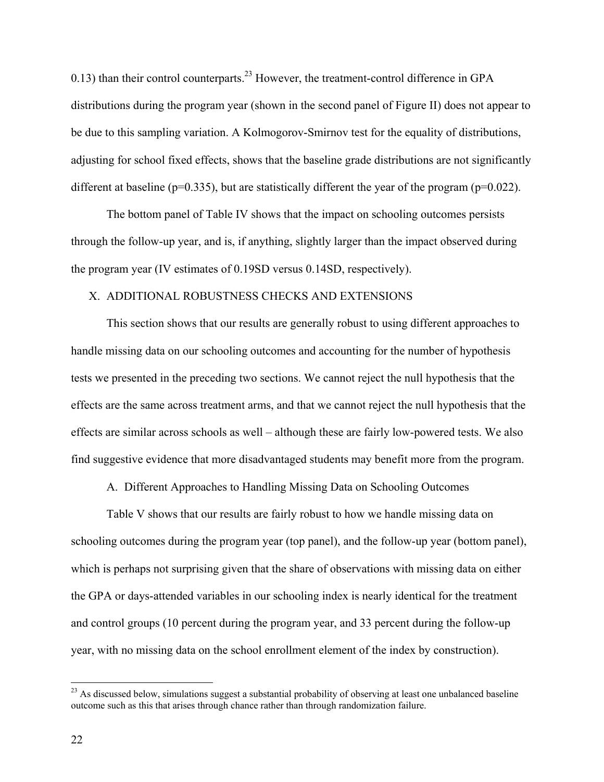0.13) than their control counterparts.<sup>23</sup> However, the treatment-control difference in GPA distributions during the program year (shown in the second panel of Figure II) does not appear to be due to this sampling variation. A Kolmogorov-Smirnov test for the equality of distributions, adjusting for school fixed effects, shows that the baseline grade distributions are not significantly different at baseline ( $p=0.335$ ), but are statistically different the year of the program ( $p=0.022$ ).

The bottom panel of Table IV shows that the impact on schooling outcomes persists through the follow-up year, and is, if anything, slightly larger than the impact observed during the program year (IV estimates of 0.19SD versus 0.14SD, respectively).

### X. ADDITIONAL ROBUSTNESS CHECKS AND EXTENSIONS

This section shows that our results are generally robust to using different approaches to handle missing data on our schooling outcomes and accounting for the number of hypothesis tests we presented in the preceding two sections. We cannot reject the null hypothesis that the effects are the same across treatment arms, and that we cannot reject the null hypothesis that the effects are similar across schools as well – although these are fairly low-powered tests. We also find suggestive evidence that more disadvantaged students may benefit more from the program.

A. Different Approaches to Handling Missing Data on Schooling Outcomes

Table V shows that our results are fairly robust to how we handle missing data on schooling outcomes during the program year (top panel), and the follow-up year (bottom panel), which is perhaps not surprising given that the share of observations with missing data on either the GPA or days-attended variables in our schooling index is nearly identical for the treatment and control groups (10 percent during the program year, and 33 percent during the follow-up year, with no missing data on the school enrollment element of the index by construction).

 $2<sup>23</sup>$  As discussed below, simulations suggest a substantial probability of observing at least one unbalanced baseline outcome such as this that arises through chance rather than through randomization failure.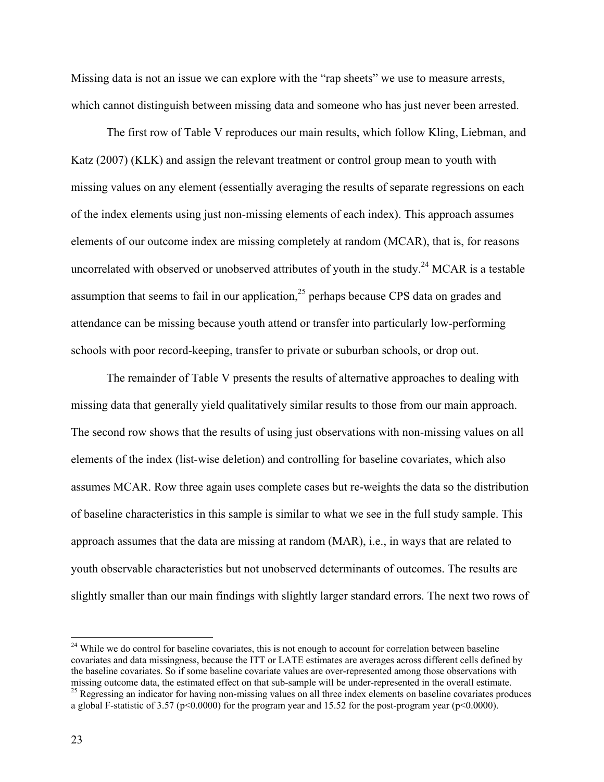Missing data is not an issue we can explore with the "rap sheets" we use to measure arrests, which cannot distinguish between missing data and someone who has just never been arrested.

The first row of Table V reproduces our main results, which follow Kling, Liebman, and Katz (2007) (KLK) and assign the relevant treatment or control group mean to youth with missing values on any element (essentially averaging the results of separate regressions on each of the index elements using just non-missing elements of each index). This approach assumes elements of our outcome index are missing completely at random (MCAR), that is, for reasons uncorrelated with observed or unobserved attributes of youth in the study.<sup>24</sup> MCAR is a testable assumption that seems to fail in our application,  $2<sup>5</sup>$  perhaps because CPS data on grades and attendance can be missing because youth attend or transfer into particularly low-performing schools with poor record-keeping, transfer to private or suburban schools, or drop out.

The remainder of Table V presents the results of alternative approaches to dealing with missing data that generally yield qualitatively similar results to those from our main approach. The second row shows that the results of using just observations with non-missing values on all elements of the index (list-wise deletion) and controlling for baseline covariates, which also assumes MCAR. Row three again uses complete cases but re-weights the data so the distribution of baseline characteristics in this sample is similar to what we see in the full study sample. This approach assumes that the data are missing at random (MAR), i.e., in ways that are related to youth observable characteristics but not unobserved determinants of outcomes. The results are slightly smaller than our main findings with slightly larger standard errors. The next two rows of

<sup>&</sup>lt;sup>24</sup> While we do control for baseline covariates, this is not enough to account for correlation between baseline covariates and data missingness, because the ITT or LATE estimates are averages across different cells defined by the baseline covariates. So if some baseline covariate values are over-represented among those observations with missing outcome data, the estimated effect on that sub-sample will be under-represented in the overall estima <sup>25</sup> Regressing an indicator for having non-missing values on all three index elements on baseline covariates produces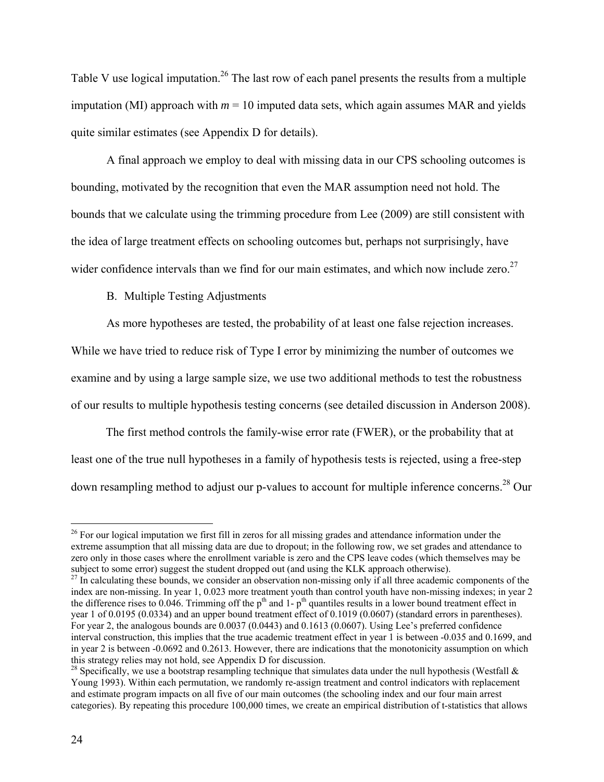Table V use logical imputation.<sup>26</sup> The last row of each panel presents the results from a multiple imputation (MI) approach with  $m = 10$  imputed data sets, which again assumes MAR and yields quite similar estimates (see Appendix D for details).

A final approach we employ to deal with missing data in our CPS schooling outcomes is bounding, motivated by the recognition that even the MAR assumption need not hold. The bounds that we calculate using the trimming procedure from Lee (2009) are still consistent with the idea of large treatment effects on schooling outcomes but, perhaps not surprisingly, have wider confidence intervals than we find for our main estimates, and which now include zero.<sup>27</sup>

B. Multiple Testing Adjustments

As more hypotheses are tested, the probability of at least one false rejection increases. While we have tried to reduce risk of Type I error by minimizing the number of outcomes we examine and by using a large sample size, we use two additional methods to test the robustness of our results to multiple hypothesis testing concerns (see detailed discussion in Anderson 2008).

The first method controls the family-wise error rate (FWER), or the probability that at least one of the true null hypotheses in a family of hypothesis tests is rejected, using a free-step down resampling method to adjust our p-values to account for multiple inference concerns.<sup>28</sup> Our

<sup>&</sup>lt;sup>26</sup> For our logical imputation we first fill in zeros for all missing grades and attendance information under the extreme assumption that all missing data are due to dropout; in the following row, we set grades and attendance to zero only in those cases where the enrollment variable is zero and the CPS leave codes (which themselves may be subject to some error) suggest the student dropped out (and using the KLK approach otherwise).

 $^{27}$  In calculating these bounds, we consider an observation non-missing only if all three academic components of the index are non-missing. In year 1, 0.023 more treatment youth than control youth have non-missing indexes; in year 2 the difference rises to 0.046. Trimming off the  $p<sup>th</sup>$  and 1- $p<sup>th</sup>$  quantiles results in a lower bound treatment effect in year 1 of 0.0195 (0.0334) and an upper bound treatment effect of 0.1019 (0.0607) (standard errors in parentheses). For year 2, the analogous bounds are 0.0037 (0.0443) and 0.1613 (0.0607). Using Lee's preferred confidence interval construction, this implies that the true academic treatment effect in year 1 is between -0.035 and 0.1699, and in year 2 is between -0.0692 and 0.2613. However, there are indications that the monotonicity assumption on which this strategy relies may not hold, see Appendix D for discussion.

<sup>&</sup>lt;sup>28</sup> Specifically, we use a bootstrap resampling technique that simulates data under the null hypothesis (Westfall  $\&$ Young 1993). Within each permutation, we randomly re-assign treatment and control indicators with replacement and estimate program impacts on all five of our main outcomes (the schooling index and our four main arrest categories). By repeating this procedure 100,000 times, we create an empirical distribution of t-statistics that allows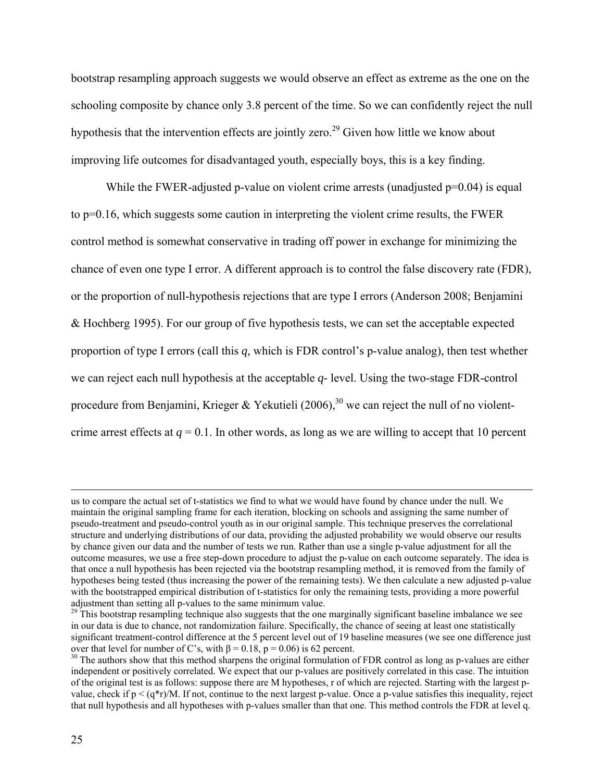bootstrap resampling approach suggests we would observe an effect as extreme as the one on the schooling composite by chance only 3.8 percent of the time. So we can confidently reject the null hypothesis that the intervention effects are jointly zero.<sup>29</sup> Given how little we know about improving life outcomes for disadvantaged youth, especially boys, this is a key finding.

While the FWER-adjusted p-value on violent crime arrests (unadjusted  $p=0.04$ ) is equal to p=0.16, which suggests some caution in interpreting the violent crime results, the FWER control method is somewhat conservative in trading off power in exchange for minimizing the chance of even one type I error. A different approach is to control the false discovery rate (FDR), or the proportion of null-hypothesis rejections that are type I errors (Anderson 2008; Benjamini & Hochberg 1995). For our group of five hypothesis tests, we can set the acceptable expected proportion of type I errors (call this *q,* which is FDR control's p-value analog), then test whether we can reject each null hypothesis at the acceptable *q-* level. Using the two-stage FDR-control procedure from Benjamini, Krieger & Yekutieli (2006),<sup>30</sup> we can reject the null of no violentcrime arrest effects at  $q = 0.1$ . In other words, as long as we are willing to accept that 10 percent

us to compare the actual set of t-statistics we find to what we would have found by chance under the null. We maintain the original sampling frame for each iteration, blocking on schools and assigning the same number of pseudo-treatment and pseudo-control youth as in our original sample. This technique preserves the correlational structure and underlying distributions of our data, providing the adjusted probability we would observe our results by chance given our data and the number of tests we run. Rather than use a single p-value adjustment for all the outcome measures, we use a free step-down procedure to adjust the p-value on each outcome separately. The idea is that once a null hypothesis has been rejected via the bootstrap resampling method, it is removed from the family of hypotheses being tested (thus increasing the power of the remaining tests). We then calculate a new adjusted p-value with the bootstrapped empirical distribution of t-statistics for only the remaining tests, providing a more powerful adjustment than setting all p-values to the same minimum value.

 $29$  This bootstrap resampling technique also suggests that the one marginally significant baseline imbalance we see in our data is due to chance, not randomization failure. Specifically, the chance of seeing at least one statistically significant treatment-control difference at the 5 percent level out of 19 baseline measures (we see one difference just over that level for number of C's, with  $\beta = 0.18$ ,  $p = 0.06$ ) is 62 percent.

 $30$  The authors show that this method sharpens the original formulation of FDR control as long as p-values are either independent or positively correlated. We expect that our p-values are positively correlated in this case. The intuition of the original test is as follows: suppose there are M hypotheses, r of which are rejected. Starting with the largest pvalue, check if  $p < (q^*r)/M$ . If not, continue to the next largest p-value. Once a p-value satisfies this inequality, reject that null hypothesis and all hypotheses with p-values smaller than that one. This method controls the FDR at level q.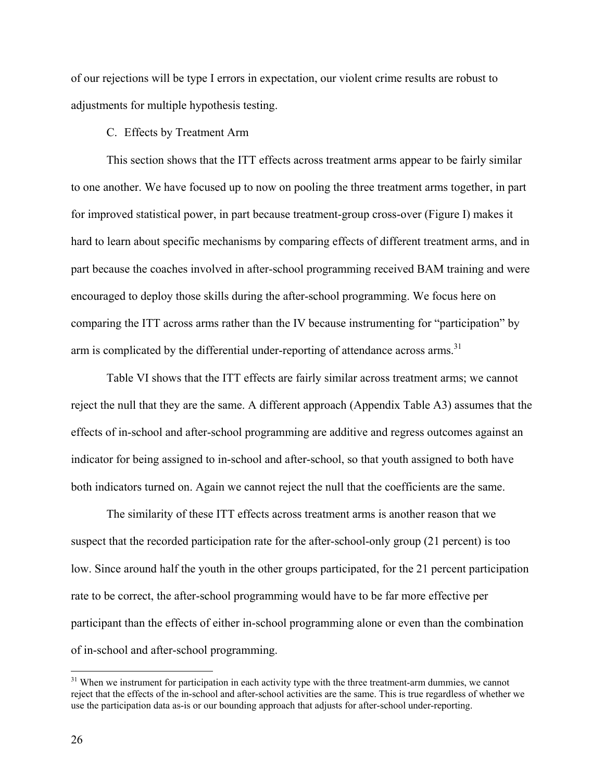of our rejections will be type I errors in expectation, our violent crime results are robust to adjustments for multiple hypothesis testing.

### C. Effects by Treatment Arm

This section shows that the ITT effects across treatment arms appear to be fairly similar to one another. We have focused up to now on pooling the three treatment arms together, in part for improved statistical power, in part because treatment-group cross-over (Figure I) makes it hard to learn about specific mechanisms by comparing effects of different treatment arms, and in part because the coaches involved in after-school programming received BAM training and were encouraged to deploy those skills during the after-school programming. We focus here on comparing the ITT across arms rather than the IV because instrumenting for "participation" by arm is complicated by the differential under-reporting of attendance across arms.<sup>31</sup>

 Table VI shows that the ITT effects are fairly similar across treatment arms; we cannot reject the null that they are the same. A different approach (Appendix Table A3) assumes that the effects of in-school and after-school programming are additive and regress outcomes against an indicator for being assigned to in-school and after-school, so that youth assigned to both have both indicators turned on. Again we cannot reject the null that the coefficients are the same.

The similarity of these ITT effects across treatment arms is another reason that we suspect that the recorded participation rate for the after-school-only group (21 percent) is too low. Since around half the youth in the other groups participated, for the 21 percent participation rate to be correct, the after-school programming would have to be far more effective per participant than the effects of either in-school programming alone or even than the combination of in-school and after-school programming.

<sup>&</sup>lt;sup>31</sup> When we instrument for participation in each activity type with the three treatment-arm dummies, we cannot reject that the effects of the in-school and after-school activities are the same. This is true regardless of whether we use the participation data as-is or our bounding approach that adjusts for after-school under-reporting.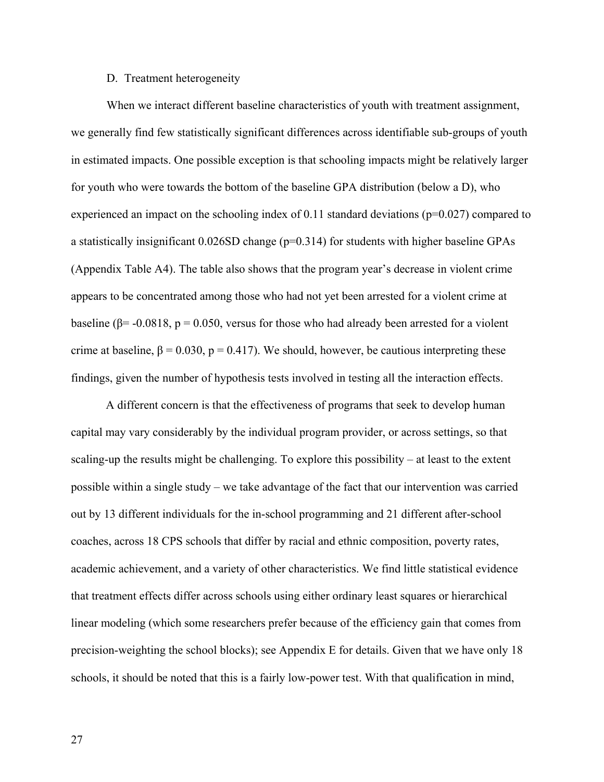### D. Treatment heterogeneity

When we interact different baseline characteristics of youth with treatment assignment, we generally find few statistically significant differences across identifiable sub-groups of youth in estimated impacts. One possible exception is that schooling impacts might be relatively larger for youth who were towards the bottom of the baseline GPA distribution (below a D), who experienced an impact on the schooling index of 0.11 standard deviations (p=0.027) compared to a statistically insignificant 0.026SD change (p=0.314) for students with higher baseline GPAs (Appendix Table A4). The table also shows that the program year's decrease in violent crime appears to be concentrated among those who had not yet been arrested for a violent crime at baseline ( $\beta$ = -0.0818, p = 0.050, versus for those who had already been arrested for a violent crime at baseline,  $\beta = 0.030$ ,  $p = 0.417$ ). We should, however, be cautious interpreting these findings, given the number of hypothesis tests involved in testing all the interaction effects.

A different concern is that the effectiveness of programs that seek to develop human capital may vary considerably by the individual program provider, or across settings, so that scaling-up the results might be challenging. To explore this possibility – at least to the extent possible within a single study – we take advantage of the fact that our intervention was carried out by 13 different individuals for the in-school programming and 21 different after-school coaches, across 18 CPS schools that differ by racial and ethnic composition, poverty rates, academic achievement, and a variety of other characteristics. We find little statistical evidence that treatment effects differ across schools using either ordinary least squares or hierarchical linear modeling (which some researchers prefer because of the efficiency gain that comes from precision-weighting the school blocks); see Appendix E for details. Given that we have only 18 schools, it should be noted that this is a fairly low-power test. With that qualification in mind,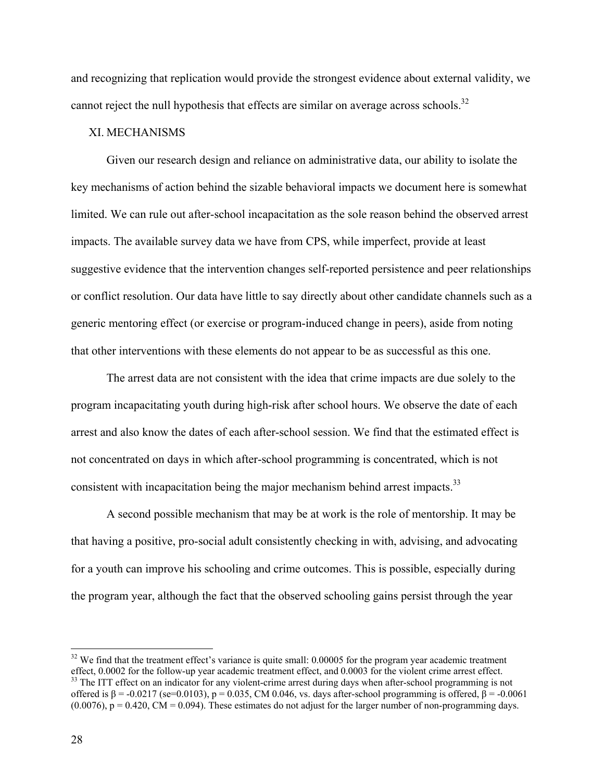and recognizing that replication would provide the strongest evidence about external validity, we cannot reject the null hypothesis that effects are similar on average across schools.<sup>32</sup>

## XI. MECHANISMS

Given our research design and reliance on administrative data, our ability to isolate the key mechanisms of action behind the sizable behavioral impacts we document here is somewhat limited. We can rule out after-school incapacitation as the sole reason behind the observed arrest impacts. The available survey data we have from CPS, while imperfect, provide at least suggestive evidence that the intervention changes self-reported persistence and peer relationships or conflict resolution. Our data have little to say directly about other candidate channels such as a generic mentoring effect (or exercise or program-induced change in peers), aside from noting that other interventions with these elements do not appear to be as successful as this one.

The arrest data are not consistent with the idea that crime impacts are due solely to the program incapacitating youth during high-risk after school hours. We observe the date of each arrest and also know the dates of each after-school session. We find that the estimated effect is not concentrated on days in which after-school programming is concentrated, which is not consistent with incapacitation being the major mechanism behind arrest impacts.<sup>33</sup>

A second possible mechanism that may be at work is the role of mentorship. It may be that having a positive, pro-social adult consistently checking in with, advising, and advocating for a youth can improve his schooling and crime outcomes. This is possible, especially during the program year, although the fact that the observed schooling gains persist through the year

 $32$  We find that the treatment effect's variance is quite small: 0.00005 for the program year academic treatment effect, 0.0002 for the follow-up year academic treatment effect, and 0.0003 for the violent crime arrest ef  $^{33}$  The ITT effect on an indicator for any violent-crime arrest during days when after-school programming is not offered is β = -0.0217 (se=0.0103), p = 0.035, CM 0.046, vs. days after-school programming is offered, β = -0.0061  $(0.0076)$ ,  $p = 0.420$ , CM = 0.094). These estimates do not adjust for the larger number of non-programming days.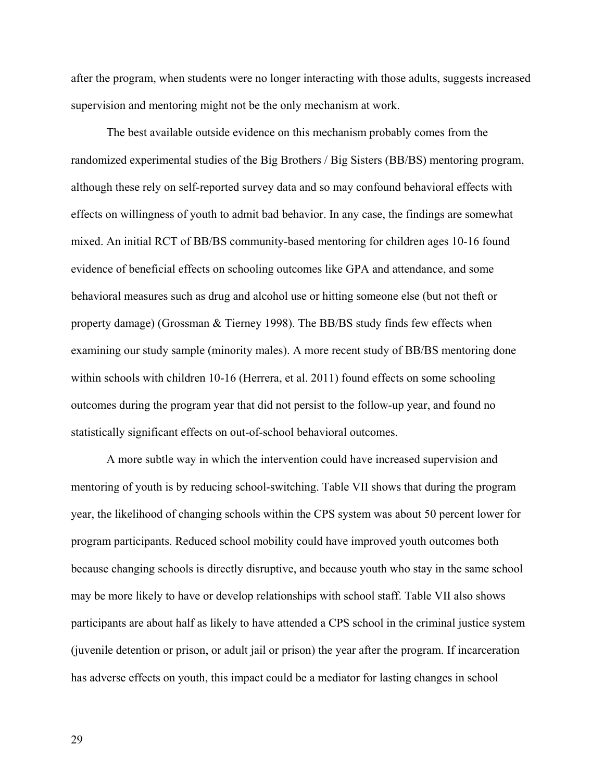after the program, when students were no longer interacting with those adults, suggests increased supervision and mentoring might not be the only mechanism at work.

The best available outside evidence on this mechanism probably comes from the randomized experimental studies of the Big Brothers / Big Sisters (BB/BS) mentoring program, although these rely on self-reported survey data and so may confound behavioral effects with effects on willingness of youth to admit bad behavior. In any case, the findings are somewhat mixed. An initial RCT of BB/BS community-based mentoring for children ages 10-16 found evidence of beneficial effects on schooling outcomes like GPA and attendance, and some behavioral measures such as drug and alcohol use or hitting someone else (but not theft or property damage) (Grossman & Tierney 1998). The BB/BS study finds few effects when examining our study sample (minority males). A more recent study of BB/BS mentoring done within schools with children 10-16 (Herrera, et al. 2011) found effects on some schooling outcomes during the program year that did not persist to the follow-up year, and found no statistically significant effects on out-of-school behavioral outcomes.

 A more subtle way in which the intervention could have increased supervision and mentoring of youth is by reducing school-switching. Table VII shows that during the program year, the likelihood of changing schools within the CPS system was about 50 percent lower for program participants. Reduced school mobility could have improved youth outcomes both because changing schools is directly disruptive, and because youth who stay in the same school may be more likely to have or develop relationships with school staff. Table VII also shows participants are about half as likely to have attended a CPS school in the criminal justice system (juvenile detention or prison, or adult jail or prison) the year after the program. If incarceration has adverse effects on youth, this impact could be a mediator for lasting changes in school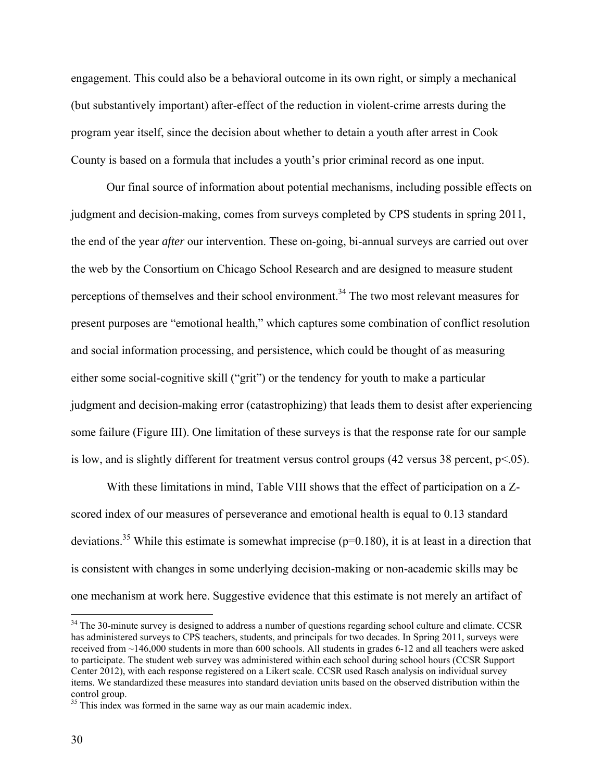engagement. This could also be a behavioral outcome in its own right, or simply a mechanical (but substantively important) after-effect of the reduction in violent-crime arrests during the program year itself, since the decision about whether to detain a youth after arrest in Cook County is based on a formula that includes a youth's prior criminal record as one input.

Our final source of information about potential mechanisms, including possible effects on judgment and decision-making, comes from surveys completed by CPS students in spring 2011, the end of the year *after* our intervention. These on-going, bi-annual surveys are carried out over the web by the Consortium on Chicago School Research and are designed to measure student perceptions of themselves and their school environment.<sup>34</sup> The two most relevant measures for present purposes are "emotional health," which captures some combination of conflict resolution and social information processing, and persistence, which could be thought of as measuring either some social-cognitive skill ("grit") or the tendency for youth to make a particular judgment and decision-making error (catastrophizing) that leads them to desist after experiencing some failure (Figure III). One limitation of these surveys is that the response rate for our sample is low, and is slightly different for treatment versus control groups (42 versus 38 percent, p<.05).

With these limitations in mind, Table VIII shows that the effect of participation on a Zscored index of our measures of perseverance and emotional health is equal to 0.13 standard deviations.<sup>35</sup> While this estimate is somewhat imprecise ( $p=0.180$ ), it is at least in a direction that is consistent with changes in some underlying decision-making or non-academic skills may be one mechanism at work here. Suggestive evidence that this estimate is not merely an artifact of

<sup>&</sup>lt;sup>34</sup> The 30-minute survey is designed to address a number of questions regarding school culture and climate. CCSR has administered surveys to CPS teachers, students, and principals for two decades. In Spring 2011, surveys were received from ~146,000 students in more than 600 schools. All students in grades 6-12 and all teachers were asked to participate. The student web survey was administered within each school during school hours (CCSR Support Center 2012), with each response registered on a Likert scale. CCSR used Rasch analysis on individual survey items. We standardized these measures into standard deviation units based on the observed distribution within the control group.

<sup>&</sup>lt;sup>35</sup> This index was formed in the same way as our main academic index.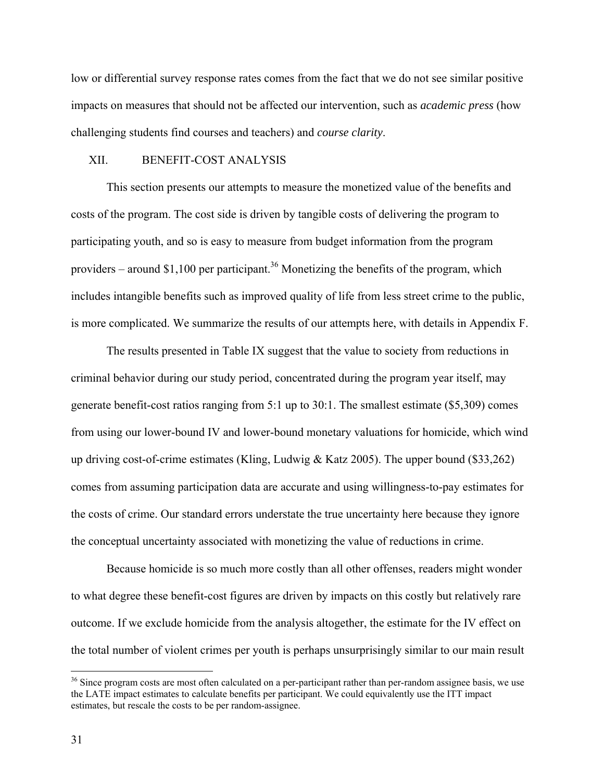low or differential survey response rates comes from the fact that we do not see similar positive impacts on measures that should not be affected our intervention, such as *academic press* (how challenging students find courses and teachers) and *course clarity*.

### XII. BENEFIT-COST ANALYSIS

 This section presents our attempts to measure the monetized value of the benefits and costs of the program. The cost side is driven by tangible costs of delivering the program to participating youth, and so is easy to measure from budget information from the program providers – around \$1,100 per participant.<sup>36</sup> Monetizing the benefits of the program, which includes intangible benefits such as improved quality of life from less street crime to the public, is more complicated. We summarize the results of our attempts here, with details in Appendix F.

 The results presented in Table IX suggest that the value to society from reductions in criminal behavior during our study period, concentrated during the program year itself, may generate benefit-cost ratios ranging from 5:1 up to 30:1. The smallest estimate (\$5,309) comes from using our lower-bound IV and lower-bound monetary valuations for homicide, which wind up driving cost-of-crime estimates (Kling, Ludwig & Katz 2005). The upper bound (\$33,262) comes from assuming participation data are accurate and using willingness-to-pay estimates for the costs of crime. Our standard errors understate the true uncertainty here because they ignore the conceptual uncertainty associated with monetizing the value of reductions in crime.

 Because homicide is so much more costly than all other offenses, readers might wonder to what degree these benefit-cost figures are driven by impacts on this costly but relatively rare outcome. If we exclude homicide from the analysis altogether, the estimate for the IV effect on the total number of violent crimes per youth is perhaps unsurprisingly similar to our main result

<sup>&</sup>lt;sup>36</sup> Since program costs are most often calculated on a per-participant rather than per-random assignee basis, we use the LATE impact estimates to calculate benefits per participant. We could equivalently use the ITT impact estimates, but rescale the costs to be per random-assignee.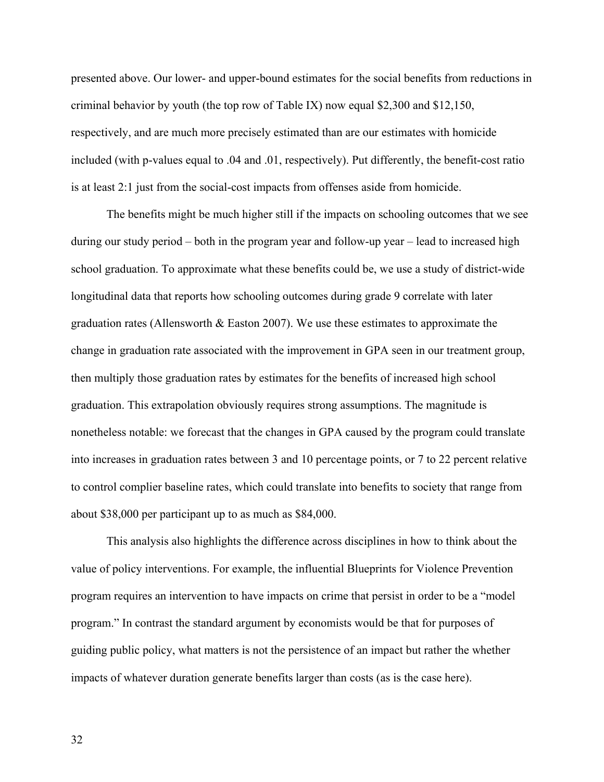presented above. Our lower- and upper-bound estimates for the social benefits from reductions in criminal behavior by youth (the top row of Table IX) now equal \$2,300 and \$12,150, respectively, and are much more precisely estimated than are our estimates with homicide included (with p-values equal to .04 and .01, respectively). Put differently, the benefit-cost ratio is at least 2:1 just from the social-cost impacts from offenses aside from homicide.

 The benefits might be much higher still if the impacts on schooling outcomes that we see during our study period – both in the program year and follow-up year – lead to increased high school graduation. To approximate what these benefits could be, we use a study of district-wide longitudinal data that reports how schooling outcomes during grade 9 correlate with later graduation rates (Allensworth  $& Easton 2007$ ). We use these estimates to approximate the change in graduation rate associated with the improvement in GPA seen in our treatment group, then multiply those graduation rates by estimates for the benefits of increased high school graduation. This extrapolation obviously requires strong assumptions. The magnitude is nonetheless notable: we forecast that the changes in GPA caused by the program could translate into increases in graduation rates between 3 and 10 percentage points, or 7 to 22 percent relative to control complier baseline rates, which could translate into benefits to society that range from about \$38,000 per participant up to as much as \$84,000.

 This analysis also highlights the difference across disciplines in how to think about the value of policy interventions. For example, the influential Blueprints for Violence Prevention program requires an intervention to have impacts on crime that persist in order to be a "model program." In contrast the standard argument by economists would be that for purposes of guiding public policy, what matters is not the persistence of an impact but rather the whether impacts of whatever duration generate benefits larger than costs (as is the case here).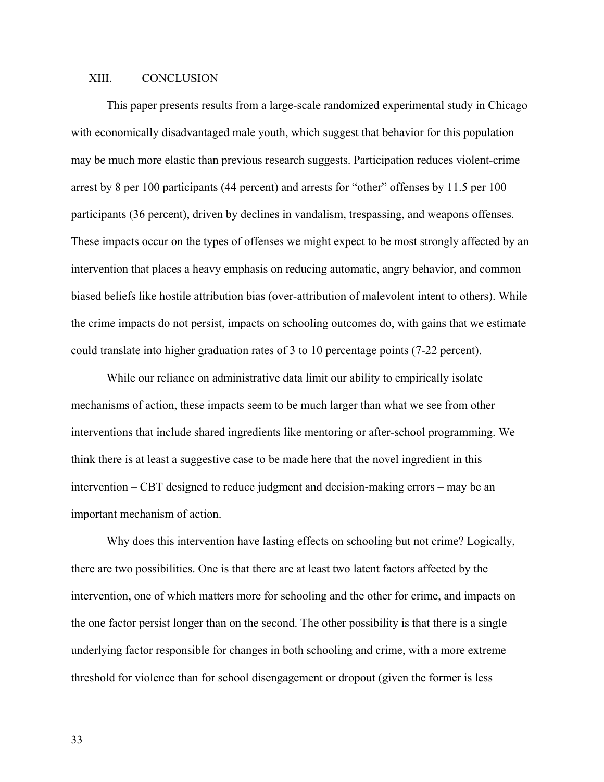# XIII. CONCLUSION

This paper presents results from a large-scale randomized experimental study in Chicago with economically disadvantaged male youth, which suggest that behavior for this population may be much more elastic than previous research suggests. Participation reduces violent-crime arrest by 8 per 100 participants (44 percent) and arrests for "other" offenses by 11.5 per 100 participants (36 percent), driven by declines in vandalism, trespassing, and weapons offenses. These impacts occur on the types of offenses we might expect to be most strongly affected by an intervention that places a heavy emphasis on reducing automatic, angry behavior, and common biased beliefs like hostile attribution bias (over-attribution of malevolent intent to others). While the crime impacts do not persist, impacts on schooling outcomes do, with gains that we estimate could translate into higher graduation rates of 3 to 10 percentage points (7-22 percent).

While our reliance on administrative data limit our ability to empirically isolate mechanisms of action, these impacts seem to be much larger than what we see from other interventions that include shared ingredients like mentoring or after-school programming. We think there is at least a suggestive case to be made here that the novel ingredient in this intervention – CBT designed to reduce judgment and decision-making errors – may be an important mechanism of action.

Why does this intervention have lasting effects on schooling but not crime? Logically, there are two possibilities. One is that there are at least two latent factors affected by the intervention, one of which matters more for schooling and the other for crime, and impacts on the one factor persist longer than on the second. The other possibility is that there is a single underlying factor responsible for changes in both schooling and crime, with a more extreme threshold for violence than for school disengagement or dropout (given the former is less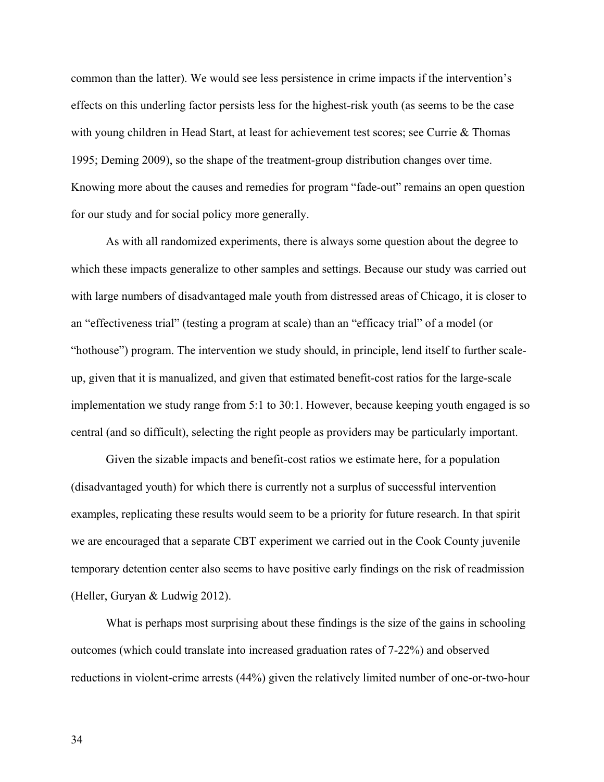common than the latter). We would see less persistence in crime impacts if the intervention's effects on this underling factor persists less for the highest-risk youth (as seems to be the case with young children in Head Start, at least for achievement test scores; see Currie & Thomas 1995; Deming 2009), so the shape of the treatment-group distribution changes over time. Knowing more about the causes and remedies for program "fade-out" remains an open question for our study and for social policy more generally.

As with all randomized experiments, there is always some question about the degree to which these impacts generalize to other samples and settings. Because our study was carried out with large numbers of disadvantaged male youth from distressed areas of Chicago, it is closer to an "effectiveness trial" (testing a program at scale) than an "efficacy trial" of a model (or "hothouse") program. The intervention we study should, in principle, lend itself to further scaleup, given that it is manualized, and given that estimated benefit-cost ratios for the large-scale implementation we study range from 5:1 to 30:1. However, because keeping youth engaged is so central (and so difficult), selecting the right people as providers may be particularly important.

Given the sizable impacts and benefit-cost ratios we estimate here, for a population (disadvantaged youth) for which there is currently not a surplus of successful intervention examples, replicating these results would seem to be a priority for future research. In that spirit we are encouraged that a separate CBT experiment we carried out in the Cook County juvenile temporary detention center also seems to have positive early findings on the risk of readmission (Heller, Guryan & Ludwig 2012).

What is perhaps most surprising about these findings is the size of the gains in schooling outcomes (which could translate into increased graduation rates of 7-22%) and observed reductions in violent-crime arrests (44%) given the relatively limited number of one-or-two-hour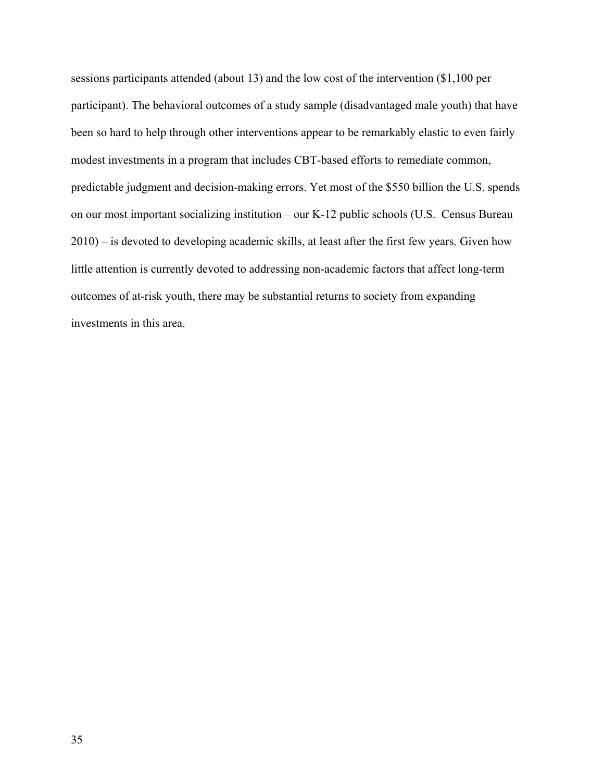sessions participants attended (about 13) and the low cost of the intervention (\$1,100 per participant). The behavioral outcomes of a study sample (disadvantaged male youth) that have been so hard to help through other interventions appear to be remarkably elastic to even fairly modest investments in a program that includes CBT-based efforts to remediate common, predictable judgment and decision-making errors. Yet most of the \$550 billion the U.S. spends on our most important socializing institution – our K-12 public schools (U.S. Census Bureau 2010) – is devoted to developing academic skills, at least after the first few years. Given how little attention is currently devoted to addressing non-academic factors that affect long-term outcomes of at-risk youth, there may be substantial returns to society from expanding investments in this area.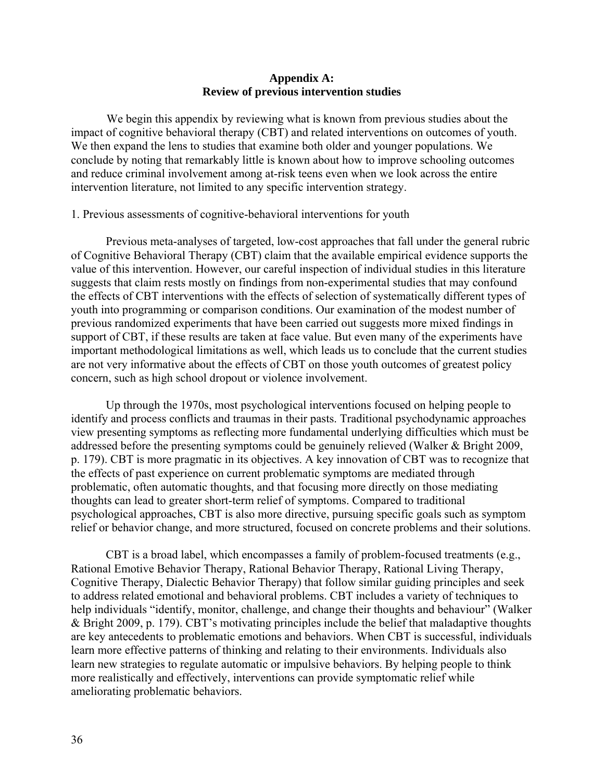## **Appendix A: Review of previous intervention studies**

We begin this appendix by reviewing what is known from previous studies about the impact of cognitive behavioral therapy (CBT) and related interventions on outcomes of youth. We then expand the lens to studies that examine both older and younger populations. We conclude by noting that remarkably little is known about how to improve schooling outcomes and reduce criminal involvement among at-risk teens even when we look across the entire intervention literature, not limited to any specific intervention strategy.

## 1. Previous assessments of cognitive-behavioral interventions for youth

Previous meta-analyses of targeted, low-cost approaches that fall under the general rubric of Cognitive Behavioral Therapy (CBT) claim that the available empirical evidence supports the value of this intervention. However, our careful inspection of individual studies in this literature suggests that claim rests mostly on findings from non-experimental studies that may confound the effects of CBT interventions with the effects of selection of systematically different types of youth into programming or comparison conditions. Our examination of the modest number of previous randomized experiments that have been carried out suggests more mixed findings in support of CBT, if these results are taken at face value. But even many of the experiments have important methodological limitations as well, which leads us to conclude that the current studies are not very informative about the effects of CBT on those youth outcomes of greatest policy concern, such as high school dropout or violence involvement.

Up through the 1970s, most psychological interventions focused on helping people to identify and process conflicts and traumas in their pasts. Traditional psychodynamic approaches view presenting symptoms as reflecting more fundamental underlying difficulties which must be addressed before the presenting symptoms could be genuinely relieved (Walker & Bright 2009, p. 179). CBT is more pragmatic in its objectives. A key innovation of CBT was to recognize that the effects of past experience on current problematic symptoms are mediated through problematic, often automatic thoughts, and that focusing more directly on those mediating thoughts can lead to greater short-term relief of symptoms. Compared to traditional psychological approaches, CBT is also more directive, pursuing specific goals such as symptom relief or behavior change, and more structured, focused on concrete problems and their solutions.

CBT is a broad label, which encompasses a family of problem-focused treatments (e.g., Rational Emotive Behavior Therapy, Rational Behavior Therapy, Rational Living Therapy, Cognitive Therapy, Dialectic Behavior Therapy) that follow similar guiding principles and seek to address related emotional and behavioral problems. CBT includes a variety of techniques to help individuals "identify, monitor, challenge, and change their thoughts and behaviour" (Walker & Bright 2009, p. 179). CBT's motivating principles include the belief that maladaptive thoughts are key antecedents to problematic emotions and behaviors. When CBT is successful, individuals learn more effective patterns of thinking and relating to their environments. Individuals also learn new strategies to regulate automatic or impulsive behaviors. By helping people to think more realistically and effectively, interventions can provide symptomatic relief while ameliorating problematic behaviors.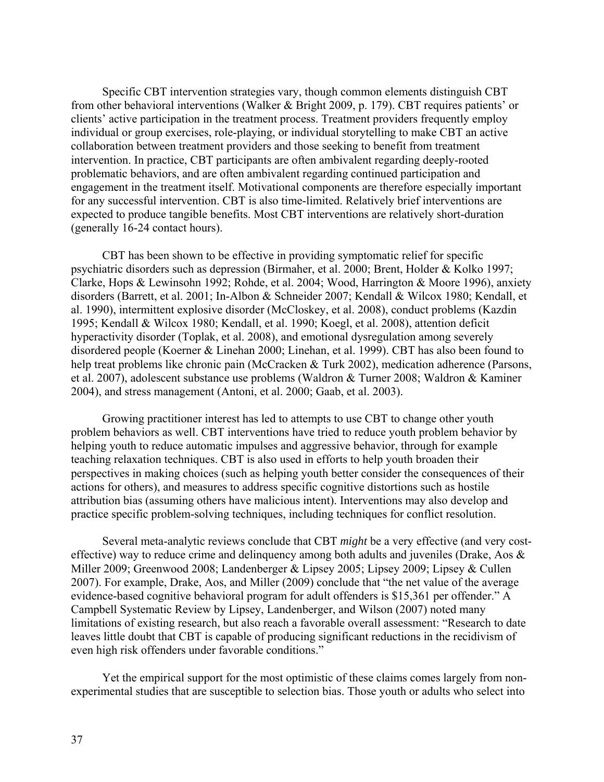Specific CBT intervention strategies vary, though common elements distinguish CBT from other behavioral interventions (Walker & Bright 2009, p. 179). CBT requires patients' or clients' active participation in the treatment process. Treatment providers frequently employ individual or group exercises, role-playing, or individual storytelling to make CBT an active collaboration between treatment providers and those seeking to benefit from treatment intervention. In practice, CBT participants are often ambivalent regarding deeply-rooted problematic behaviors, and are often ambivalent regarding continued participation and engagement in the treatment itself. Motivational components are therefore especially important for any successful intervention. CBT is also time-limited. Relatively brief interventions are expected to produce tangible benefits. Most CBT interventions are relatively short-duration (generally 16-24 contact hours).

CBT has been shown to be effective in providing symptomatic relief for specific psychiatric disorders such as depression (Birmaher, et al. 2000; Brent, Holder & Kolko 1997; Clarke, Hops & Lewinsohn 1992; Rohde, et al. 2004; Wood, Harrington & Moore 1996), anxiety disorders (Barrett, et al. 2001; In-Albon & Schneider 2007; Kendall & Wilcox 1980; Kendall, et al. 1990), intermittent explosive disorder (McCloskey, et al. 2008), conduct problems (Kazdin 1995; Kendall & Wilcox 1980; Kendall, et al. 1990; Koegl, et al. 2008), attention deficit hyperactivity disorder (Toplak, et al. 2008), and emotional dysregulation among severely disordered people (Koerner & Linehan 2000; Linehan, et al. 1999). CBT has also been found to help treat problems like chronic pain (McCracken & Turk 2002), medication adherence (Parsons, et al. 2007), adolescent substance use problems (Waldron & Turner 2008; Waldron & Kaminer 2004), and stress management (Antoni, et al. 2000; Gaab, et al. 2003).

Growing practitioner interest has led to attempts to use CBT to change other youth problem behaviors as well. CBT interventions have tried to reduce youth problem behavior by helping youth to reduce automatic impulses and aggressive behavior, through for example teaching relaxation techniques. CBT is also used in efforts to help youth broaden their perspectives in making choices (such as helping youth better consider the consequences of their actions for others), and measures to address specific cognitive distortions such as hostile attribution bias (assuming others have malicious intent). Interventions may also develop and practice specific problem-solving techniques, including techniques for conflict resolution.

Several meta-analytic reviews conclude that CBT *might* be a very effective (and very costeffective) way to reduce crime and delinquency among both adults and juveniles (Drake, Aos & Miller 2009; Greenwood 2008; Landenberger & Lipsey 2005; Lipsey 2009; Lipsey & Cullen 2007). For example, Drake, Aos, and Miller (2009) conclude that "the net value of the average evidence-based cognitive behavioral program for adult offenders is \$15,361 per offender." A Campbell Systematic Review by Lipsey, Landenberger, and Wilson (2007) noted many limitations of existing research, but also reach a favorable overall assessment: "Research to date leaves little doubt that CBT is capable of producing significant reductions in the recidivism of even high risk offenders under favorable conditions."

Yet the empirical support for the most optimistic of these claims comes largely from nonexperimental studies that are susceptible to selection bias. Those youth or adults who select into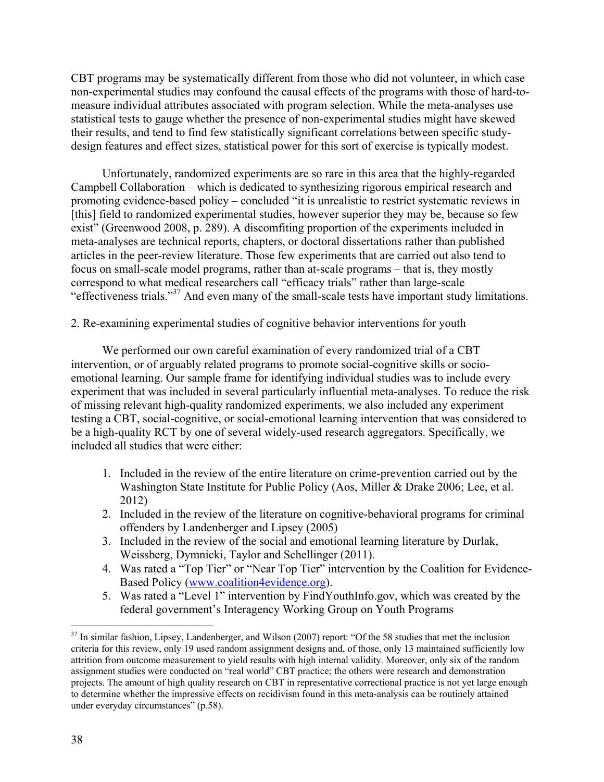CBT programs may be systematically different from those who did not volunteer, in which case non-experimental studies may confound the causal effects of the programs with those of hard-tomeasure individual attributes associated with program selection. While the meta-analyses use statistical tests to gauge whether the presence of non-experimental studies might have skewed their results, and tend to find few statistically significant correlations between specific studydesign features and effect sizes, statistical power for this sort of exercise is typically modest.

Unfortunately, randomized experiments are so rare in this area that the highly-regarded Campbell Collaboration – which is dedicated to synthesizing rigorous empirical research and promoting evidence-based policy – concluded "it is unrealistic to restrict systematic reviews in [this] field to randomized experimental studies, however superior they may be, because so few exist" (Greenwood 2008, p. 289). A discomfiting proportion of the experiments included in meta-analyses are technical reports, chapters, or doctoral dissertations rather than published articles in the peer-review literature. Those few experiments that are carried out also tend to focus on small-scale model programs, rather than at-scale programs – that is, they mostly correspond to what medical researchers call "efficacy trials" rather than large-scale "effectiveness trials."37 And even many of the small-scale tests have important study limitations.

2. Re-examining experimental studies of cognitive behavior interventions for youth

We performed our own careful examination of every randomized trial of a CBT intervention, or of arguably related programs to promote social-cognitive skills or socioemotional learning. Our sample frame for identifying individual studies was to include every experiment that was included in several particularly influential meta-analyses. To reduce the risk of missing relevant high-quality randomized experiments, we also included any experiment testing a CBT, social-cognitive, or social-emotional learning intervention that was considered to be a high-quality RCT by one of several widely-used research aggregators. Specifically, we included all studies that were either:

- 1. Included in the review of the entire literature on crime-prevention carried out by the Washington State Institute for Public Policy (Aos, Miller & Drake 2006; Lee, et al. 2012)
- 2. Included in the review of the literature on cognitive-behavioral programs for criminal offenders by Landenberger and Lipsey (2005)
- 3. Included in the review of the social and emotional learning literature by Durlak, Weissberg, Dymnicki, Taylor and Schellinger (2011).
- 4. Was rated a "Top Tier" or "Near Top Tier" intervention by the Coalition for Evidence-Based Policy (www.coalition4evidence.org).
- 5. Was rated a "Level 1" intervention by FindYouthInfo.gov, which was created by the federal government's Interagency Working Group on Youth Programs

 $\overline{a}$  $37$  In similar fashion, Lipsey, Landenberger, and Wilson (2007) report: "Of the 58 studies that met the inclusion criteria for this review, only 19 used random assignment designs and, of those, only 13 maintained sufficiently low attrition from outcome measurement to yield results with high internal validity. Moreover, only six of the random assignment studies were conducted on "real world" CBT practice; the others were research and demonstration projects. The amount of high quality research on CBT in representative correctional practice is not yet large enough to determine whether the impressive effects on recidivism found in this meta-analysis can be routinely attained under everyday circumstances" (p.58).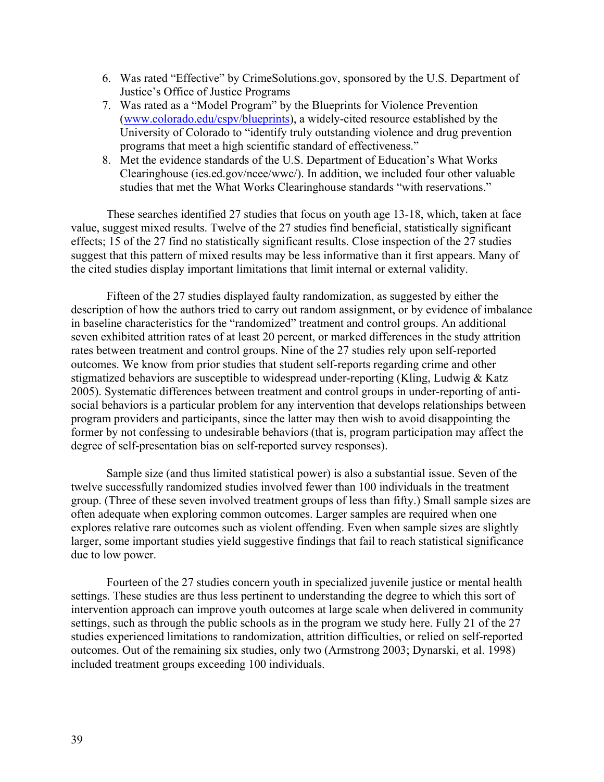- 6. Was rated "Effective" by CrimeSolutions.gov, sponsored by the U.S. Department of Justice's Office of Justice Programs
- 7. Was rated as a "Model Program" by the Blueprints for Violence Prevention (www.colorado.edu/cspv/blueprints), a widely-cited resource established by the University of Colorado to "identify truly outstanding violence and drug prevention programs that meet a high scientific standard of effectiveness."
- 8. Met the evidence standards of the U.S. Department of Education's What Works Clearinghouse (ies.ed.gov/ncee/wwc/). In addition, we included four other valuable studies that met the What Works Clearinghouse standards "with reservations."

These searches identified 27 studies that focus on youth age 13-18, which, taken at face value, suggest mixed results. Twelve of the 27 studies find beneficial, statistically significant effects; 15 of the 27 find no statistically significant results. Close inspection of the 27 studies suggest that this pattern of mixed results may be less informative than it first appears. Many of the cited studies display important limitations that limit internal or external validity.

Fifteen of the 27 studies displayed faulty randomization, as suggested by either the description of how the authors tried to carry out random assignment, or by evidence of imbalance in baseline characteristics for the "randomized" treatment and control groups. An additional seven exhibited attrition rates of at least 20 percent, or marked differences in the study attrition rates between treatment and control groups. Nine of the 27 studies rely upon self-reported outcomes. We know from prior studies that student self-reports regarding crime and other stigmatized behaviors are susceptible to widespread under-reporting (Kling, Ludwig & Katz 2005). Systematic differences between treatment and control groups in under-reporting of antisocial behaviors is a particular problem for any intervention that develops relationships between program providers and participants, since the latter may then wish to avoid disappointing the former by not confessing to undesirable behaviors (that is, program participation may affect the degree of self-presentation bias on self-reported survey responses).

Sample size (and thus limited statistical power) is also a substantial issue. Seven of the twelve successfully randomized studies involved fewer than 100 individuals in the treatment group. (Three of these seven involved treatment groups of less than fifty.) Small sample sizes are often adequate when exploring common outcomes. Larger samples are required when one explores relative rare outcomes such as violent offending. Even when sample sizes are slightly larger, some important studies yield suggestive findings that fail to reach statistical significance due to low power.

Fourteen of the 27 studies concern youth in specialized juvenile justice or mental health settings. These studies are thus less pertinent to understanding the degree to which this sort of intervention approach can improve youth outcomes at large scale when delivered in community settings, such as through the public schools as in the program we study here. Fully 21 of the 27 studies experienced limitations to randomization, attrition difficulties, or relied on self-reported outcomes. Out of the remaining six studies, only two (Armstrong 2003; Dynarski, et al. 1998) included treatment groups exceeding 100 individuals.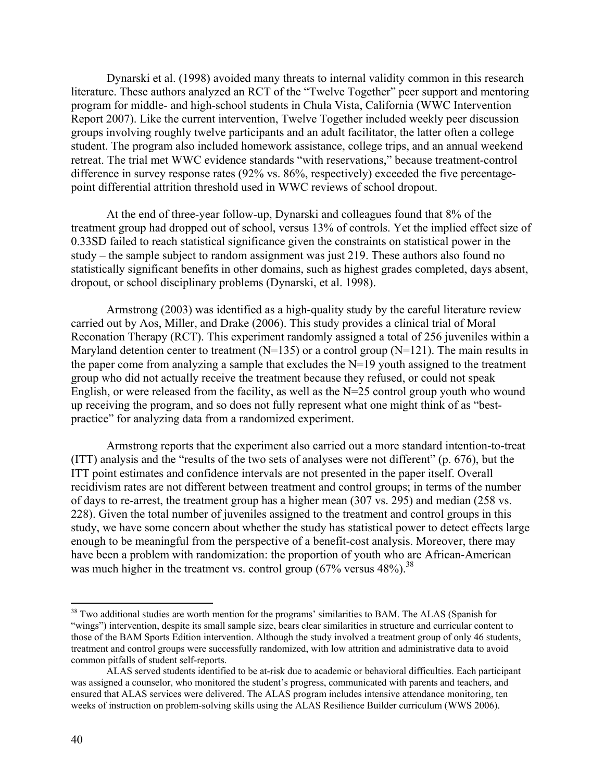Dynarski et al. (1998) avoided many threats to internal validity common in this research literature. These authors analyzed an RCT of the "Twelve Together" peer support and mentoring program for middle- and high-school students in Chula Vista, California (WWC Intervention Report 2007). Like the current intervention, Twelve Together included weekly peer discussion groups involving roughly twelve participants and an adult facilitator, the latter often a college student. The program also included homework assistance, college trips, and an annual weekend retreat. The trial met WWC evidence standards "with reservations," because treatment-control difference in survey response rates (92% vs. 86%, respectively) exceeded the five percentagepoint differential attrition threshold used in WWC reviews of school dropout.

At the end of three-year follow-up, Dynarski and colleagues found that 8% of the treatment group had dropped out of school, versus 13% of controls. Yet the implied effect size of 0.33SD failed to reach statistical significance given the constraints on statistical power in the study – the sample subject to random assignment was just 219. These authors also found no statistically significant benefits in other domains, such as highest grades completed, days absent, dropout, or school disciplinary problems (Dynarski, et al. 1998).

Armstrong (2003) was identified as a high-quality study by the careful literature review carried out by Aos, Miller, and Drake (2006). This study provides a clinical trial of Moral Reconation Therapy (RCT). This experiment randomly assigned a total of 256 juveniles within a Maryland detention center to treatment ( $N=135$ ) or a control group ( $N=121$ ). The main results in the paper come from analyzing a sample that excludes the N=19 youth assigned to the treatment group who did not actually receive the treatment because they refused, or could not speak English, or were released from the facility, as well as the N=25 control group youth who wound up receiving the program, and so does not fully represent what one might think of as "bestpractice" for analyzing data from a randomized experiment.

Armstrong reports that the experiment also carried out a more standard intention-to-treat (ITT) analysis and the "results of the two sets of analyses were not different" (p. 676), but the ITT point estimates and confidence intervals are not presented in the paper itself. Overall recidivism rates are not different between treatment and control groups; in terms of the number of days to re-arrest, the treatment group has a higher mean (307 vs. 295) and median (258 vs. 228). Given the total number of juveniles assigned to the treatment and control groups in this study, we have some concern about whether the study has statistical power to detect effects large enough to be meaningful from the perspective of a benefit-cost analysis. Moreover, there may have been a problem with randomization: the proportion of youth who are African-American was much higher in the treatment vs. control group  $(67\% \text{ versus } 48\%)$ .<sup>38</sup>

 $\overline{a}$ 

<sup>&</sup>lt;sup>38</sup> Two additional studies are worth mention for the programs' similarities to BAM. The ALAS (Spanish for "wings") intervention, despite its small sample size, bears clear similarities in structure and curricular content to those of the BAM Sports Edition intervention. Although the study involved a treatment group of only 46 students, treatment and control groups were successfully randomized, with low attrition and administrative data to avoid common pitfalls of student self-reports.

ALAS served students identified to be at-risk due to academic or behavioral difficulties. Each participant was assigned a counselor, who monitored the student's progress, communicated with parents and teachers, and ensured that ALAS services were delivered. The ALAS program includes intensive attendance monitoring, ten weeks of instruction on problem-solving skills using the ALAS Resilience Builder curriculum (WWS 2006).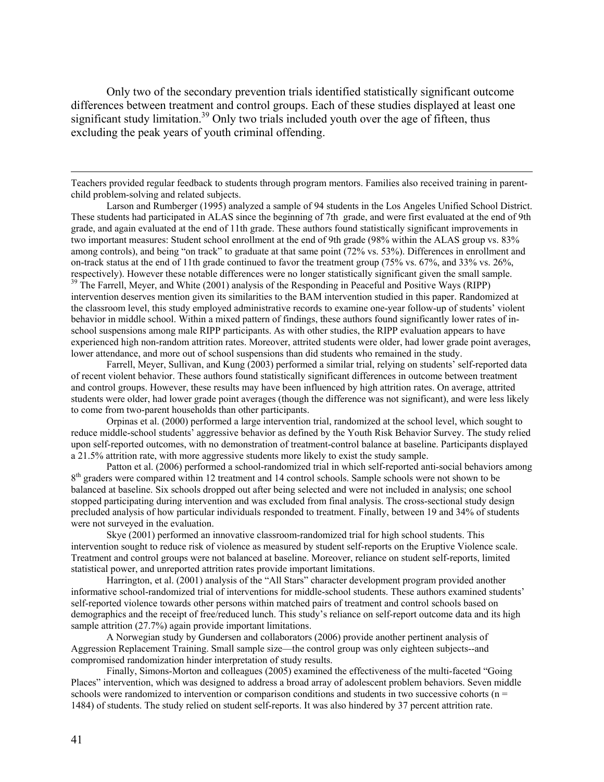Only two of the secondary prevention trials identified statistically significant outcome differences between treatment and control groups. Each of these studies displayed at least one significant study limitation.<sup>39</sup> Only two trials included youth over the age of fifteen, thus excluding the peak years of youth criminal offending.

 Larson and Rumberger (1995) analyzed a sample of 94 students in the Los Angeles Unified School District. These students had participated in ALAS since the beginning of 7th grade, and were first evaluated at the end of 9th grade, and again evaluated at the end of 11th grade. These authors found statistically significant improvements in two important measures: Student school enrollment at the end of 9th grade (98% within the ALAS group vs. 83% among controls), and being "on track" to graduate at that same point (72% vs. 53%). Differences in enrollment and on-track status at the end of 11th grade continued to favor the treatment group (75% vs. 67%, and 33% vs. 26%, respectively). However these notable differences were no longer statistically significant given the small sample. 39 The Farrell, Meyer, and White (2001) analysis of the Responding in Peaceful and Positive Ways (RIPP) intervention deserves mention given its similarities to the BAM intervention studied in this paper. Randomized at the classroom level, this study employed administrative records to examine one-year follow-up of students' violent behavior in middle school. Within a mixed pattern of findings, these authors found significantly lower rates of inschool suspensions among male RIPP participants. As with other studies, the RIPP evaluation appears to have experienced high non-random attrition rates. Moreover, attrited students were older, had lower grade point averages, lower attendance, and more out of school suspensions than did students who remained in the study.

 Farrell, Meyer, Sullivan, and Kung (2003) performed a similar trial, relying on students' self-reported data of recent violent behavior. These authors found statistically significant differences in outcome between treatment and control groups. However, these results may have been influenced by high attrition rates. On average, attrited students were older, had lower grade point averages (though the difference was not significant), and were less likely to come from two-parent households than other participants.

 Orpinas et al. (2000) performed a large intervention trial, randomized at the school level, which sought to reduce middle-school students' aggressive behavior as defined by the Youth Risk Behavior Survey. The study relied upon self-reported outcomes, with no demonstration of treatment-control balance at baseline. Participants displayed a 21.5% attrition rate, with more aggressive students more likely to exist the study sample.

 Patton et al. (2006) performed a school-randomized trial in which self-reported anti-social behaviors among 8<sup>th</sup> graders were compared within 12 treatment and 14 control schools. Sample schools were not shown to be balanced at baseline. Six schools dropped out after being selected and were not included in analysis; one school stopped participating during intervention and was excluded from final analysis. The cross-sectional study design precluded analysis of how particular individuals responded to treatment. Finally, between 19 and 34% of students were not surveyed in the evaluation.

 Skye (2001) performed an innovative classroom-randomized trial for high school students. This intervention sought to reduce risk of violence as measured by student self-reports on the Eruptive Violence scale. Treatment and control groups were not balanced at baseline. Moreover, reliance on student self-reports, limited statistical power, and unreported attrition rates provide important limitations.

 Harrington, et al. (2001) analysis of the "All Stars" character development program provided another informative school-randomized trial of interventions for middle-school students. These authors examined students' self-reported violence towards other persons within matched pairs of treatment and control schools based on demographics and the receipt of free/reduced lunch. This study's reliance on self-report outcome data and its high sample attrition (27.7%) again provide important limitations.

 A Norwegian study by Gundersen and collaborators (2006) provide another pertinent analysis of Aggression Replacement Training. Small sample size—the control group was only eighteen subjects--and compromised randomization hinder interpretation of study results.

 Finally, Simons-Morton and colleagues (2005) examined the effectiveness of the multi-faceted "Going Places" intervention, which was designed to address a broad array of adolescent problem behaviors. Seven middle schools were randomized to intervention or comparison conditions and students in two successive cohorts ( $n =$ 1484) of students. The study relied on student self-reports. It was also hindered by 37 percent attrition rate.

Teachers provided regular feedback to students through program mentors. Families also received training in parentchild problem-solving and related subjects.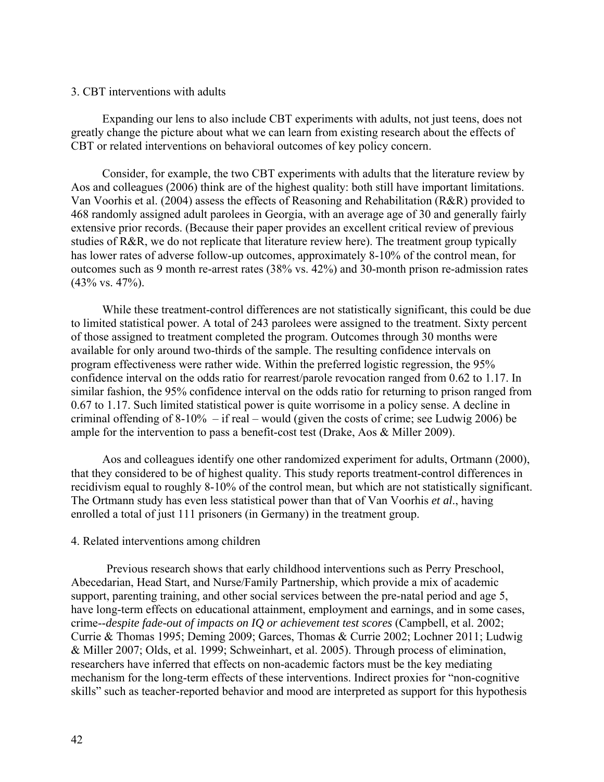#### 3. CBT interventions with adults

Expanding our lens to also include CBT experiments with adults, not just teens, does not greatly change the picture about what we can learn from existing research about the effects of CBT or related interventions on behavioral outcomes of key policy concern.

Consider, for example, the two CBT experiments with adults that the literature review by Aos and colleagues (2006) think are of the highest quality: both still have important limitations. Van Voorhis et al. (2004) assess the effects of Reasoning and Rehabilitation (R&R) provided to 468 randomly assigned adult parolees in Georgia, with an average age of 30 and generally fairly extensive prior records. (Because their paper provides an excellent critical review of previous studies of R&R, we do not replicate that literature review here). The treatment group typically has lower rates of adverse follow-up outcomes, approximately 8-10% of the control mean, for outcomes such as 9 month re-arrest rates (38% vs. 42%) and 30-month prison re-admission rates (43% vs. 47%).

While these treatment-control differences are not statistically significant, this could be due to limited statistical power. A total of 243 parolees were assigned to the treatment. Sixty percent of those assigned to treatment completed the program. Outcomes through 30 months were available for only around two-thirds of the sample. The resulting confidence intervals on program effectiveness were rather wide. Within the preferred logistic regression, the 95% confidence interval on the odds ratio for rearrest/parole revocation ranged from 0.62 to 1.17. In similar fashion, the 95% confidence interval on the odds ratio for returning to prison ranged from 0.67 to 1.17. Such limited statistical power is quite worrisome in a policy sense. A decline in criminal offending of 8-10% – if real – would (given the costs of crime; see Ludwig 2006) be ample for the intervention to pass a benefit-cost test (Drake, Aos & Miller 2009).

Aos and colleagues identify one other randomized experiment for adults, Ortmann (2000), that they considered to be of highest quality. This study reports treatment-control differences in recidivism equal to roughly 8-10% of the control mean, but which are not statistically significant. The Ortmann study has even less statistical power than that of Van Voorhis *et al*., having enrolled a total of just 111 prisoners (in Germany) in the treatment group.

#### 4. Related interventions among children

Previous research shows that early childhood interventions such as Perry Preschool, Abecedarian, Head Start, and Nurse/Family Partnership, which provide a mix of academic support, parenting training, and other social services between the pre-natal period and age 5, have long-term effects on educational attainment, employment and earnings, and in some cases, crime--*despite fade-out of impacts on IQ or achievement test scores* (Campbell, et al. 2002; Currie & Thomas 1995; Deming 2009; Garces, Thomas & Currie 2002; Lochner 2011; Ludwig & Miller 2007; Olds, et al. 1999; Schweinhart, et al. 2005). Through process of elimination, researchers have inferred that effects on non-academic factors must be the key mediating mechanism for the long-term effects of these interventions. Indirect proxies for "non-cognitive skills" such as teacher-reported behavior and mood are interpreted as support for this hypothesis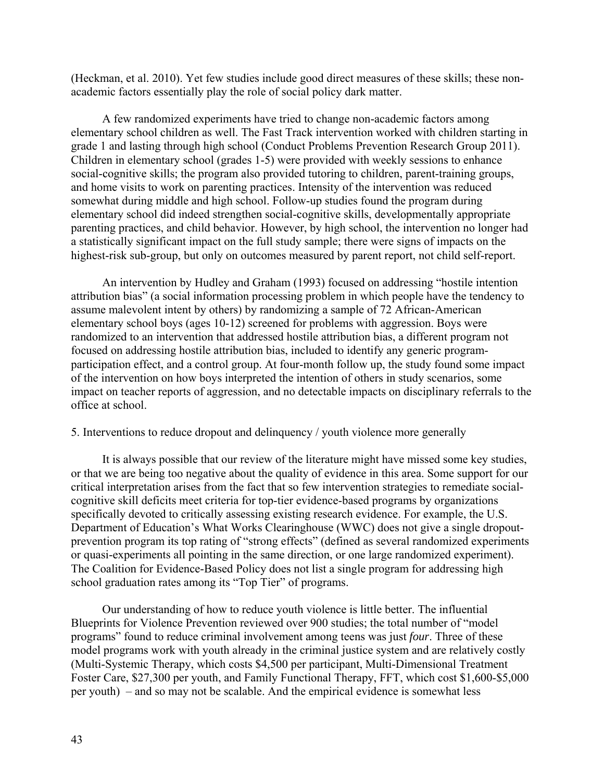(Heckman, et al. 2010). Yet few studies include good direct measures of these skills; these nonacademic factors essentially play the role of social policy dark matter.

A few randomized experiments have tried to change non-academic factors among elementary school children as well. The Fast Track intervention worked with children starting in grade 1 and lasting through high school (Conduct Problems Prevention Research Group 2011). Children in elementary school (grades 1-5) were provided with weekly sessions to enhance social-cognitive skills; the program also provided tutoring to children, parent-training groups, and home visits to work on parenting practices. Intensity of the intervention was reduced somewhat during middle and high school. Follow-up studies found the program during elementary school did indeed strengthen social-cognitive skills, developmentally appropriate parenting practices, and child behavior. However, by high school, the intervention no longer had a statistically significant impact on the full study sample; there were signs of impacts on the highest-risk sub-group, but only on outcomes measured by parent report, not child self-report.

An intervention by Hudley and Graham (1993) focused on addressing "hostile intention attribution bias" (a social information processing problem in which people have the tendency to assume malevolent intent by others) by randomizing a sample of 72 African-American elementary school boys (ages 10-12) screened for problems with aggression. Boys were randomized to an intervention that addressed hostile attribution bias, a different program not focused on addressing hostile attribution bias, included to identify any generic programparticipation effect, and a control group. At four-month follow up, the study found some impact of the intervention on how boys interpreted the intention of others in study scenarios, some impact on teacher reports of aggression, and no detectable impacts on disciplinary referrals to the office at school.

#### 5. Interventions to reduce dropout and delinquency / youth violence more generally

It is always possible that our review of the literature might have missed some key studies, or that we are being too negative about the quality of evidence in this area. Some support for our critical interpretation arises from the fact that so few intervention strategies to remediate socialcognitive skill deficits meet criteria for top-tier evidence-based programs by organizations specifically devoted to critically assessing existing research evidence. For example, the U.S. Department of Education's What Works Clearinghouse (WWC) does not give a single dropoutprevention program its top rating of "strong effects" (defined as several randomized experiments or quasi-experiments all pointing in the same direction, or one large randomized experiment). The Coalition for Evidence-Based Policy does not list a single program for addressing high school graduation rates among its "Top Tier" of programs.

Our understanding of how to reduce youth violence is little better. The influential Blueprints for Violence Prevention reviewed over 900 studies; the total number of "model programs" found to reduce criminal involvement among teens was just *four*. Three of these model programs work with youth already in the criminal justice system and are relatively costly (Multi-Systemic Therapy, which costs \$4,500 per participant, Multi-Dimensional Treatment Foster Care, \$27,300 per youth, and Family Functional Therapy, FFT, which cost \$1,600-\$5,000 per youth) – and so may not be scalable. And the empirical evidence is somewhat less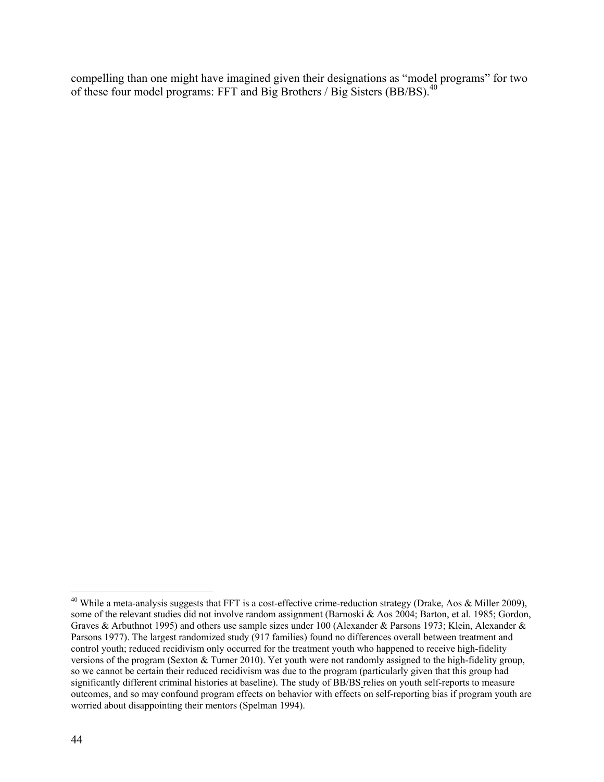compelling than one might have imagined given their designations as "model programs" for two of these four model programs: FFT and Big Brothers / Big Sisters (BB/BS).40

 $\overline{a}$ 

<sup>&</sup>lt;sup>40</sup> While a meta-analysis suggests that FFT is a cost-effective crime-reduction strategy (Drake, Aos  $\&$  Miller 2009), some of the relevant studies did not involve random assignment (Barnoski & Aos 2004; Barton, et al. 1985; Gordon, Graves & Arbuthnot 1995) and others use sample sizes under 100 (Alexander & Parsons 1973; Klein, Alexander & Parsons 1977). The largest randomized study (917 families) found no differences overall between treatment and control youth; reduced recidivism only occurred for the treatment youth who happened to receive high-fidelity versions of the program (Sexton & Turner 2010). Yet youth were not randomly assigned to the high-fidelity group, so we cannot be certain their reduced recidivism was due to the program (particularly given that this group had significantly different criminal histories at baseline). The study of BB/BS relies on youth self-reports to measure outcomes, and so may confound program effects on behavior with effects on self-reporting bias if program youth are worried about disappointing their mentors (Spelman 1994).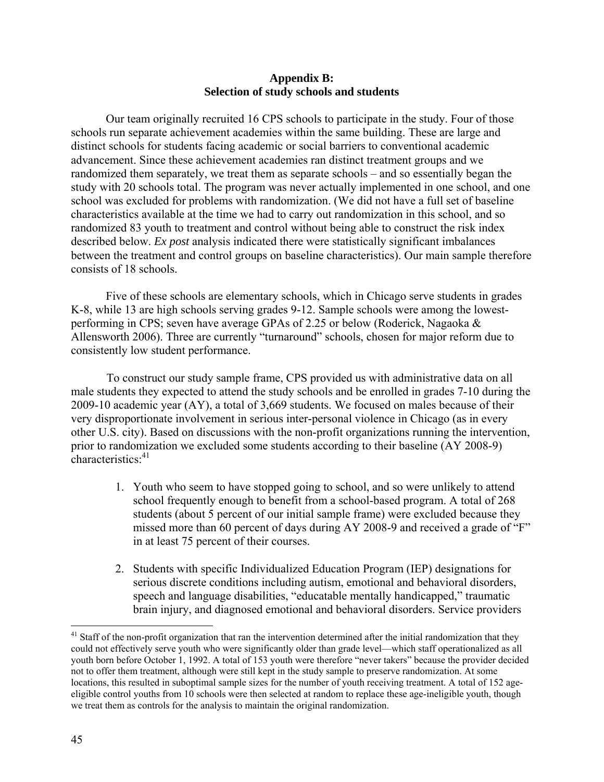### **Appendix B: Selection of study schools and students**

Our team originally recruited 16 CPS schools to participate in the study. Four of those schools run separate achievement academies within the same building. These are large and distinct schools for students facing academic or social barriers to conventional academic advancement. Since these achievement academies ran distinct treatment groups and we randomized them separately, we treat them as separate schools – and so essentially began the study with 20 schools total. The program was never actually implemented in one school, and one school was excluded for problems with randomization. (We did not have a full set of baseline characteristics available at the time we had to carry out randomization in this school, and so randomized 83 youth to treatment and control without being able to construct the risk index described below. *Ex post* analysis indicated there were statistically significant imbalances between the treatment and control groups on baseline characteristics). Our main sample therefore consists of 18 schools.

Five of these schools are elementary schools, which in Chicago serve students in grades K-8, while 13 are high schools serving grades 9-12. Sample schools were among the lowestperforming in CPS; seven have average GPAs of 2.25 or below (Roderick, Nagaoka & Allensworth 2006). Three are currently "turnaround" schools, chosen for major reform due to consistently low student performance.

To construct our study sample frame, CPS provided us with administrative data on all male students they expected to attend the study schools and be enrolled in grades 7-10 during the 2009-10 academic year (AY), a total of 3,669 students. We focused on males because of their very disproportionate involvement in serious inter-personal violence in Chicago (as in every other U.S. city). Based on discussions with the non-profit organizations running the intervention, prior to randomization we excluded some students according to their baseline (AY 2008-9) characteristics<sup>.41</sup>

- 1. Youth who seem to have stopped going to school, and so were unlikely to attend school frequently enough to benefit from a school-based program. A total of 268 students (about 5 percent of our initial sample frame) were excluded because they missed more than 60 percent of days during AY 2008-9 and received a grade of "F" in at least 75 percent of their courses.
- 2. Students with specific Individualized Education Program (IEP) designations for serious discrete conditions including autism, emotional and behavioral disorders, speech and language disabilities, "educatable mentally handicapped," traumatic brain injury, and diagnosed emotional and behavioral disorders. Service providers

 $\overline{a}$ 

 $41$  Staff of the non-profit organization that ran the intervention determined after the initial randomization that they could not effectively serve youth who were significantly older than grade level—which staff operationalized as all youth born before October 1, 1992. A total of 153 youth were therefore "never takers" because the provider decided not to offer them treatment, although were still kept in the study sample to preserve randomization. At some locations, this resulted in suboptimal sample sizes for the number of youth receiving treatment. A total of 152 ageeligible control youths from 10 schools were then selected at random to replace these age-ineligible youth, though we treat them as controls for the analysis to maintain the original randomization.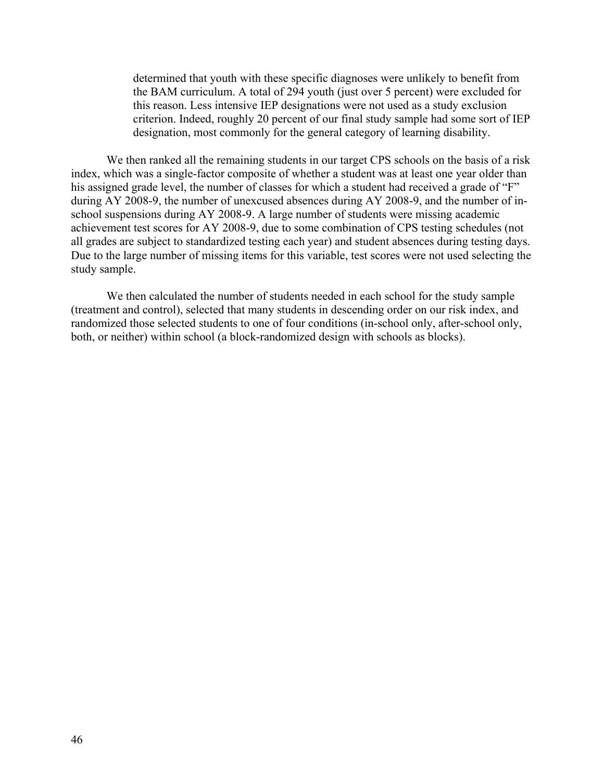determined that youth with these specific diagnoses were unlikely to benefit from the BAM curriculum. A total of 294 youth (just over 5 percent) were excluded for this reason. Less intensive IEP designations were not used as a study exclusion criterion. Indeed, roughly 20 percent of our final study sample had some sort of IEP designation, most commonly for the general category of learning disability.

We then ranked all the remaining students in our target CPS schools on the basis of a risk index, which was a single-factor composite of whether a student was at least one year older than his assigned grade level, the number of classes for which a student had received a grade of "F" during AY 2008-9, the number of unexcused absences during AY 2008-9, and the number of inschool suspensions during AY 2008-9. A large number of students were missing academic achievement test scores for AY 2008-9, due to some combination of CPS testing schedules (not all grades are subject to standardized testing each year) and student absences during testing days. Due to the large number of missing items for this variable, test scores were not used selecting the study sample.

We then calculated the number of students needed in each school for the study sample (treatment and control), selected that many students in descending order on our risk index, and randomized those selected students to one of four conditions (in-school only, after-school only, both, or neither) within school (a block-randomized design with schools as blocks).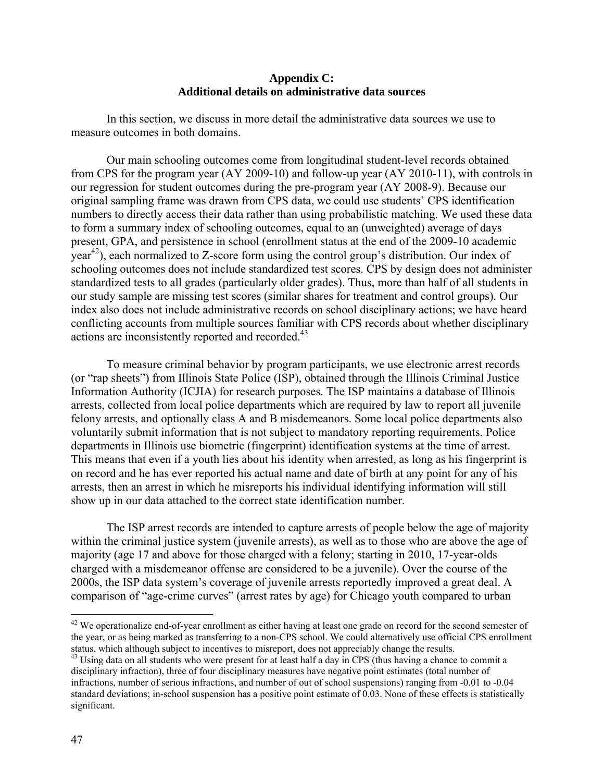### **Appendix C: Additional details on administrative data sources**

In this section, we discuss in more detail the administrative data sources we use to measure outcomes in both domains.

Our main schooling outcomes come from longitudinal student-level records obtained from CPS for the program year (AY 2009-10) and follow-up year (AY 2010-11), with controls in our regression for student outcomes during the pre-program year (AY 2008-9). Because our original sampling frame was drawn from CPS data, we could use students' CPS identification numbers to directly access their data rather than using probabilistic matching. We used these data to form a summary index of schooling outcomes, equal to an (unweighted) average of days present, GPA, and persistence in school (enrollment status at the end of the 2009-10 academic  $year<sup>42</sup>$ , each normalized to Z-score form using the control group's distribution. Our index of schooling outcomes does not include standardized test scores. CPS by design does not administer standardized tests to all grades (particularly older grades). Thus, more than half of all students in our study sample are missing test scores (similar shares for treatment and control groups). Our index also does not include administrative records on school disciplinary actions; we have heard conflicting accounts from multiple sources familiar with CPS records about whether disciplinary actions are inconsistently reported and recorded.<sup>43</sup>

To measure criminal behavior by program participants, we use electronic arrest records (or "rap sheets") from Illinois State Police (ISP), obtained through the Illinois Criminal Justice Information Authority (ICJIA) for research purposes. The ISP maintains a database of Illinois arrests, collected from local police departments which are required by law to report all juvenile felony arrests, and optionally class A and B misdemeanors. Some local police departments also voluntarily submit information that is not subject to mandatory reporting requirements. Police departments in Illinois use biometric (fingerprint) identification systems at the time of arrest. This means that even if a youth lies about his identity when arrested, as long as his fingerprint is on record and he has ever reported his actual name and date of birth at any point for any of his arrests, then an arrest in which he misreports his individual identifying information will still show up in our data attached to the correct state identification number.

The ISP arrest records are intended to capture arrests of people below the age of majority within the criminal justice system (juvenile arrests), as well as to those who are above the age of majority (age 17 and above for those charged with a felony; starting in 2010, 17-year-olds charged with a misdemeanor offense are considered to be a juvenile). Over the course of the 2000s, the ISP data system's coverage of juvenile arrests reportedly improved a great deal. A comparison of "age-crime curves" (arrest rates by age) for Chicago youth compared to urban

1

 $42$  We operationalize end-of-year enrollment as either having at least one grade on record for the second semester of the year, or as being marked as transferring to a non-CPS school. We could alternatively use official CPS enrollment status, which although subject to incentives to misreport, does not appreciably change the results.<br><sup>43</sup> Using data on all students who were present for at least half a day in CPS (thus having a chance to commit a

disciplinary infraction), three of four disciplinary measures have negative point estimates (total number of infractions, number of serious infractions, and number of out of school suspensions) ranging from -0.01 to -0.04 standard deviations; in-school suspension has a positive point estimate of 0.03. None of these effects is statistically significant.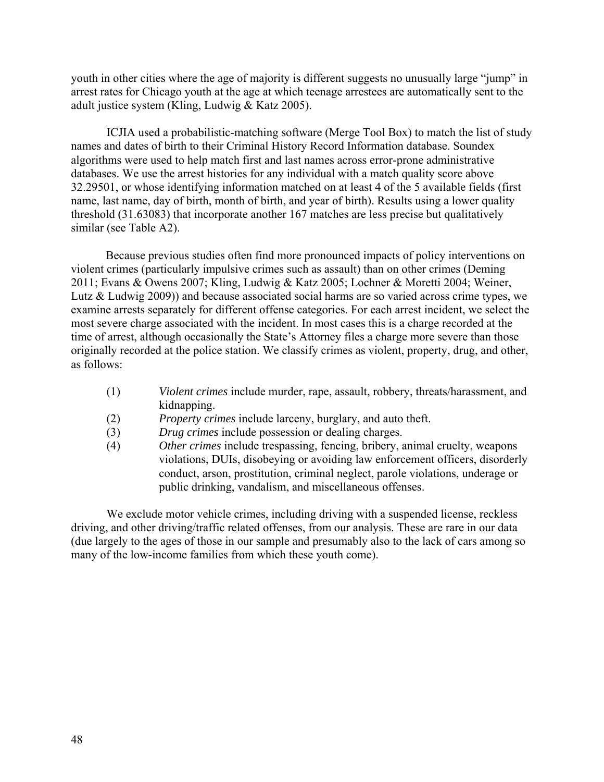youth in other cities where the age of majority is different suggests no unusually large "jump" in arrest rates for Chicago youth at the age at which teenage arrestees are automatically sent to the adult justice system (Kling, Ludwig & Katz 2005).

ICJIA used a probabilistic-matching software (Merge Tool Box) to match the list of study names and dates of birth to their Criminal History Record Information database. Soundex algorithms were used to help match first and last names across error-prone administrative databases. We use the arrest histories for any individual with a match quality score above 32.29501, or whose identifying information matched on at least 4 of the 5 available fields (first name, last name, day of birth, month of birth, and year of birth). Results using a lower quality threshold (31.63083) that incorporate another 167 matches are less precise but qualitatively similar (see Table A2).

Because previous studies often find more pronounced impacts of policy interventions on violent crimes (particularly impulsive crimes such as assault) than on other crimes (Deming 2011; Evans & Owens 2007; Kling, Ludwig & Katz 2005; Lochner & Moretti 2004; Weiner, Lutz & Ludwig 2009)) and because associated social harms are so varied across crime types, we examine arrests separately for different offense categories. For each arrest incident, we select the most severe charge associated with the incident. In most cases this is a charge recorded at the time of arrest, although occasionally the State's Attorney files a charge more severe than those originally recorded at the police station. We classify crimes as violent, property, drug, and other, as follows:

- (1) *Violent crimes* include murder, rape, assault, robbery, threats/harassment, and kidnapping.
- (2) *Property crimes* include larceny, burglary, and auto theft.
- (3) *Drug crimes* include possession or dealing charges.
- (4) *Other crimes* include trespassing, fencing, bribery, animal cruelty, weapons violations, DUIs, disobeying or avoiding law enforcement officers, disorderly conduct, arson, prostitution, criminal neglect, parole violations, underage or public drinking, vandalism, and miscellaneous offenses.

We exclude motor vehicle crimes, including driving with a suspended license, reckless driving, and other driving/traffic related offenses, from our analysis. These are rare in our data (due largely to the ages of those in our sample and presumably also to the lack of cars among so many of the low-income families from which these youth come).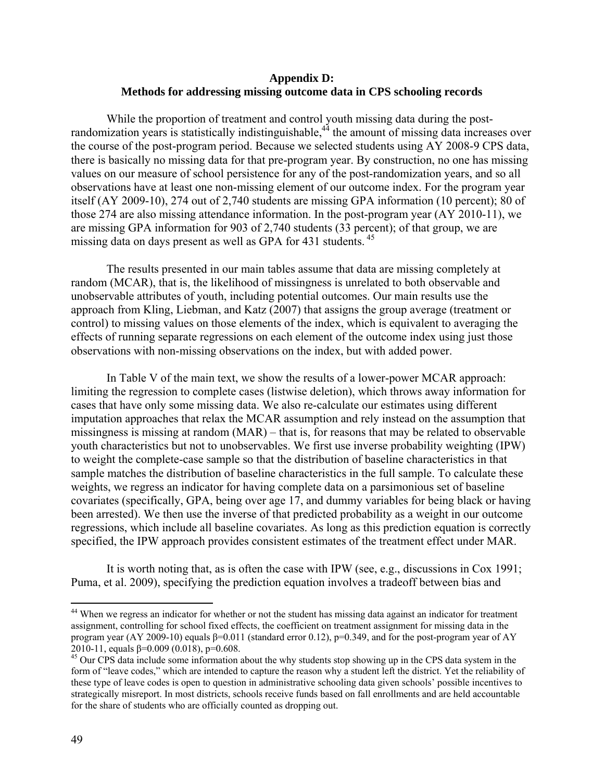### **Appendix D: Methods for addressing missing outcome data in CPS schooling records**

While the proportion of treatment and control youth missing data during the postrandomization years is statistically indistinguishable, $44$  the amount of missing data increases over the course of the post-program period. Because we selected students using AY 2008-9 CPS data, there is basically no missing data for that pre-program year. By construction, no one has missing values on our measure of school persistence for any of the post-randomization years, and so all observations have at least one non-missing element of our outcome index. For the program year itself (AY 2009-10), 274 out of 2,740 students are missing GPA information (10 percent); 80 of those 274 are also missing attendance information. In the post-program year (AY 2010-11), we are missing GPA information for 903 of 2,740 students (33 percent); of that group, we are missing data on days present as well as GPA for 431 students.<sup>45</sup>

 The results presented in our main tables assume that data are missing completely at random (MCAR), that is, the likelihood of missingness is unrelated to both observable and unobservable attributes of youth, including potential outcomes. Our main results use the approach from Kling, Liebman, and Katz (2007) that assigns the group average (treatment or control) to missing values on those elements of the index, which is equivalent to averaging the effects of running separate regressions on each element of the outcome index using just those observations with non-missing observations on the index, but with added power.

 In Table V of the main text, we show the results of a lower-power MCAR approach: limiting the regression to complete cases (listwise deletion), which throws away information for cases that have only some missing data. We also re-calculate our estimates using different imputation approaches that relax the MCAR assumption and rely instead on the assumption that missingness is missing at random (MAR) – that is, for reasons that may be related to observable youth characteristics but not to unobservables. We first use inverse probability weighting (IPW) to weight the complete-case sample so that the distribution of baseline characteristics in that sample matches the distribution of baseline characteristics in the full sample. To calculate these weights, we regress an indicator for having complete data on a parsimonious set of baseline covariates (specifically, GPA, being over age 17, and dummy variables for being black or having been arrested). We then use the inverse of that predicted probability as a weight in our outcome regressions, which include all baseline covariates. As long as this prediction equation is correctly specified, the IPW approach provides consistent estimates of the treatment effect under MAR.

It is worth noting that, as is often the case with IPW (see, e.g., discussions in Cox 1991; Puma, et al. 2009), specifying the prediction equation involves a tradeoff between bias and

 $\overline{a}$ 

<sup>&</sup>lt;sup>44</sup> When we regress an indicator for whether or not the student has missing data against an indicator for treatment assignment, controlling for school fixed effects, the coefficient on treatment assignment for missing data in the program year (AY 2009-10) equals  $\beta$ =0.011 (standard error 0.12), p=0.349, and for the post-program year of AY 2010-11, equals  $\beta$ =0.009 (0.018), p=0.608.

<sup>&</sup>lt;sup>45</sup> Our CPS data include some information about the why students stop showing up in the CPS data system in the form of "leave codes," which are intended to capture the reason why a student left the district. Yet the reliability of these type of leave codes is open to question in administrative schooling data given schools' possible incentives to strategically misreport. In most districts, schools receive funds based on fall enrollments and are held accountable for the share of students who are officially counted as dropping out.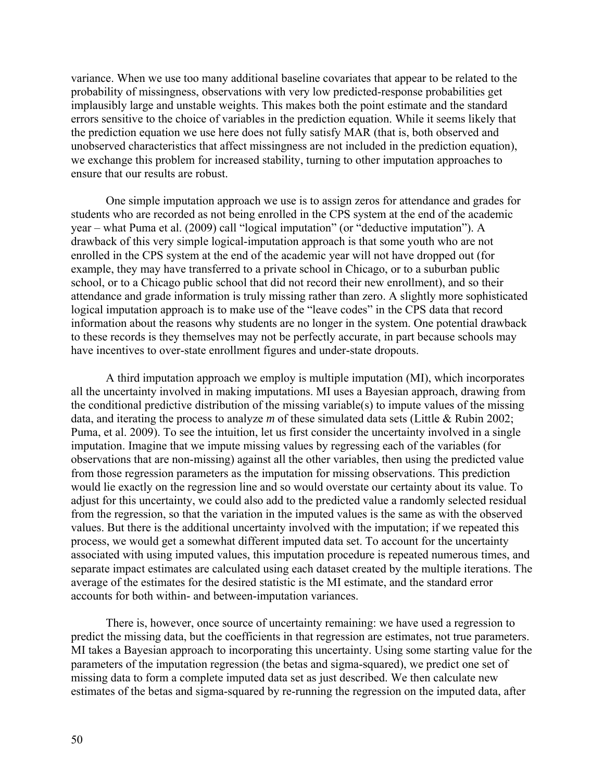variance. When we use too many additional baseline covariates that appear to be related to the probability of missingness, observations with very low predicted-response probabilities get implausibly large and unstable weights. This makes both the point estimate and the standard errors sensitive to the choice of variables in the prediction equation. While it seems likely that the prediction equation we use here does not fully satisfy MAR (that is, both observed and unobserved characteristics that affect missingness are not included in the prediction equation), we exchange this problem for increased stability, turning to other imputation approaches to ensure that our results are robust.

One simple imputation approach we use is to assign zeros for attendance and grades for students who are recorded as not being enrolled in the CPS system at the end of the academic year – what Puma et al. (2009) call "logical imputation" (or "deductive imputation"). A drawback of this very simple logical-imputation approach is that some youth who are not enrolled in the CPS system at the end of the academic year will not have dropped out (for example, they may have transferred to a private school in Chicago, or to a suburban public school, or to a Chicago public school that did not record their new enrollment), and so their attendance and grade information is truly missing rather than zero. A slightly more sophisticated logical imputation approach is to make use of the "leave codes" in the CPS data that record information about the reasons why students are no longer in the system. One potential drawback to these records is they themselves may not be perfectly accurate, in part because schools may have incentives to over-state enrollment figures and under-state dropouts.

A third imputation approach we employ is multiple imputation (MI), which incorporates all the uncertainty involved in making imputations. MI uses a Bayesian approach, drawing from the conditional predictive distribution of the missing variable(s) to impute values of the missing data, and iterating the process to analyze *m* of these simulated data sets (Little & Rubin 2002; Puma, et al. 2009). To see the intuition, let us first consider the uncertainty involved in a single imputation. Imagine that we impute missing values by regressing each of the variables (for observations that are non-missing) against all the other variables, then using the predicted value from those regression parameters as the imputation for missing observations. This prediction would lie exactly on the regression line and so would overstate our certainty about its value. To adjust for this uncertainty, we could also add to the predicted value a randomly selected residual from the regression, so that the variation in the imputed values is the same as with the observed values. But there is the additional uncertainty involved with the imputation; if we repeated this process, we would get a somewhat different imputed data set. To account for the uncertainty associated with using imputed values, this imputation procedure is repeated numerous times, and separate impact estimates are calculated using each dataset created by the multiple iterations. The average of the estimates for the desired statistic is the MI estimate, and the standard error accounts for both within- and between-imputation variances.

There is, however, once source of uncertainty remaining: we have used a regression to predict the missing data, but the coefficients in that regression are estimates, not true parameters. MI takes a Bayesian approach to incorporating this uncertainty. Using some starting value for the parameters of the imputation regression (the betas and sigma-squared), we predict one set of missing data to form a complete imputed data set as just described. We then calculate new estimates of the betas and sigma-squared by re-running the regression on the imputed data, after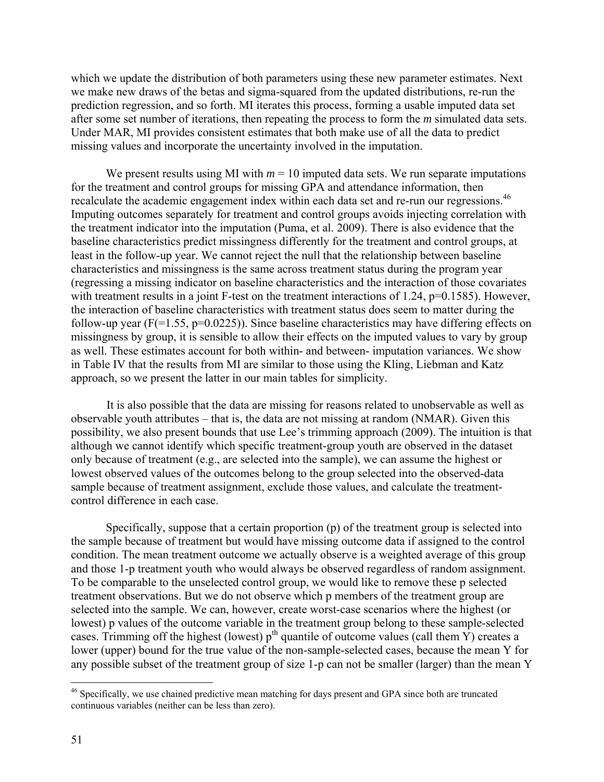which we update the distribution of both parameters using these new parameter estimates. Next we make new draws of the betas and sigma-squared from the updated distributions, re-run the prediction regression, and so forth. MI iterates this process, forming a usable imputed data set after some set number of iterations, then repeating the process to form the *m* simulated data sets. Under MAR, MI provides consistent estimates that both make use of all the data to predict missing values and incorporate the uncertainty involved in the imputation.

We present results using MI with  $m = 10$  imputed data sets. We run separate imputations for the treatment and control groups for missing GPA and attendance information, then recalculate the academic engagement index within each data set and re-run our regressions.<sup>46</sup> Imputing outcomes separately for treatment and control groups avoids injecting correlation with the treatment indicator into the imputation (Puma, et al. 2009). There is also evidence that the baseline characteristics predict missingness differently for the treatment and control groups, at least in the follow-up year. We cannot reject the null that the relationship between baseline characteristics and missingness is the same across treatment status during the program year (regressing a missing indicator on baseline characteristics and the interaction of those covariates with treatment results in a joint F-test on the treatment interactions of 1.24, p=0.1585). However, the interaction of baseline characteristics with treatment status does seem to matter during the follow-up year ( $F(=1.55, p=0.0225)$ ). Since baseline characteristics may have differing effects on missingness by group, it is sensible to allow their effects on the imputed values to vary by group as well. These estimates account for both within- and between- imputation variances. We show in Table IV that the results from MI are similar to those using the Kling, Liebman and Katz approach, so we present the latter in our main tables for simplicity.

It is also possible that the data are missing for reasons related to unobservable as well as observable youth attributes – that is, the data are not missing at random (NMAR). Given this possibility, we also present bounds that use Lee's trimming approach (2009). The intuition is that although we cannot identify which specific treatment-group youth are observed in the dataset only because of treatment (e.g., are selected into the sample), we can assume the highest or lowest observed values of the outcomes belong to the group selected into the observed-data sample because of treatment assignment, exclude those values, and calculate the treatmentcontrol difference in each case.

Specifically, suppose that a certain proportion (p) of the treatment group is selected into the sample because of treatment but would have missing outcome data if assigned to the control condition. The mean treatment outcome we actually observe is a weighted average of this group and those 1-p treatment youth who would always be observed regardless of random assignment. To be comparable to the unselected control group, we would like to remove these p selected treatment observations. But we do not observe which p members of the treatment group are selected into the sample. We can, however, create worst-case scenarios where the highest (or lowest) p values of the outcome variable in the treatment group belong to these sample-selected cases. Trimming off the highest (lowest)  $p<sup>th</sup>$  quantile of outcome values (call them Y) creates a lower (upper) bound for the true value of the non-sample-selected cases, because the mean Y for any possible subset of the treatment group of size 1-p can not be smaller (larger) than the mean Y

 $\overline{a}$ 

<sup>&</sup>lt;sup>46</sup> Specifically, we use chained predictive mean matching for days present and GPA since both are truncated continuous variables (neither can be less than zero).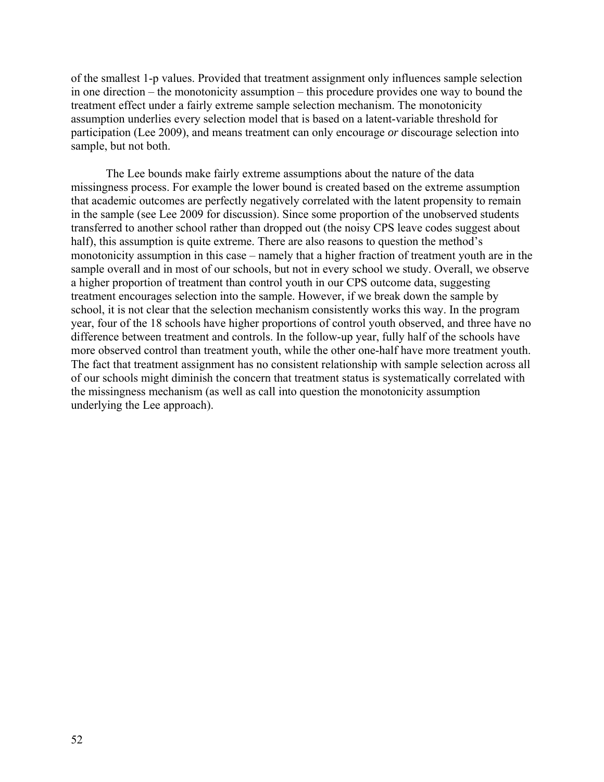of the smallest 1-p values. Provided that treatment assignment only influences sample selection in one direction – the monotonicity assumption – this procedure provides one way to bound the treatment effect under a fairly extreme sample selection mechanism. The monotonicity assumption underlies every selection model that is based on a latent-variable threshold for participation (Lee 2009), and means treatment can only encourage *or* discourage selection into sample, but not both.

The Lee bounds make fairly extreme assumptions about the nature of the data missingness process. For example the lower bound is created based on the extreme assumption that academic outcomes are perfectly negatively correlated with the latent propensity to remain in the sample (see Lee 2009 for discussion). Since some proportion of the unobserved students transferred to another school rather than dropped out (the noisy CPS leave codes suggest about half), this assumption is quite extreme. There are also reasons to question the method's monotonicity assumption in this case – namely that a higher fraction of treatment youth are in the sample overall and in most of our schools, but not in every school we study. Overall, we observe a higher proportion of treatment than control youth in our CPS outcome data, suggesting treatment encourages selection into the sample. However, if we break down the sample by school, it is not clear that the selection mechanism consistently works this way. In the program year, four of the 18 schools have higher proportions of control youth observed, and three have no difference between treatment and controls. In the follow-up year, fully half of the schools have more observed control than treatment youth, while the other one-half have more treatment youth. The fact that treatment assignment has no consistent relationship with sample selection across all of our schools might diminish the concern that treatment status is systematically correlated with the missingness mechanism (as well as call into question the monotonicity assumption underlying the Lee approach).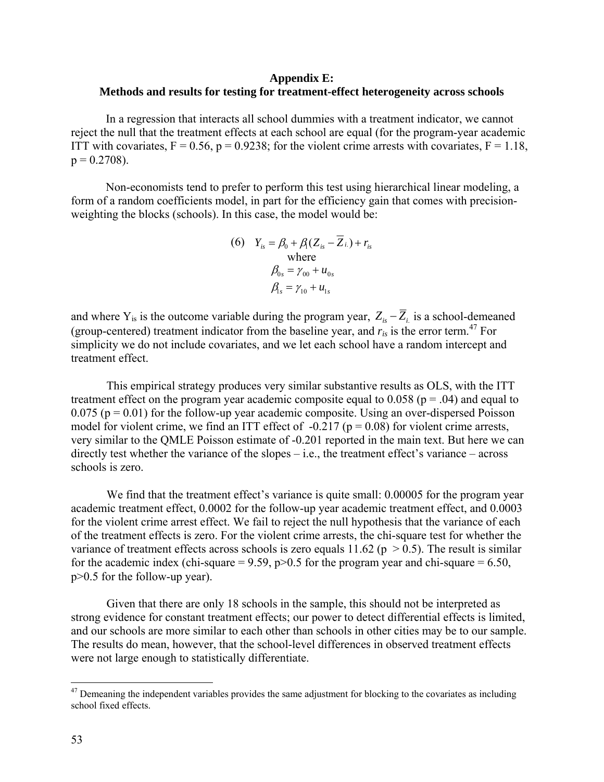### **Appendix E: Methods and results for testing for treatment-effect heterogeneity across schools**

In a regression that interacts all school dummies with a treatment indicator, we cannot reject the null that the treatment effects at each school are equal (for the program-year academic ITT with covariates,  $F = 0.56$ ,  $p = 0.9238$ ; for the violent crime arrests with covariates,  $F = 1.18$ ,  $p = 0.2708$ ).

Non-economists tend to prefer to perform this test using hierarchical linear modeling, a form of a random coefficients model, in part for the efficiency gain that comes with precisionweighting the blocks (schools). In this case, the model would be:

(6) 
$$
Y_{is} = \beta_0 + \beta_1 (Z_{is} - Z_{i.}) + r_{is}
$$
  
where  

$$
\beta_{0s} = \gamma_{00} + u_{0s}
$$

$$
\beta_{is} = \gamma_{10} + u_{1s}
$$

and where  $Y_{is}$  is the outcome variable during the program year,  $Z_{is} - \overline{Z}_{i}$  is a school-demeaned (group-centered) treatment indicator from the baseline year, and  $r_{is}$  is the error term.<sup>47</sup> For simplicity we do not include covariates, and we let each school have a random intercept and treatment effect.

This empirical strategy produces very similar substantive results as OLS, with the ITT treatment effect on the program year academic composite equal to  $0.058$  ( $p = .04$ ) and equal to  $0.075$  ( $p = 0.01$ ) for the follow-up year academic composite. Using an over-dispersed Poisson model for violent crime, we find an ITT effect of  $-0.217$  ( $p = 0.08$ ) for violent crime arrests, very similar to the QMLE Poisson estimate of -0.201 reported in the main text. But here we can directly test whether the variance of the slopes  $-$  i.e., the treatment effect's variance  $-$  across schools is zero.

We find that the treatment effect's variance is quite small: 0.00005 for the program year academic treatment effect, 0.0002 for the follow-up year academic treatment effect, and 0.0003 for the violent crime arrest effect. We fail to reject the null hypothesis that the variance of each of the treatment effects is zero. For the violent crime arrests, the chi-square test for whether the variance of treatment effects across schools is zero equals 11.62 ( $p > 0.5$ ). The result is similar for the academic index (chi-square =  $9.59$ ,  $p > 0.5$  for the program year and chi-square = 6.50, p>0.5 for the follow-up year).

Given that there are only 18 schools in the sample, this should not be interpreted as strong evidence for constant treatment effects; our power to detect differential effects is limited, and our schools are more similar to each other than schools in other cities may be to our sample. The results do mean, however, that the school-level differences in observed treatment effects were not large enough to statistically differentiate.

1

 $47$  Demeaning the independent variables provides the same adjustment for blocking to the covariates as including school fixed effects.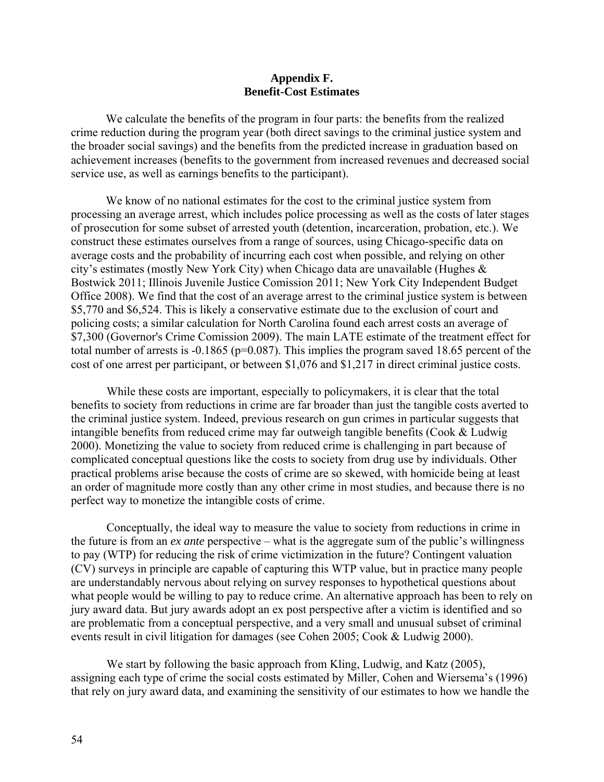### **Appendix F. Benefit-Cost Estimates**

We calculate the benefits of the program in four parts: the benefits from the realized crime reduction during the program year (both direct savings to the criminal justice system and the broader social savings) and the benefits from the predicted increase in graduation based on achievement increases (benefits to the government from increased revenues and decreased social service use, as well as earnings benefits to the participant).

We know of no national estimates for the cost to the criminal justice system from processing an average arrest, which includes police processing as well as the costs of later stages of prosecution for some subset of arrested youth (detention, incarceration, probation, etc.). We construct these estimates ourselves from a range of sources, using Chicago-specific data on average costs and the probability of incurring each cost when possible, and relying on other city's estimates (mostly New York City) when Chicago data are unavailable (Hughes & Bostwick 2011; Illinois Juvenile Justice Comission 2011; New York City Independent Budget Office 2008). We find that the cost of an average arrest to the criminal justice system is between \$5,770 and \$6,524. This is likely a conservative estimate due to the exclusion of court and policing costs; a similar calculation for North Carolina found each arrest costs an average of \$7,300 (Governor's Crime Comission 2009). The main LATE estimate of the treatment effect for total number of arrests is -0.1865 (p=0.087). This implies the program saved 18.65 percent of the cost of one arrest per participant, or between \$1,076 and \$1,217 in direct criminal justice costs.

 While these costs are important, especially to policymakers, it is clear that the total benefits to society from reductions in crime are far broader than just the tangible costs averted to the criminal justice system. Indeed, previous research on gun crimes in particular suggests that intangible benefits from reduced crime may far outweigh tangible benefits (Cook & Ludwig 2000). Monetizing the value to society from reduced crime is challenging in part because of complicated conceptual questions like the costs to society from drug use by individuals. Other practical problems arise because the costs of crime are so skewed, with homicide being at least an order of magnitude more costly than any other crime in most studies, and because there is no perfect way to monetize the intangible costs of crime.

Conceptually, the ideal way to measure the value to society from reductions in crime in the future is from an *ex ante* perspective – what is the aggregate sum of the public's willingness to pay (WTP) for reducing the risk of crime victimization in the future? Contingent valuation (CV) surveys in principle are capable of capturing this WTP value, but in practice many people are understandably nervous about relying on survey responses to hypothetical questions about what people would be willing to pay to reduce crime. An alternative approach has been to rely on jury award data. But jury awards adopt an ex post perspective after a victim is identified and so are problematic from a conceptual perspective, and a very small and unusual subset of criminal events result in civil litigation for damages (see Cohen 2005; Cook & Ludwig 2000).

We start by following the basic approach from Kling, Ludwig, and Katz (2005), assigning each type of crime the social costs estimated by Miller, Cohen and Wiersema's (1996) that rely on jury award data, and examining the sensitivity of our estimates to how we handle the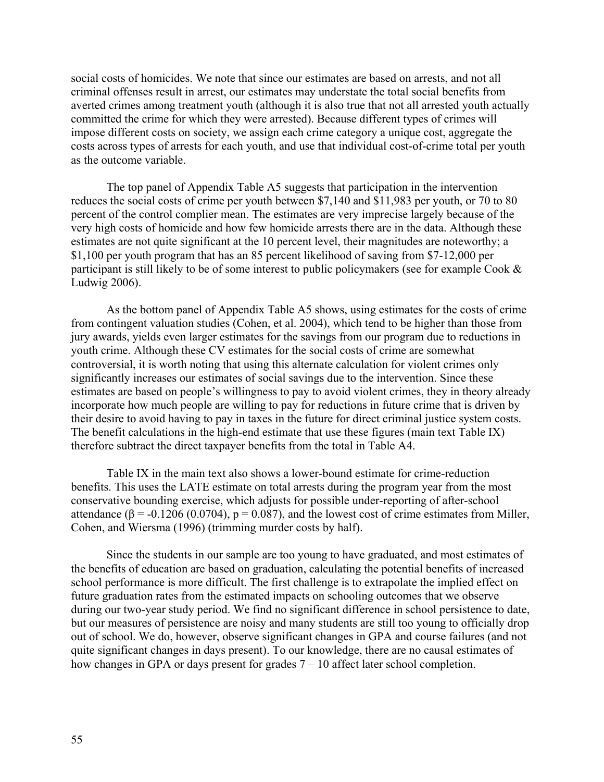social costs of homicides. We note that since our estimates are based on arrests, and not all criminal offenses result in arrest, our estimates may understate the total social benefits from averted crimes among treatment youth (although it is also true that not all arrested youth actually committed the crime for which they were arrested). Because different types of crimes will impose different costs on society, we assign each crime category a unique cost, aggregate the costs across types of arrests for each youth, and use that individual cost-of-crime total per youth as the outcome variable.

The top panel of Appendix Table A5 suggests that participation in the intervention reduces the social costs of crime per youth between \$7,140 and \$11,983 per youth, or 70 to 80 percent of the control complier mean. The estimates are very imprecise largely because of the very high costs of homicide and how few homicide arrests there are in the data. Although these estimates are not quite significant at the 10 percent level, their magnitudes are noteworthy; a \$1,100 per youth program that has an 85 percent likelihood of saving from \$7-12,000 per participant is still likely to be of some interest to public policymakers (see for example Cook & Ludwig 2006).

As the bottom panel of Appendix Table A5 shows, using estimates for the costs of crime from contingent valuation studies (Cohen, et al. 2004), which tend to be higher than those from jury awards, yields even larger estimates for the savings from our program due to reductions in youth crime. Although these CV estimates for the social costs of crime are somewhat controversial, it is worth noting that using this alternate calculation for violent crimes only significantly increases our estimates of social savings due to the intervention. Since these estimates are based on people's willingness to pay to avoid violent crimes, they in theory already incorporate how much people are willing to pay for reductions in future crime that is driven by their desire to avoid having to pay in taxes in the future for direct criminal justice system costs. The benefit calculations in the high-end estimate that use these figures (main text Table IX) therefore subtract the direct taxpayer benefits from the total in Table A4.

Table IX in the main text also shows a lower-bound estimate for crime-reduction benefits. This uses the LATE estimate on total arrests during the program year from the most conservative bounding exercise, which adjusts for possible under-reporting of after-school attendance ( $\beta$  = -0.1206 (0.0704), p = 0.087), and the lowest cost of crime estimates from Miller, Cohen, and Wiersma (1996) (trimming murder costs by half).

Since the students in our sample are too young to have graduated, and most estimates of the benefits of education are based on graduation, calculating the potential benefits of increased school performance is more difficult. The first challenge is to extrapolate the implied effect on future graduation rates from the estimated impacts on schooling outcomes that we observe during our two-year study period. We find no significant difference in school persistence to date, but our measures of persistence are noisy and many students are still too young to officially drop out of school. We do, however, observe significant changes in GPA and course failures (and not quite significant changes in days present). To our knowledge, there are no causal estimates of how changes in GPA or days present for grades  $7 - 10$  affect later school completion.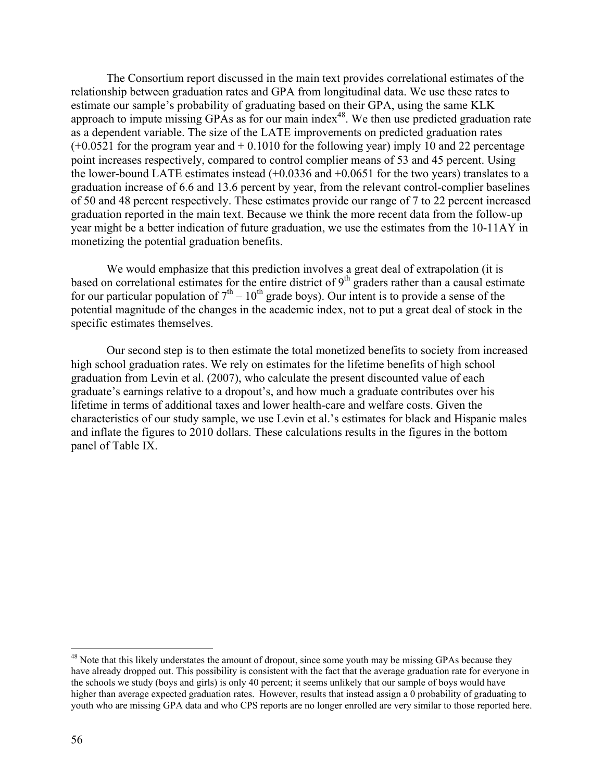The Consortium report discussed in the main text provides correlational estimates of the relationship between graduation rates and GPA from longitudinal data. We use these rates to estimate our sample's probability of graduating based on their GPA, using the same KLK approach to impute missing GPAs as for our main index<sup>48</sup>. We then use predicted graduation rate as a dependent variable. The size of the LATE improvements on predicted graduation rates  $(+0.0521$  for the program year and  $+0.1010$  for the following year) imply 10 and 22 percentage point increases respectively, compared to control complier means of 53 and 45 percent. Using the lower-bound LATE estimates instead (+0.0336 and +0.0651 for the two years) translates to a graduation increase of 6.6 and 13.6 percent by year, from the relevant control-complier baselines of 50 and 48 percent respectively. These estimates provide our range of 7 to 22 percent increased graduation reported in the main text. Because we think the more recent data from the follow-up year might be a better indication of future graduation, we use the estimates from the 10-11AY in monetizing the potential graduation benefits.

We would emphasize that this prediction involves a great deal of extrapolation (it is based on correlational estimates for the entire district of  $9<sup>th</sup>$  graders rather than a causal estimate for our particular population of  $7<sup>th</sup> - 10<sup>th</sup>$  grade boys). Our intent is to provide a sense of the potential magnitude of the changes in the academic index, not to put a great deal of stock in the specific estimates themselves.

 Our second step is to then estimate the total monetized benefits to society from increased high school graduation rates. We rely on estimates for the lifetime benefits of high school graduation from Levin et al. (2007), who calculate the present discounted value of each graduate's earnings relative to a dropout's, and how much a graduate contributes over his lifetime in terms of additional taxes and lower health-care and welfare costs. Given the characteristics of our study sample, we use Levin et al.'s estimates for black and Hispanic males and inflate the figures to 2010 dollars. These calculations results in the figures in the bottom panel of Table IX.

 $\overline{a}$ 

<sup>&</sup>lt;sup>48</sup> Note that this likely understates the amount of dropout, since some youth may be missing GPAs because they have already dropped out. This possibility is consistent with the fact that the average graduation rate for everyone in the schools we study (boys and girls) is only 40 percent; it seems unlikely that our sample of boys would have higher than average expected graduation rates. However, results that instead assign a 0 probability of graduating to youth who are missing GPA data and who CPS reports are no longer enrolled are very similar to those reported here.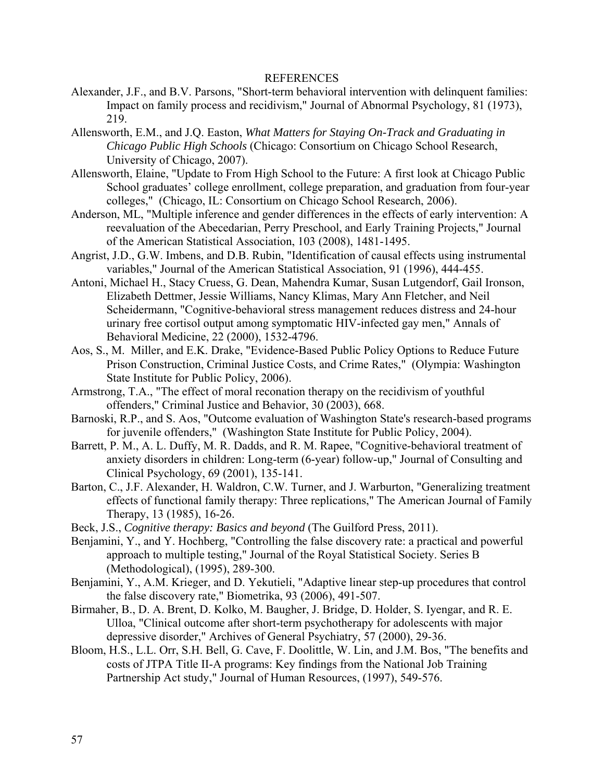#### REFERENCES

- Alexander, J.F., and B.V. Parsons, "Short-term behavioral intervention with delinquent families: Impact on family process and recidivism," Journal of Abnormal Psychology, 81 (1973), 219.
- Allensworth, E.M., and J.Q. Easton, *What Matters for Staying On-Track and Graduating in Chicago Public High Schools* (Chicago: Consortium on Chicago School Research, University of Chicago, 2007).
- Allensworth, Elaine, "Update to From High School to the Future: A first look at Chicago Public School graduates' college enrollment, college preparation, and graduation from four-year colleges," (Chicago, IL: Consortium on Chicago School Research, 2006).
- Anderson, ML, "Multiple inference and gender differences in the effects of early intervention: A reevaluation of the Abecedarian, Perry Preschool, and Early Training Projects," Journal of the American Statistical Association, 103 (2008), 1481-1495.
- Angrist, J.D., G.W. Imbens, and D.B. Rubin, "Identification of causal effects using instrumental variables," Journal of the American Statistical Association, 91 (1996), 444-455.
- Antoni, Michael H., Stacy Cruess, G. Dean, Mahendra Kumar, Susan Lutgendorf, Gail Ironson, Elizabeth Dettmer, Jessie Williams, Nancy Klimas, Mary Ann Fletcher, and Neil Scheidermann, "Cognitive-behavioral stress management reduces distress and 24-hour urinary free cortisol output among symptomatic HIV-infected gay men," Annals of Behavioral Medicine, 22 (2000), 1532-4796.
- Aos, S., M. Miller, and E.K. Drake, "Evidence-Based Public Policy Options to Reduce Future Prison Construction, Criminal Justice Costs, and Crime Rates," (Olympia: Washington State Institute for Public Policy, 2006).
- Armstrong, T.A., "The effect of moral reconation therapy on the recidivism of youthful offenders," Criminal Justice and Behavior, 30 (2003), 668.
- Barnoski, R.P., and S. Aos, "Outcome evaluation of Washington State's research-based programs for juvenile offenders," (Washington State Institute for Public Policy, 2004).
- Barrett, P. M., A. L. Duffy, M. R. Dadds, and R. M. Rapee, "Cognitive-behavioral treatment of anxiety disorders in children: Long-term (6-year) follow-up," Journal of Consulting and Clinical Psychology, 69 (2001), 135-141.
- Barton, C., J.F. Alexander, H. Waldron, C.W. Turner, and J. Warburton, "Generalizing treatment effects of functional family therapy: Three replications," The American Journal of Family Therapy, 13 (1985), 16-26.
- Beck, J.S., *Cognitive therapy: Basics and beyond* (The Guilford Press, 2011).
- Benjamini, Y., and Y. Hochberg, "Controlling the false discovery rate: a practical and powerful approach to multiple testing," Journal of the Royal Statistical Society. Series B (Methodological), (1995), 289-300.
- Benjamini, Y., A.M. Krieger, and D. Yekutieli, "Adaptive linear step-up procedures that control the false discovery rate," Biometrika, 93 (2006), 491-507.
- Birmaher, B., D. A. Brent, D. Kolko, M. Baugher, J. Bridge, D. Holder, S. Iyengar, and R. E. Ulloa, "Clinical outcome after short-term psychotherapy for adolescents with major depressive disorder," Archives of General Psychiatry, 57 (2000), 29-36.
- Bloom, H.S., L.L. Orr, S.H. Bell, G. Cave, F. Doolittle, W. Lin, and J.M. Bos, "The benefits and costs of JTPA Title II-A programs: Key findings from the National Job Training Partnership Act study," Journal of Human Resources, (1997), 549-576.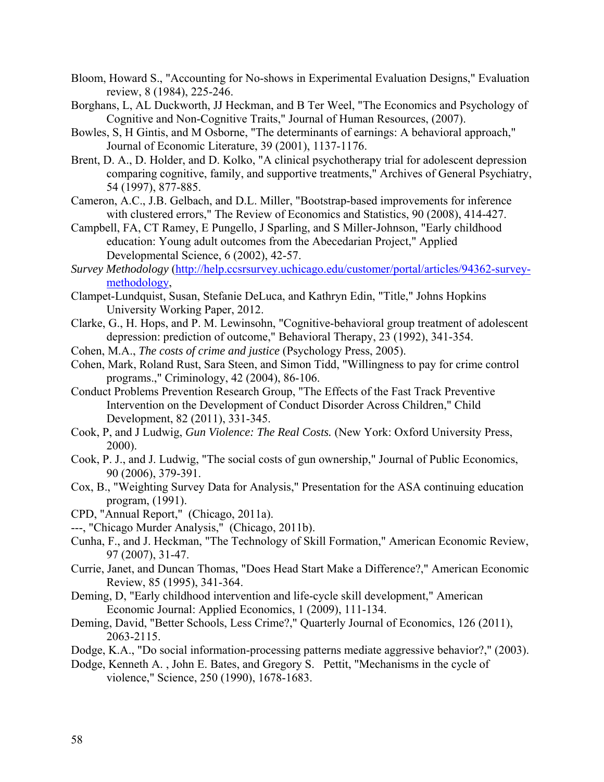- Bloom, Howard S., "Accounting for No-shows in Experimental Evaluation Designs," Evaluation review, 8 (1984), 225-246.
- Borghans, L, AL Duckworth, JJ Heckman, and B Ter Weel, "The Economics and Psychology of Cognitive and Non-Cognitive Traits," Journal of Human Resources, (2007).
- Bowles, S, H Gintis, and M Osborne, "The determinants of earnings: A behavioral approach," Journal of Economic Literature, 39 (2001), 1137-1176.
- Brent, D. A., D. Holder, and D. Kolko, "A clinical psychotherapy trial for adolescent depression comparing cognitive, family, and supportive treatments," Archives of General Psychiatry, 54 (1997), 877-885.
- Cameron, A.C., J.B. Gelbach, and D.L. Miller, "Bootstrap-based improvements for inference with clustered errors," The Review of Economics and Statistics, 90 (2008), 414-427.
- Campbell, FA, CT Ramey, E Pungello, J Sparling, and S Miller-Johnson, "Early childhood education: Young adult outcomes from the Abecedarian Project," Applied Developmental Science, 6 (2002), 42-57.
- *Survey Methodology* (http://help.ccsrsurvey.uchicago.edu/customer/portal/articles/94362-surveymethodology,
- Clampet-Lundquist, Susan, Stefanie DeLuca, and Kathryn Edin, "Title," Johns Hopkins University Working Paper, 2012.
- Clarke, G., H. Hops, and P. M. Lewinsohn, "Cognitive-behavioral group treatment of adolescent depression: prediction of outcome," Behavioral Therapy, 23 (1992), 341-354.
- Cohen, M.A., *The costs of crime and justice* (Psychology Press, 2005).
- Cohen, Mark, Roland Rust, Sara Steen, and Simon Tidd, "Willingness to pay for crime control programs.," Criminology, 42 (2004), 86-106.
- Conduct Problems Prevention Research Group, "The Effects of the Fast Track Preventive Intervention on the Development of Conduct Disorder Across Children," Child Development, 82 (2011), 331-345.
- Cook, P, and J Ludwig, *Gun Violence: The Real Costs.* (New York: Oxford University Press, 2000).
- Cook, P. J., and J. Ludwig, "The social costs of gun ownership," Journal of Public Economics, 90 (2006), 379-391.
- Cox, B., "Weighting Survey Data for Analysis," Presentation for the ASA continuing education program, (1991).
- CPD, "Annual Report," (Chicago, 2011a).
- ---, "Chicago Murder Analysis," (Chicago, 2011b).
- Cunha, F., and J. Heckman, "The Technology of Skill Formation," American Economic Review, 97 (2007), 31-47.
- Currie, Janet, and Duncan Thomas, "Does Head Start Make a Difference?," American Economic Review, 85 (1995), 341-364.
- Deming, D, "Early childhood intervention and life-cycle skill development," American Economic Journal: Applied Economics, 1 (2009), 111-134.
- Deming, David, "Better Schools, Less Crime?," Quarterly Journal of Economics, 126 (2011), 2063-2115.
- Dodge, K.A., "Do social information-processing patterns mediate aggressive behavior?," (2003).
- Dodge, Kenneth A. , John E. Bates, and Gregory S. Pettit, "Mechanisms in the cycle of violence," Science, 250 (1990), 1678-1683.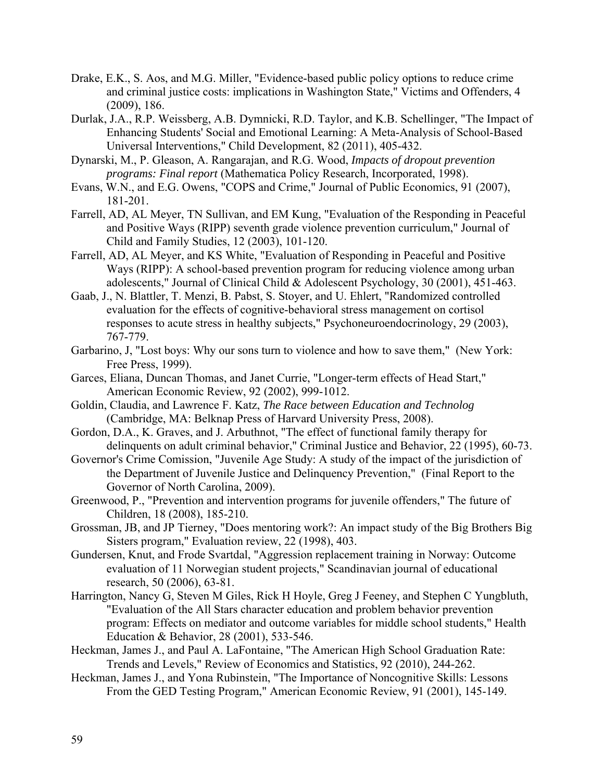- Drake, E.K., S. Aos, and M.G. Miller, "Evidence-based public policy options to reduce crime and criminal justice costs: implications in Washington State," Victims and Offenders, 4 (2009), 186.
- Durlak, J.A., R.P. Weissberg, A.B. Dymnicki, R.D. Taylor, and K.B. Schellinger, "The Impact of Enhancing Students' Social and Emotional Learning: A Meta-Analysis of School-Based Universal Interventions," Child Development, 82 (2011), 405-432.
- Dynarski, M., P. Gleason, A. Rangarajan, and R.G. Wood, *Impacts of dropout prevention programs: Final report* (Mathematica Policy Research, Incorporated, 1998).
- Evans, W.N., and E.G. Owens, "COPS and Crime," Journal of Public Economics, 91 (2007), 181-201.
- Farrell, AD, AL Meyer, TN Sullivan, and EM Kung, "Evaluation of the Responding in Peaceful and Positive Ways (RIPP) seventh grade violence prevention curriculum," Journal of Child and Family Studies, 12 (2003), 101-120.
- Farrell, AD, AL Meyer, and KS White, "Evaluation of Responding in Peaceful and Positive Ways (RIPP): A school-based prevention program for reducing violence among urban adolescents," Journal of Clinical Child & Adolescent Psychology, 30 (2001), 451-463.
- Gaab, J., N. Blattler, T. Menzi, B. Pabst, S. Stoyer, and U. Ehlert, "Randomized controlled evaluation for the effects of cognitive-behavioral stress management on cortisol responses to acute stress in healthy subjects," Psychoneuroendocrinology, 29 (2003), 767-779.
- Garbarino, J, "Lost boys: Why our sons turn to violence and how to save them," (New York: Free Press, 1999).
- Garces, Eliana, Duncan Thomas, and Janet Currie, "Longer-term effects of Head Start," American Economic Review, 92 (2002), 999-1012.
- Goldin, Claudia, and Lawrence F. Katz, *The Race between Education and Technolog* (Cambridge, MA: Belknap Press of Harvard University Press, 2008).
- Gordon, D.A., K. Graves, and J. Arbuthnot, "The effect of functional family therapy for delinquents on adult criminal behavior," Criminal Justice and Behavior, 22 (1995), 60-73.
- Governor's Crime Comission, "Juvenile Age Study: A study of the impact of the jurisdiction of the Department of Juvenile Justice and Delinquency Prevention," (Final Report to the Governor of North Carolina, 2009).
- Greenwood, P., "Prevention and intervention programs for juvenile offenders," The future of Children, 18 (2008), 185-210.
- Grossman, JB, and JP Tierney, "Does mentoring work?: An impact study of the Big Brothers Big Sisters program," Evaluation review, 22 (1998), 403.
- Gundersen, Knut, and Frode Svartdal, "Aggression replacement training in Norway: Outcome evaluation of 11 Norwegian student projects," Scandinavian journal of educational research, 50 (2006), 63-81.
- Harrington, Nancy G, Steven M Giles, Rick H Hoyle, Greg J Feeney, and Stephen C Yungbluth, "Evaluation of the All Stars character education and problem behavior prevention program: Effects on mediator and outcome variables for middle school students," Health Education & Behavior, 28 (2001), 533-546.
- Heckman, James J., and Paul A. LaFontaine, "The American High School Graduation Rate: Trends and Levels," Review of Economics and Statistics, 92 (2010), 244-262.
- Heckman, James J., and Yona Rubinstein, "The Importance of Noncognitive Skills: Lessons From the GED Testing Program," American Economic Review, 91 (2001), 145-149.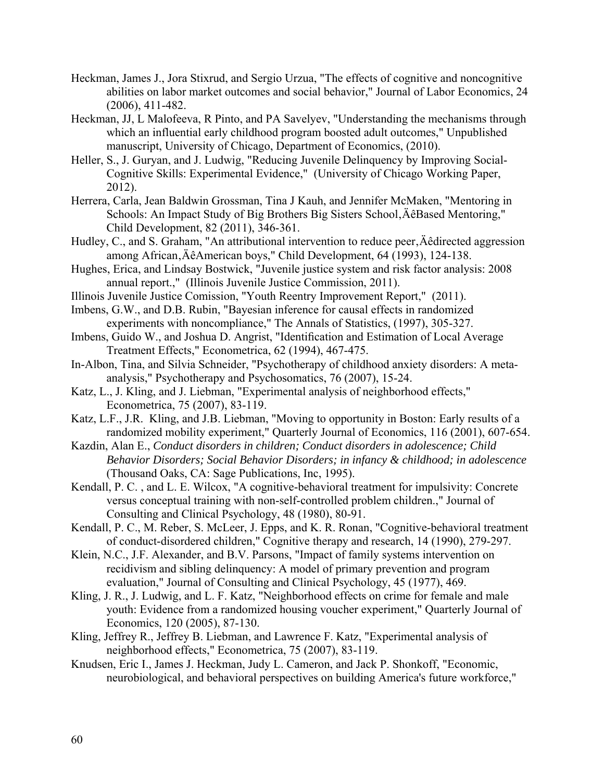- Heckman, James J., Jora Stixrud, and Sergio Urzua, "The effects of cognitive and noncognitive abilities on labor market outcomes and social behavior," Journal of Labor Economics, 24 (2006), 411-482.
- Heckman, JJ, L Malofeeva, R Pinto, and PA Savelyev, "Understanding the mechanisms through which an influential early childhood program boosted adult outcomes," Unpublished manuscript, University of Chicago, Department of Economics, (2010).
- Heller, S., J. Guryan, and J. Ludwig, "Reducing Juvenile Delinquency by Improving Social-Cognitive Skills: Experimental Evidence," (University of Chicago Working Paper, 2012).
- Herrera, Carla, Jean Baldwin Grossman, Tina J Kauh, and Jennifer McMaken, "Mentoring in Schools: An Impact Study of Big Brothers Big Sisters School, ÄêBased Mentoring," Child Development, 82 (2011), 346-361.
- Hudley, C., and S. Graham, "An attributional intervention to reduce peer, Äêdirected aggression among African'ÄêAmerican boys," Child Development, 64 (1993), 124-138.
- Hughes, Erica, and Lindsay Bostwick, "Juvenile justice system and risk factor analysis: 2008 annual report.," (Illinois Juvenile Justice Commission, 2011).
- Illinois Juvenile Justice Comission, "Youth Reentry Improvement Report," (2011).
- Imbens, G.W., and D.B. Rubin, "Bayesian inference for causal effects in randomized experiments with noncompliance," The Annals of Statistics, (1997), 305-327.
- Imbens, Guido W., and Joshua D. Angrist, "Identification and Estimation of Local Average Treatment Effects," Econometrica, 62 (1994), 467-475.
- In-Albon, Tina, and Silvia Schneider, "Psychotherapy of childhood anxiety disorders: A metaanalysis," Psychotherapy and Psychosomatics, 76 (2007), 15-24.
- Katz, L., J. Kling, and J. Liebman, "Experimental analysis of neighborhood effects," Econometrica, 75 (2007), 83-119.
- Katz, L.F., J.R. Kling, and J.B. Liebman, "Moving to opportunity in Boston: Early results of a randomized mobility experiment," Quarterly Journal of Economics, 116 (2001), 607-654.
- Kazdin, Alan E., *Conduct disorders in children; Conduct disorders in adolescence; Child Behavior Disorders; Social Behavior Disorders; in infancy & childhood; in adolescence* (Thousand Oaks, CA: Sage Publications, Inc, 1995).
- Kendall, P. C. , and L. E. Wilcox, "A cognitive-behavioral treatment for impulsivity: Concrete versus conceptual training with non-self-controlled problem children.," Journal of Consulting and Clinical Psychology, 48 (1980), 80-91.
- Kendall, P. C., M. Reber, S. McLeer, J. Epps, and K. R. Ronan, "Cognitive-behavioral treatment of conduct-disordered children," Cognitive therapy and research, 14 (1990), 279-297.
- Klein, N.C., J.F. Alexander, and B.V. Parsons, "Impact of family systems intervention on recidivism and sibling delinquency: A model of primary prevention and program evaluation," Journal of Consulting and Clinical Psychology, 45 (1977), 469.
- Kling, J. R., J. Ludwig, and L. F. Katz, "Neighborhood effects on crime for female and male youth: Evidence from a randomized housing voucher experiment," Quarterly Journal of Economics, 120 (2005), 87-130.
- Kling, Jeffrey R., Jeffrey B. Liebman, and Lawrence F. Katz, "Experimental analysis of neighborhood effects," Econometrica, 75 (2007), 83-119.
- Knudsen, Eric I., James J. Heckman, Judy L. Cameron, and Jack P. Shonkoff, "Economic, neurobiological, and behavioral perspectives on building America's future workforce,"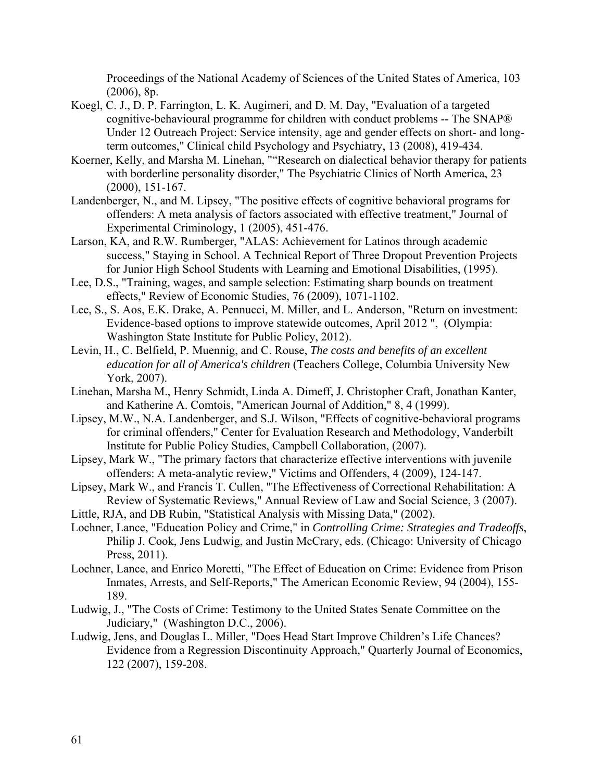Proceedings of the National Academy of Sciences of the United States of America, 103 (2006), 8p.

- Koegl, C. J., D. P. Farrington, L. K. Augimeri, and D. M. Day, "Evaluation of a targeted cognitive-behavioural programme for children with conduct problems -- The SNAP® Under 12 Outreach Project: Service intensity, age and gender effects on short- and longterm outcomes," Clinical child Psychology and Psychiatry, 13 (2008), 419-434.
- Koerner, Kelly, and Marsha M. Linehan, ""Research on dialectical behavior therapy for patients with borderline personality disorder," The Psychiatric Clinics of North America, 23 (2000), 151-167.
- Landenberger, N., and M. Lipsey, "The positive effects of cognitive behavioral programs for offenders: A meta analysis of factors associated with effective treatment," Journal of Experimental Criminology, 1 (2005), 451-476.
- Larson, KA, and R.W. Rumberger, "ALAS: Achievement for Latinos through academic success," Staying in School. A Technical Report of Three Dropout Prevention Projects for Junior High School Students with Learning and Emotional Disabilities, (1995).
- Lee, D.S., "Training, wages, and sample selection: Estimating sharp bounds on treatment effects," Review of Economic Studies, 76 (2009), 1071-1102.
- Lee, S., S. Aos, E.K. Drake, A. Pennucci, M. Miller, and L. Anderson, "Return on investment: Evidence-based options to improve statewide outcomes, April 2012 ", (Olympia: Washington State Institute for Public Policy, 2012).
- Levin, H., C. Belfield, P. Muennig, and C. Rouse, *The costs and benefits of an excellent education for all of America's children* (Teachers College, Columbia University New York, 2007).
- Linehan, Marsha M., Henry Schmidt, Linda A. Dimeff, J. Christopher Craft, Jonathan Kanter, and Katherine A. Comtois, "American Journal of Addition," 8, 4 (1999).
- Lipsey, M.W., N.A. Landenberger, and S.J. Wilson, "Effects of cognitive-behavioral programs for criminal offenders," Center for Evaluation Research and Methodology, Vanderbilt Institute for Public Policy Studies, Campbell Collaboration, (2007).
- Lipsey, Mark W., "The primary factors that characterize effective interventions with juvenile offenders: A meta-analytic review," Victims and Offenders, 4 (2009), 124-147.
- Lipsey, Mark W., and Francis T. Cullen, "The Effectiveness of Correctional Rehabilitation: A Review of Systematic Reviews," Annual Review of Law and Social Science, 3 (2007).
- Little, RJA, and DB Rubin, "Statistical Analysis with Missing Data," (2002).
- Lochner, Lance, "Education Policy and Crime," in *Controlling Crime: Strategies and Tradeoffs*, Philip J. Cook, Jens Ludwig, and Justin McCrary, eds. (Chicago: University of Chicago Press, 2011).
- Lochner, Lance, and Enrico Moretti, "The Effect of Education on Crime: Evidence from Prison Inmates, Arrests, and Self-Reports," The American Economic Review, 94 (2004), 155- 189.
- Ludwig, J., "The Costs of Crime: Testimony to the United States Senate Committee on the Judiciary," (Washington D.C., 2006).
- Ludwig, Jens, and Douglas L. Miller, "Does Head Start Improve Children's Life Chances? Evidence from a Regression Discontinuity Approach," Quarterly Journal of Economics, 122 (2007), 159-208.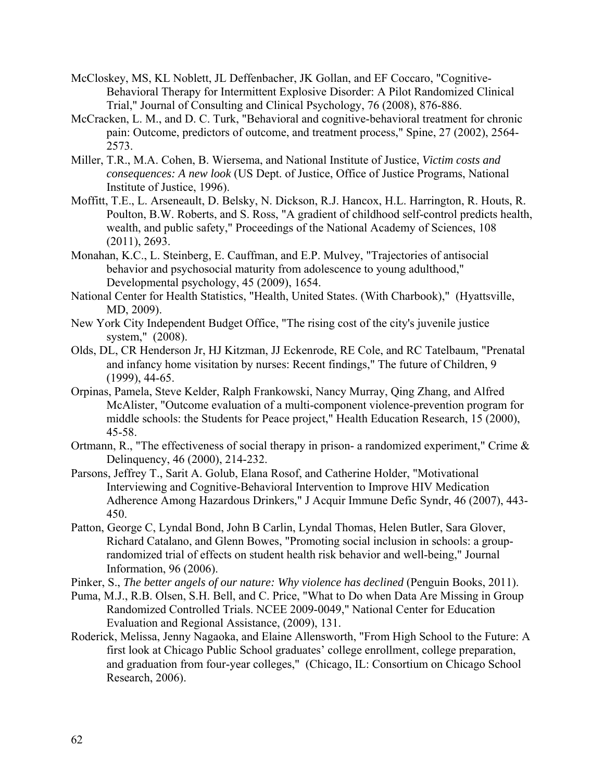- McCloskey, MS, KL Noblett, JL Deffenbacher, JK Gollan, and EF Coccaro, "Cognitive-Behavioral Therapy for Intermittent Explosive Disorder: A Pilot Randomized Clinical Trial," Journal of Consulting and Clinical Psychology, 76 (2008), 876-886.
- McCracken, L. M., and D. C. Turk, "Behavioral and cognitive-behavioral treatment for chronic pain: Outcome, predictors of outcome, and treatment process," Spine, 27 (2002), 2564- 2573.
- Miller, T.R., M.A. Cohen, B. Wiersema, and National Institute of Justice, *Victim costs and consequences: A new look* (US Dept. of Justice, Office of Justice Programs, National Institute of Justice, 1996).
- Moffitt, T.E., L. Arseneault, D. Belsky, N. Dickson, R.J. Hancox, H.L. Harrington, R. Houts, R. Poulton, B.W. Roberts, and S. Ross, "A gradient of childhood self-control predicts health, wealth, and public safety," Proceedings of the National Academy of Sciences, 108 (2011), 2693.
- Monahan, K.C., L. Steinberg, E. Cauffman, and E.P. Mulvey, "Trajectories of antisocial behavior and psychosocial maturity from adolescence to young adulthood," Developmental psychology, 45 (2009), 1654.
- National Center for Health Statistics, "Health, United States. (With Charbook)," (Hyattsville, MD, 2009).
- New York City Independent Budget Office, "The rising cost of the city's juvenile justice system," (2008).
- Olds, DL, CR Henderson Jr, HJ Kitzman, JJ Eckenrode, RE Cole, and RC Tatelbaum, "Prenatal and infancy home visitation by nurses: Recent findings," The future of Children, 9 (1999), 44-65.
- Orpinas, Pamela, Steve Kelder, Ralph Frankowski, Nancy Murray, Qing Zhang, and Alfred McAlister, "Outcome evaluation of a multi-component violence-prevention program for middle schools: the Students for Peace project," Health Education Research, 15 (2000), 45-58.
- Ortmann, R., "The effectiveness of social therapy in prison- a randomized experiment," Crime & Delinquency, 46 (2000), 214-232.
- Parsons, Jeffrey T., Sarit A. Golub, Elana Rosof, and Catherine Holder, "Motivational Interviewing and Cognitive-Behavioral Intervention to Improve HIV Medication Adherence Among Hazardous Drinkers," J Acquir Immune Defic Syndr, 46 (2007), 443- 450.
- Patton, George C, Lyndal Bond, John B Carlin, Lyndal Thomas, Helen Butler, Sara Glover, Richard Catalano, and Glenn Bowes, "Promoting social inclusion in schools: a grouprandomized trial of effects on student health risk behavior and well-being," Journal Information, 96 (2006).
- Pinker, S., *The better angels of our nature: Why violence has declined* (Penguin Books, 2011).
- Puma, M.J., R.B. Olsen, S.H. Bell, and C. Price, "What to Do when Data Are Missing in Group Randomized Controlled Trials. NCEE 2009-0049," National Center for Education Evaluation and Regional Assistance, (2009), 131.
- Roderick, Melissa, Jenny Nagaoka, and Elaine Allensworth, "From High School to the Future: A first look at Chicago Public School graduates' college enrollment, college preparation, and graduation from four-year colleges," (Chicago, IL: Consortium on Chicago School Research, 2006).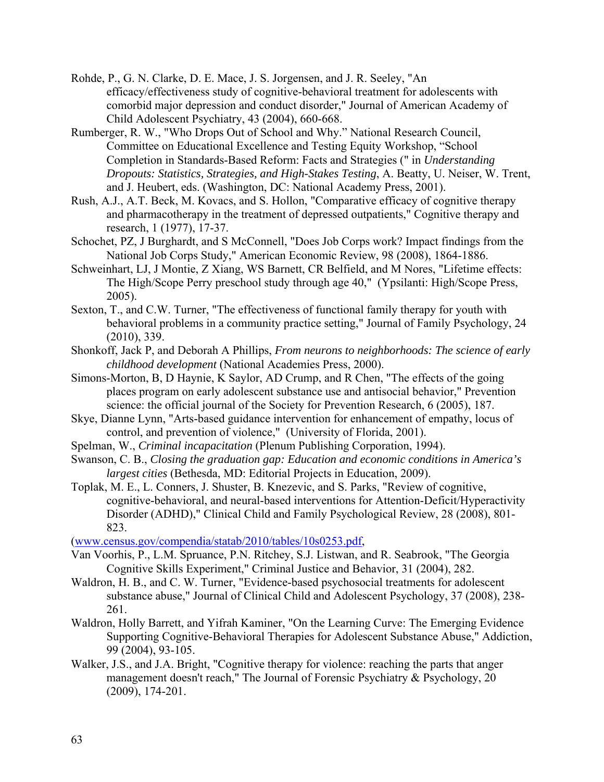- Rohde, P., G. N. Clarke, D. E. Mace, J. S. Jorgensen, and J. R. Seeley, "An efficacy/effectiveness study of cognitive-behavioral treatment for adolescents with comorbid major depression and conduct disorder," Journal of American Academy of Child Adolescent Psychiatry, 43 (2004), 660-668.
- Rumberger, R. W., "Who Drops Out of School and Why." National Research Council, Committee on Educational Excellence and Testing Equity Workshop, "School Completion in Standards-Based Reform: Facts and Strategies (" in *Understanding Dropouts: Statistics, Strategies, and High-Stakes Testing*, A. Beatty, U. Neiser, W. Trent, and J. Heubert, eds. (Washington, DC: National Academy Press, 2001).
- Rush, A.J., A.T. Beck, M. Kovacs, and S. Hollon, "Comparative efficacy of cognitive therapy and pharmacotherapy in the treatment of depressed outpatients," Cognitive therapy and research, 1 (1977), 17-37.
- Schochet, PZ, J Burghardt, and S McConnell, "Does Job Corps work? Impact findings from the National Job Corps Study," American Economic Review, 98 (2008), 1864-1886.
- Schweinhart, LJ, J Montie, Z Xiang, WS Barnett, CR Belfield, and M Nores, "Lifetime effects: The High/Scope Perry preschool study through age 40," (Ypsilanti: High/Scope Press, 2005).
- Sexton, T., and C.W. Turner, "The effectiveness of functional family therapy for youth with behavioral problems in a community practice setting," Journal of Family Psychology, 24 (2010), 339.
- Shonkoff, Jack P, and Deborah A Phillips, *From neurons to neighborhoods: The science of early childhood development* (National Academies Press, 2000).
- Simons-Morton, B, D Haynie, K Saylor, AD Crump, and R Chen, "The effects of the going places program on early adolescent substance use and antisocial behavior," Prevention science: the official journal of the Society for Prevention Research, 6 (2005), 187.
- Skye, Dianne Lynn, "Arts-based guidance intervention for enhancement of empathy, locus of control, and prevention of violence," (University of Florida, 2001).
- Spelman, W., *Criminal incapacitation* (Plenum Publishing Corporation, 1994).
- Swanson, C. B., *Closing the graduation gap: Education and economic conditions in America's largest cities* (Bethesda, MD: Editorial Projects in Education, 2009).
- Toplak, M. E., L. Conners, J. Shuster, B. Knezevic, and S. Parks, "Review of cognitive, cognitive-behavioral, and neural-based interventions for Attention-Deficit/Hyperactivity Disorder (ADHD)," Clinical Child and Family Psychological Review, 28 (2008), 801- 823.

(www.census.gov/compendia/statab/2010/tables/10s0253.pdf,

- Van Voorhis, P., L.M. Spruance, P.N. Ritchey, S.J. Listwan, and R. Seabrook, "The Georgia Cognitive Skills Experiment," Criminal Justice and Behavior, 31 (2004), 282.
- Waldron, H. B., and C. W. Turner, "Evidence-based psychosocial treatments for adolescent substance abuse," Journal of Clinical Child and Adolescent Psychology, 37 (2008), 238- 261.
- Waldron, Holly Barrett, and Yifrah Kaminer, "On the Learning Curve: The Emerging Evidence Supporting Cognitive-Behavioral Therapies for Adolescent Substance Abuse," Addiction, 99 (2004), 93-105.
- Walker, J.S., and J.A. Bright, "Cognitive therapy for violence: reaching the parts that anger management doesn't reach," The Journal of Forensic Psychiatry & Psychology, 20 (2009), 174-201.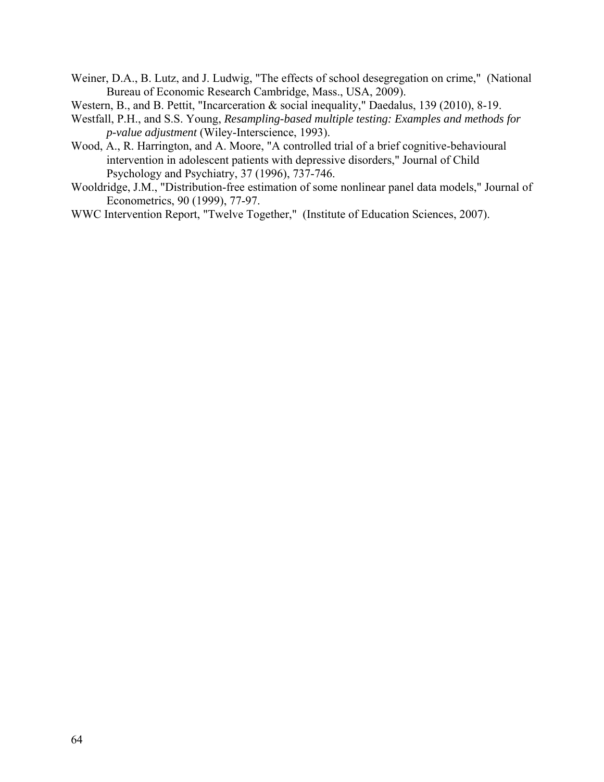- Weiner, D.A., B. Lutz, and J. Ludwig, "The effects of school desegregation on crime," (National Bureau of Economic Research Cambridge, Mass., USA, 2009).
- Western, B., and B. Pettit, "Incarceration & social inequality," Daedalus, 139 (2010), 8-19.
- Westfall, P.H., and S.S. Young, *Resampling-based multiple testing: Examples and methods for p-value adjustment* (Wiley-Interscience, 1993).
- Wood, A., R. Harrington, and A. Moore, "A controlled trial of a brief cognitive-behavioural intervention in adolescent patients with depressive disorders," Journal of Child Psychology and Psychiatry, 37 (1996), 737-746.
- Wooldridge, J.M., "Distribution-free estimation of some nonlinear panel data models," Journal of Econometrics, 90 (1999), 77-97.
- WWC Intervention Report, "Twelve Together," (Institute of Education Sciences, 2007).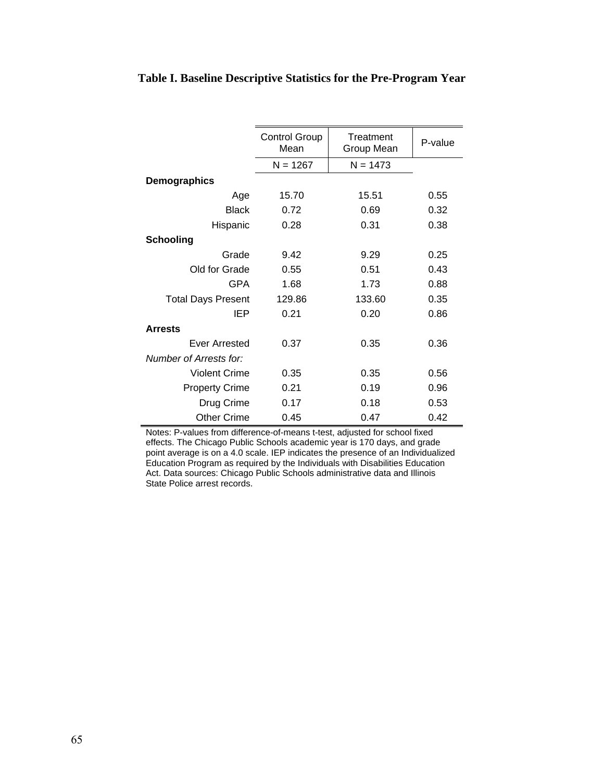|                           | <b>Control Group</b><br>Mean | Treatment<br>Group Mean | P-value |
|---------------------------|------------------------------|-------------------------|---------|
|                           | $N = 1267$                   | $N = 1473$              |         |
| <b>Demographics</b>       |                              |                         |         |
| Age                       | 15.70                        | 15.51                   | 0.55    |
| <b>Black</b>              | 0.72                         | 0.69                    | 0.32    |
| Hispanic                  | 0.28                         | 0.31                    | 0.38    |
| <b>Schooling</b>          |                              |                         |         |
| Grade                     | 9.42                         | 9.29                    | 0.25    |
| Old for Grade             | 0.55                         | 0.51                    | 0.43    |
| <b>GPA</b>                | 1.68                         | 1.73                    | 0.88    |
| <b>Total Days Present</b> | 129.86                       | 133.60                  | 0.35    |
| <b>IEP</b>                | 0.21                         | 0.20                    | 0.86    |
| <b>Arrests</b>            |                              |                         |         |
| Ever Arrested             | 0.37                         | 0.35                    | 0.36    |
| Number of Arrests for:    |                              |                         |         |
| Violent Crime             | 0.35                         | 0.35                    | 0.56    |
| <b>Property Crime</b>     | 0.21                         | 0.19                    | 0.96    |
| Drug Crime                | 0.17                         | 0.18                    | 0.53    |
| <b>Other Crime</b>        | 0.45                         | 0.47                    | 0.42    |

## **Table I. Baseline Descriptive Statistics for the Pre-Program Year**

Notes: P-values from difference-of-means t-test, adjusted for school fixed effects. The Chicago Public Schools academic year is 170 days, and grade point average is on a 4.0 scale. IEP indicates the presence of an Individualized Education Program as required by the Individuals with Disabilities Education Act. Data sources: Chicago Public Schools administrative data and Illinois State Police arrest records.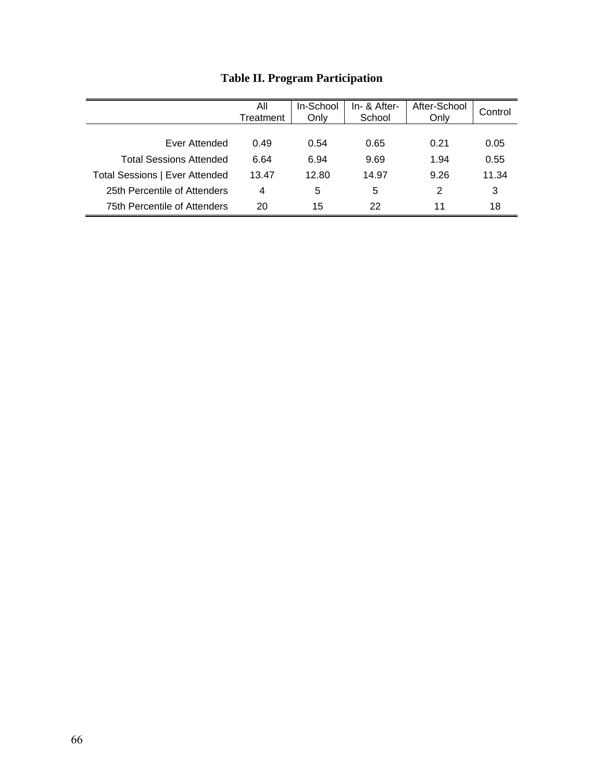|                                | All<br>Treatment | In-School<br>Only | In- & After-<br>School | After-School<br>Only | Control |
|--------------------------------|------------------|-------------------|------------------------|----------------------|---------|
|                                |                  |                   |                        |                      |         |
| Ever Attended                  | 0.49             | 0.54              | 0.65                   | 0.21                 | 0.05    |
| Total Sessions Attended        | 6.64             | 6.94              | 9.69                   | 1.94                 | 0.55    |
| Total Sessions   Ever Attended | 13.47            | 12.80             | 14.97                  | 9.26                 | 11.34   |
| 25th Percentile of Attenders   | 4                | 5                 | 5                      | 2                    | 3       |
| 75th Percentile of Attenders   | 20               | 15                | 22                     | 11                   | 18      |

# **Table II. Program Participation**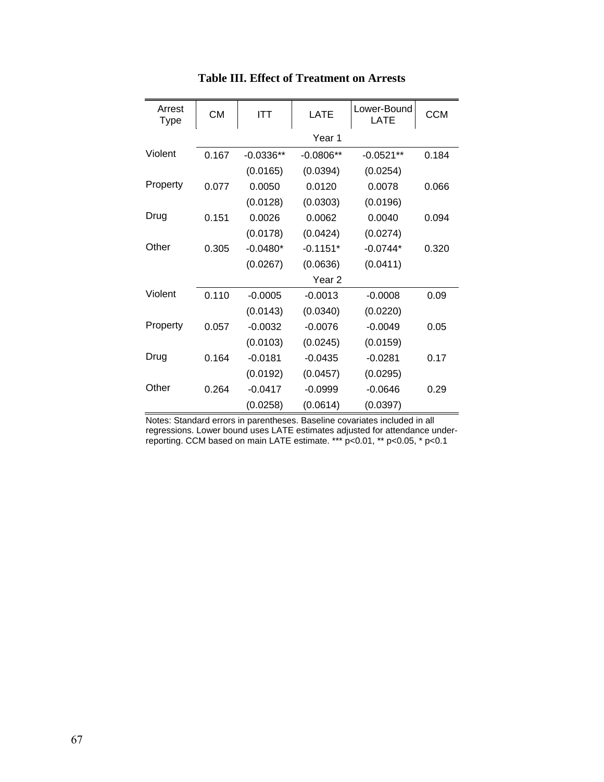| Arrest<br><b>Type</b> | <b>CM</b> | ITT         | <b>LATE</b>       | Lower-Bound<br><b>LATE</b> | <b>CCM</b> |
|-----------------------|-----------|-------------|-------------------|----------------------------|------------|
|                       |           |             | Year 1            |                            |            |
| Violent               | 0.167     | $-0.0336**$ | $-0.0806**$       | $-0.0521**$                | 0.184      |
|                       |           | (0.0165)    | (0.0394)          | (0.0254)                   |            |
| Property              | 0.077     | 0.0050      | 0.0120            | 0.0078                     | 0.066      |
|                       |           | (0.0128)    | (0.0303)          | (0.0196)                   |            |
| Drug                  | 0.151     | 0.0026      | 0.0062            | 0.0040                     | 0.094      |
|                       |           | (0.0178)    | (0.0424)          | (0.0274)                   |            |
| Other                 | 0.305     | $-0.0480*$  | $-0.1151*$        | $-0.0744*$                 | 0.320      |
|                       |           | (0.0267)    | (0.0636)          | (0.0411)                   |            |
|                       |           |             | Year <sub>2</sub> |                            |            |
| Violent               | 0.110     | $-0.0005$   | $-0.0013$         | $-0.0008$                  | 0.09       |
|                       |           | (0.0143)    | (0.0340)          | (0.0220)                   |            |
| Property              | 0.057     | $-0.0032$   | $-0.0076$         | $-0.0049$                  | 0.05       |
|                       |           | (0.0103)    | (0.0245)          | (0.0159)                   |            |
| Drug                  | 0.164     | $-0.0181$   | $-0.0435$         | $-0.0281$                  | 0.17       |
|                       |           | (0.0192)    | (0.0457)          | (0.0295)                   |            |
| Other                 | 0.264     | $-0.0417$   | $-0.0999$         | $-0.0646$                  | 0.29       |
|                       |           | (0.0258)    | (0.0614)          | (0.0397)                   |            |

# **Table III. Effect of Treatment on Arrests**

Notes: Standard errors in parentheses. Baseline covariates included in all regressions. Lower bound uses LATE estimates adjusted for attendance underreporting. CCM based on main LATE estimate. \*\*\* p<0.01, \*\* p<0.05, \* p<0.1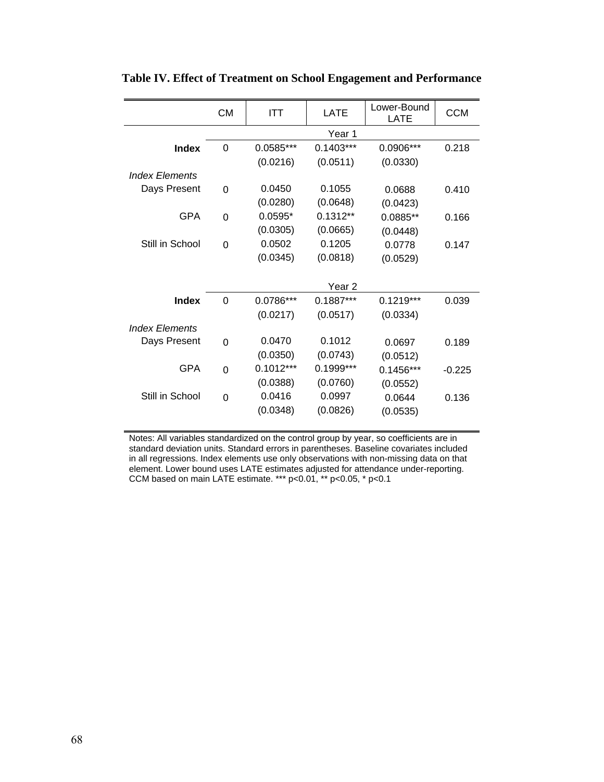|                       | <b>CM</b>      | ITT         | <b>LATE</b> | Lower-Bound<br>LATE | <b>CCM</b> |
|-----------------------|----------------|-------------|-------------|---------------------|------------|
|                       |                | Year 1      |             |                     |            |
| <b>Index</b>          | 0              | $0.0585***$ | $0.1403***$ | 0.0906***           | 0.218      |
|                       |                | (0.0216)    | (0.0511)    | (0.0330)            |            |
| <b>Index Elements</b> |                |             |             |                     |            |
| Days Present          | $\Omega$       | 0.0450      | 0.1055      | 0.0688              | 0.410      |
|                       |                | (0.0280)    | (0.0648)    | (0.0423)            |            |
| <b>GPA</b>            | $\Omega$       | $0.0595*$   | $0.1312**$  | 0.0885**            | 0.166      |
|                       |                | (0.0305)    | (0.0665)    | (0.0448)            |            |
| Still in School       | $\overline{0}$ | 0.0502      | 0.1205      | 0.0778              | 0.147      |
|                       |                | (0.0345)    | (0.0818)    | (0.0529)            |            |
|                       |                |             |             |                     |            |
|                       |                |             | Year 2      |                     |            |
| Index                 | $\Omega$       | 0.0786***   | $0.1887***$ | $0.1219***$         | 0.039      |
|                       |                | (0.0217)    | (0.0517)    | (0.0334)            |            |
| <b>Index Elements</b> |                |             |             |                     |            |
| Days Present          | $\overline{0}$ | 0.0470      | 0.1012      | 0.0697              | 0.189      |
|                       |                | (0.0350)    | (0.0743)    | (0.0512)            |            |
| <b>GPA</b>            | $\Omega$       | $0.1012***$ | 0.1999***   | $0.1456***$         | $-0.225$   |
|                       |                | (0.0388)    | (0.0760)    | (0.0552)            |            |
| Still in School       | $\Omega$       | 0.0416      | 0.0997      | 0.0644              | 0.136      |
|                       |                | (0.0348)    | (0.0826)    | (0.0535)            |            |
|                       |                |             |             |                     |            |

**Table IV. Effect of Treatment on School Engagement and Performance**

Notes: All variables standardized on the control group by year, so coefficients are in standard deviation units. Standard errors in parentheses. Baseline covariates included in all regressions. Index elements use only observations with non-missing data on that element. Lower bound uses LATE estimates adjusted for attendance under-reporting. CCM based on main LATE estimate. \*\*\* p<0.01, \*\* p<0.05, \* p<0.1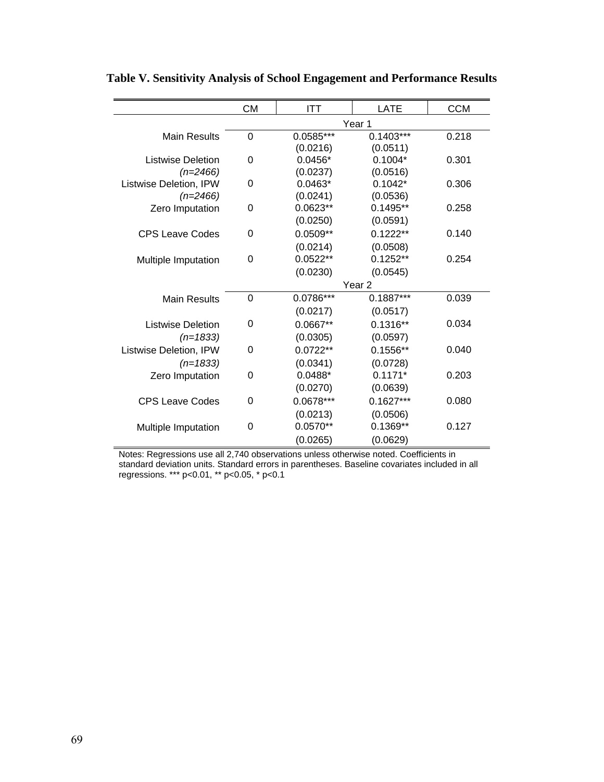|                          | <b>CM</b>         | <b>ITT</b>  | LATE        | <b>CCM</b> |  |
|--------------------------|-------------------|-------------|-------------|------------|--|
|                          | Year 1            |             |             |            |  |
| <b>Main Results</b>      | $\overline{0}$    | $0.0585***$ | $0.1403***$ | 0.218      |  |
|                          |                   | (0.0216)    | (0.0511)    |            |  |
| Listwise Deletion        | 0                 | $0.0456*$   | $0.1004*$   | 0.301      |  |
| $(n=2466)$               |                   | (0.0237)    | (0.0516)    |            |  |
| Listwise Deletion, IPW   | 0                 | $0.0463*$   | $0.1042*$   | 0.306      |  |
| $(n=2466)$               |                   | (0.0241)    | (0.0536)    |            |  |
| Zero Imputation          | 0                 | $0.0623**$  | $0.1495**$  | 0.258      |  |
|                          |                   | (0.0250)    | (0.0591)    |            |  |
| <b>CPS Leave Codes</b>   | 0                 | $0.0509**$  | $0.1222**$  | 0.140      |  |
|                          |                   | (0.0214)    | (0.0508)    |            |  |
| Multiple Imputation      | 0                 | $0.0522**$  | $0.1252**$  | 0.254      |  |
|                          |                   | (0.0230)    | (0.0545)    |            |  |
|                          | Year <sub>2</sub> |             |             |            |  |
| <b>Main Results</b>      | $\Omega$          | 0.0786***   | $0.1887***$ | 0.039      |  |
|                          |                   | (0.0217)    | (0.0517)    |            |  |
| <b>Listwise Deletion</b> | 0                 | 0.0667**    | $0.1316**$  | 0.034      |  |
| $(n=1833)$               |                   | (0.0305)    | (0.0597)    |            |  |
| Listwise Deletion, IPW   | 0                 | $0.0722**$  | $0.1556**$  | 0.040      |  |
| $(n=1833)$               |                   | (0.0341)    | (0.0728)    |            |  |
| Zero Imputation          | 0                 | $0.0488*$   | $0.1171*$   | 0.203      |  |
|                          |                   | (0.0270)    | (0.0639)    |            |  |
| <b>CPS Leave Codes</b>   | 0                 | 0.0678***   | $0.1627***$ | 0.080      |  |
|                          |                   | (0.0213)    | (0.0506)    |            |  |
| Multiple Imputation      | 0                 | $0.0570**$  | $0.1369**$  | 0.127      |  |
|                          |                   | (0.0265)    | (0.0629)    |            |  |

**Table V. Sensitivity Analysis of School Engagement and Performance Results**

Notes: Regressions use all 2,740 observations unless otherwise noted. Coefficients in standard deviation units. Standard errors in parentheses. Baseline covariates included in all regressions. \*\*\* p<0.01, \*\* p<0.05, \* p<0.1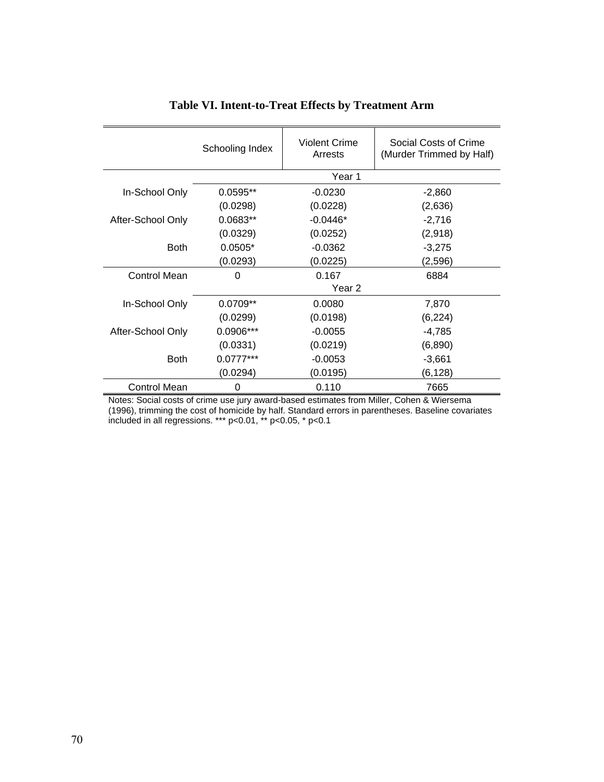|                     | Schooling Index | <b>Violent Crime</b><br>Arrests | Social Costs of Crime<br>(Murder Trimmed by Half) |  |  |
|---------------------|-----------------|---------------------------------|---------------------------------------------------|--|--|
|                     |                 | Year 1                          |                                                   |  |  |
| In-School Only      | $0.0595**$      | $-0.0230$                       | $-2,860$                                          |  |  |
|                     | (0.0298)        | (0.0228)                        | (2,636)                                           |  |  |
| After-School Only   | $0.0683**$      | $-0.0446*$                      | $-2,716$                                          |  |  |
|                     | (0.0329)        | (0.0252)                        | (2,918)                                           |  |  |
| <b>Both</b>         | $0.0505*$       | $-0.0362$                       | $-3,275$                                          |  |  |
|                     | (0.0293)        | (0.0225)                        | (2,596)                                           |  |  |
| Control Mean        | 0               | 0.167                           | 6884                                              |  |  |
|                     | Year 2          |                                 |                                                   |  |  |
| In-School Only      | $0.0709**$      | 0.0080                          | 7,870                                             |  |  |
|                     | (0.0299)        | (0.0198)                        | (6, 224)                                          |  |  |
| After-School Only   | 0.0906***       | $-0.0055$                       | $-4,785$                                          |  |  |
|                     | (0.0331)        | (0.0219)                        | (6,890)                                           |  |  |
| <b>Both</b>         | $0.0777***$     | $-0.0053$                       | $-3,661$                                          |  |  |
|                     | (0.0294)        | (0.0195)                        | (6, 128)                                          |  |  |
| <b>Control Mean</b> | 0               | 0.110                           | 7665                                              |  |  |

# **Table VI. Intent-to-Treat Effects by Treatment Arm**

Notes: Social costs of crime use jury award-based estimates from Miller, Cohen & Wiersema (1996), trimming the cost of homicide by half. Standard errors in parentheses. Baseline covariates included in all regressions. \*\*\* p<0.01, \*\* p<0.05, \* p<0.1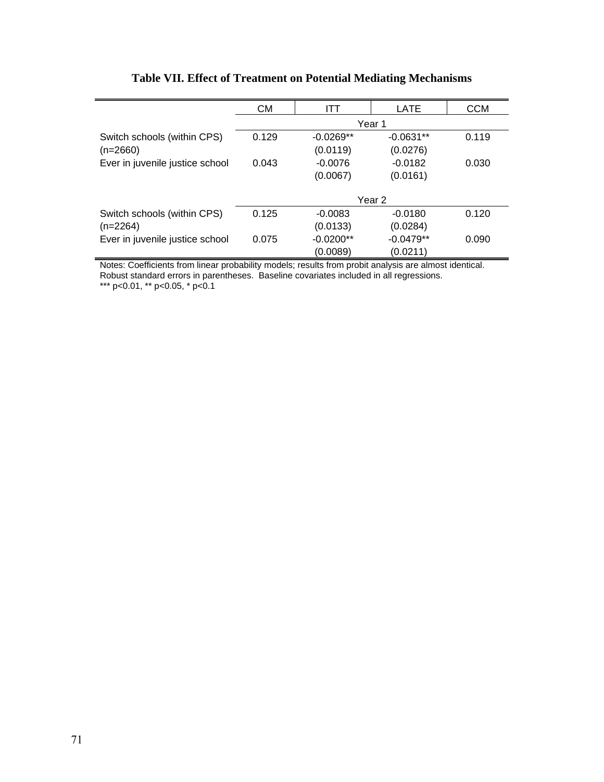|                                                                                                      | СM     | ITT         | LATE              | <b>CCM</b> |  |  |
|------------------------------------------------------------------------------------------------------|--------|-------------|-------------------|------------|--|--|
|                                                                                                      | Year 1 |             |                   |            |  |  |
| Switch schools (within CPS)                                                                          | 0.129  | $-0.0269**$ | $-0.0631**$       | 0.119      |  |  |
| $(n=2660)$                                                                                           |        | (0.0119)    | (0.0276)          |            |  |  |
| Ever in juvenile justice school                                                                      | 0.043  | $-0.0076$   | $-0.0182$         | 0.030      |  |  |
|                                                                                                      |        | (0.0067)    | (0.0161)          |            |  |  |
|                                                                                                      |        |             |                   |            |  |  |
|                                                                                                      |        |             | Year <sub>2</sub> |            |  |  |
| Switch schools (within CPS)                                                                          | 0.125  | $-0.0083$   | $-0.0180$         | 0.120      |  |  |
| $(n=2264)$                                                                                           |        | (0.0133)    | (0.0284)          |            |  |  |
| Ever in juvenile justice school                                                                      | 0.075  | $-0.0200**$ | $-0.0479**$       | 0.090      |  |  |
|                                                                                                      |        | (0.0089)    | (0.0211)          |            |  |  |
| Naton Coofficiente from linear probability medaler requite from probit anglycie are almost identical |        |             |                   |            |  |  |

# **Table VII. Effect of Treatment on Potential Mediating Mechanisms**

Notes: Coefficients from linear probability models; results from probit analysis are almost identical. Robust standard errors in parentheses. Baseline covariates included in all regressions.

\*\*\* p<0.01, \*\* p<0.05, \* p<0.1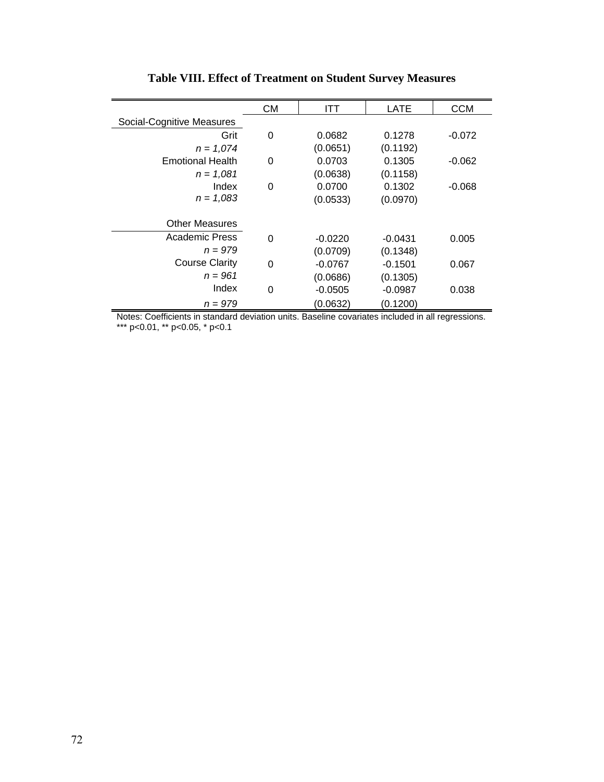|                           | <b>CM</b> | <b>ITT</b> | LATE      | <b>CCM</b> |
|---------------------------|-----------|------------|-----------|------------|
| Social-Cognitive Measures |           |            |           |            |
| Grit                      | 0         | 0.0682     | 0.1278    | $-0.072$   |
| $n = 1,074$               |           | (0.0651)   | (0.1192)  |            |
| <b>Emotional Health</b>   | 0         | 0.0703     | 0.1305    | $-0.062$   |
| $n = 1.081$               |           | (0.0638)   | (0.1158)  |            |
| Index                     | 0         | 0.0700     | 0.1302    | $-0.068$   |
| $n = 1,083$               |           | (0.0533)   | (0.0970)  |            |
|                           |           |            |           |            |
| <b>Other Measures</b>     |           |            |           |            |
| Academic Press            | 0         | $-0.0220$  | $-0.0431$ | 0.005      |
| $n = 979$                 |           | (0.0709)   | (0.1348)  |            |
| <b>Course Clarity</b>     | 0         | $-0.0767$  | $-0.1501$ | 0.067      |
| $n = 961$                 |           | (0.0686)   | (0.1305)  |            |
| Index                     | 0         | $-0.0505$  | $-0.0987$ | 0.038      |
| $n = 979$                 |           | (0.0632)   | (0.1200)  |            |

# **Table VIII. Effect of Treatment on Student Survey Measures**

Notes: Coefficients in standard deviation units. Baseline covariates included in all regressions. \*\*\* p<0.01, \*\* p<0.05, \* p<0.1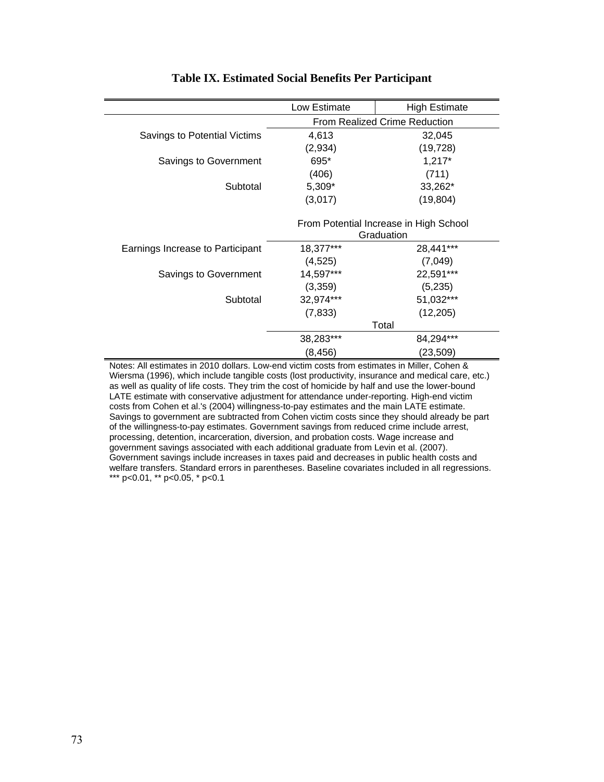|                                  | Low Estimate                                         | <b>High Estimate</b> |
|----------------------------------|------------------------------------------------------|----------------------|
|                                  | <b>From Realized Crime Reduction</b>                 |                      |
| Savings to Potential Victims     | 4,613                                                | 32,045               |
|                                  | (2,934)                                              | (19, 728)            |
| Savings to Government            | 695*                                                 | $1,217*$             |
|                                  | (406)                                                | (711)                |
| Subtotal                         | $5,309*$                                             | 33,262*              |
|                                  | (3,017)                                              | (19, 804)            |
|                                  | From Potential Increase in High School<br>Graduation |                      |
| Earnings Increase to Participant | 18,377***                                            | 28,441***            |
|                                  | (4, 525)                                             | (7,049)              |
| Savings to Government            | 14,597***                                            | 22,591***            |
|                                  | (3,359)                                              | (5,235)              |
| Subtotal                         | 32,974***                                            | 51,032***            |
|                                  | (7, 833)                                             | (12, 205)            |
|                                  | Total                                                |                      |
|                                  | 38,283***                                            | 84,294***            |
|                                  | (8, 456)                                             | (23,509)             |

#### **Table IX. Estimated Social Benefits Per Participant**

Notes: All estimates in 2010 dollars. Low-end victim costs from estimates in Miller, Cohen & Wiersma (1996), which include tangible costs (lost productivity, insurance and medical care, etc.) as well as quality of life costs. They trim the cost of homicide by half and use the lower-bound LATE estimate with conservative adjustment for attendance under-reporting. High-end victim costs from Cohen et al.'s (2004) willingness-to-pay estimates and the main LATE estimate. Savings to government are subtracted from Cohen victim costs since they should already be part of the willingness-to-pay estimates. Government savings from reduced crime include arrest, processing, detention, incarceration, diversion, and probation costs. Wage increase and government savings associated with each additional graduate from Levin et al. (2007). Government savings include increases in taxes paid and decreases in public health costs and welfare transfers. Standard errors in parentheses. Baseline covariates included in all regressions. \*\*\* p<0.01, \*\* p<0.05, \* p<0.1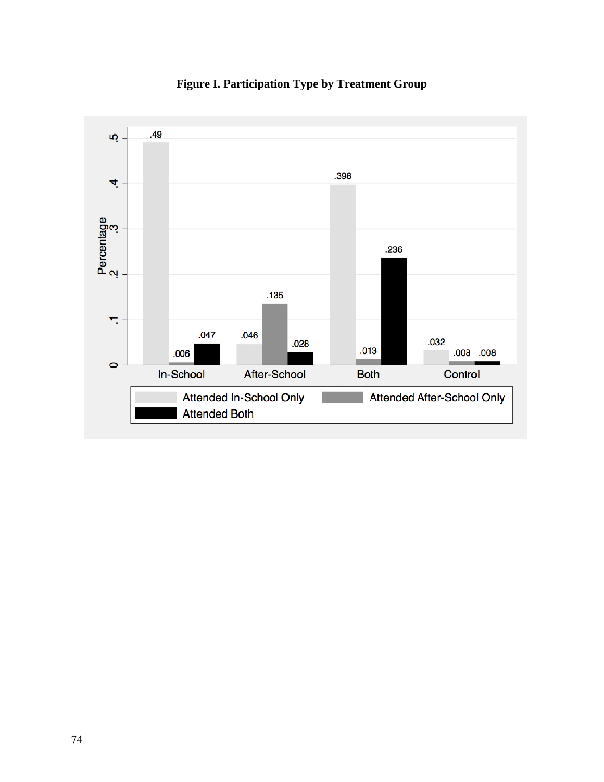

**Figure I. Participation Type by Treatment Group**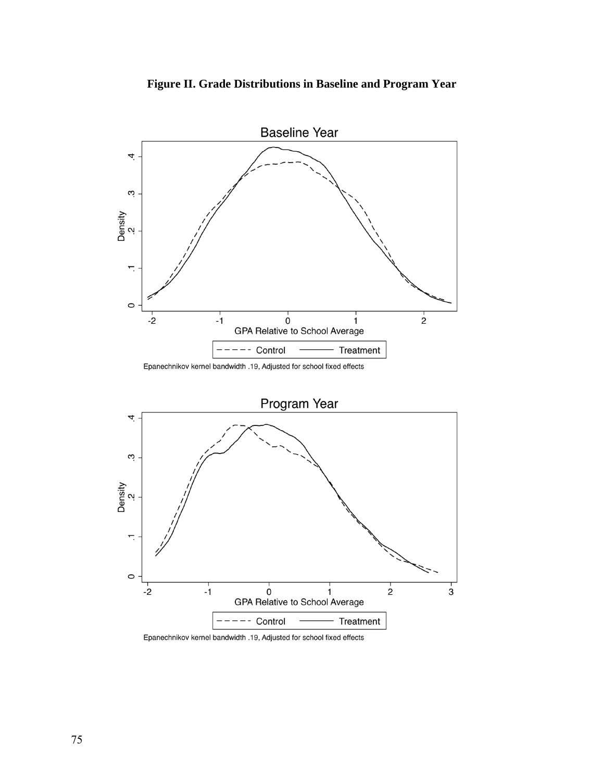



Epanechnikov kernel bandwidth .19, Adjusted for school fixed effects



Epanechnikov kernel bandwidth .19, Adjusted for school fixed effects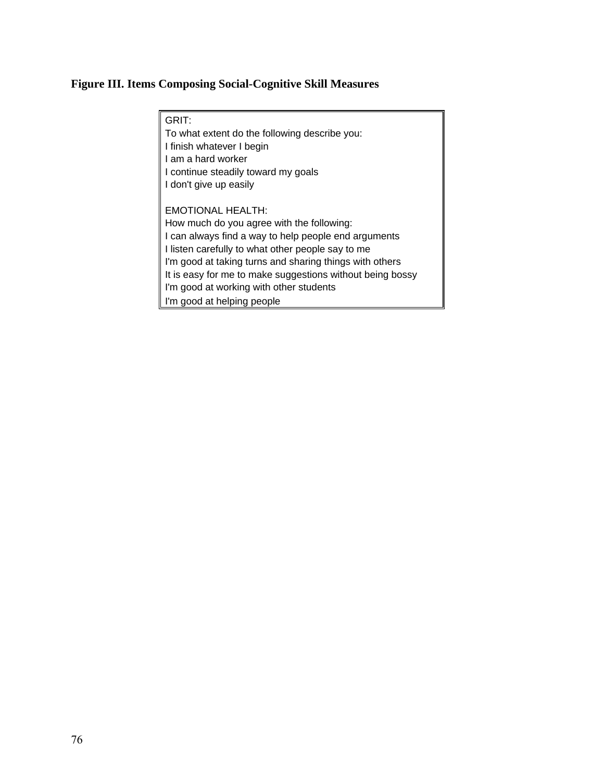# **Figure III. Items Composing Social-Cognitive Skill Measures**

| GRIT:                                                     |
|-----------------------------------------------------------|
| To what extent do the following describe you:             |
| I finish whatever I begin                                 |
| I am a hard worker                                        |
| I continue steadily toward my goals                       |
| I don't give up easily                                    |
|                                                           |
| <b>EMOTIONAL HEALTH:</b>                                  |
| How much do you agree with the following:                 |
| I can always find a way to help people end arguments      |
| I listen carefully to what other people say to me         |
| I'm good at taking turns and sharing things with others   |
| It is easy for me to make suggestions without being bossy |
| I'm good at working with other students                   |
| I'm good at helping people                                |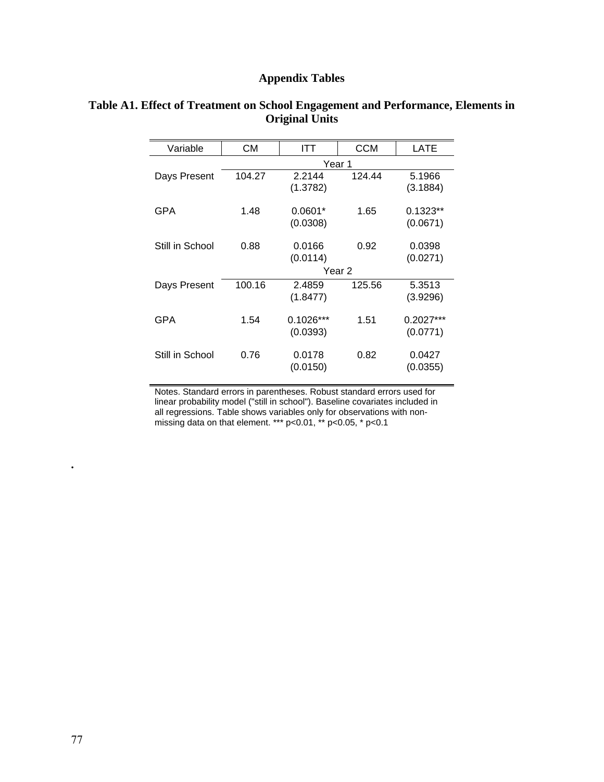### **Appendix Tables**

| Variable        | СM     | ITT         | <b>CCM</b> | LATE        |
|-----------------|--------|-------------|------------|-------------|
|                 | Year 1 |             |            |             |
| Days Present    | 104.27 | 2.2144      | 124.44     | 5.1966      |
|                 |        | (1.3782)    |            | (3.1884)    |
| GPA             | 1.48   | $0.0601*$   | 1.65       | $0.1323**$  |
|                 |        | (0.0308)    |            | (0.0671)    |
|                 |        |             |            |             |
| Still in School | 0.88   | 0.0166      | 0.92       | 0.0398      |
|                 |        | (0.0114)    |            | (0.0271)    |
|                 | Year 2 |             |            |             |
| Days Present    | 100.16 | 2.4859      | 125.56     | 5.3513      |
|                 |        | (1.8477)    |            | (3.9296)    |
|                 |        |             |            |             |
| GPA             | 1.54   | $0.1026***$ | 1.51       | $0.2027***$ |
|                 |        | (0.0393)    |            | (0.0771)    |
|                 |        |             |            |             |
| Still in School | 0.76   | 0.0178      | 0.82       | 0.0427      |
|                 |        | (0.0150)    |            | (0.0355)    |

#### **Table A1. Effect of Treatment on School Engagement and Performance, Elements in Original Units**

Notes. Standard errors in parentheses. Robust standard errors used for linear probability model ("still in school"). Baseline covariates included in all regressions. Table shows variables only for observations with nonmissing data on that element. \*\*\* p<0.01, \*\* p<0.05, \* p<0.1

**.**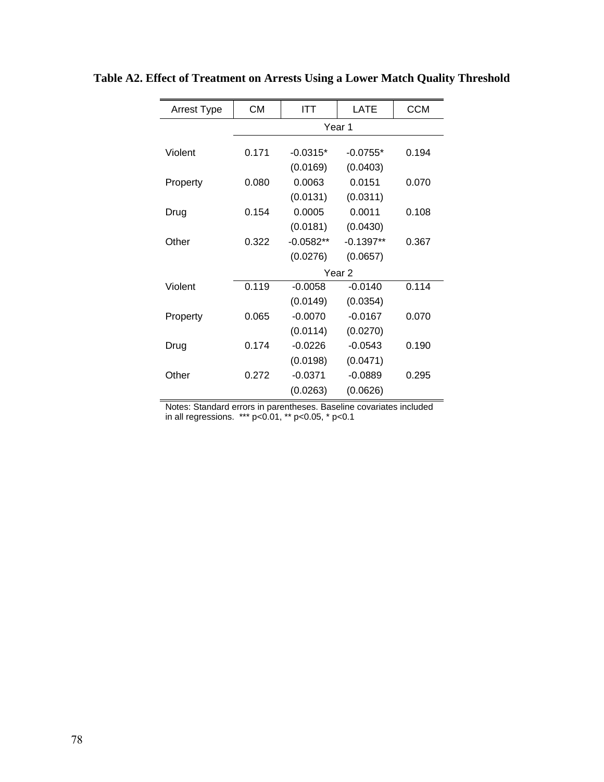| <b>Arrest Type</b> | <b>CM</b> | <b>ITT</b>              | <b>LATE</b>             | <b>CCM</b> |
|--------------------|-----------|-------------------------|-------------------------|------------|
|                    | Year 1    |                         |                         |            |
| Violent            | 0.171     | $-0.0315*$              | $-0.0755*$              | 0.194      |
| Property           | 0.080     | (0.0169)<br>0.0063      | (0.0403)<br>0.0151      | 0.070      |
| Drug               | 0.154     | (0.0131)<br>0.0005      | (0.0311)<br>0.0011      | 0.108      |
| Other              | 0.322     | (0.0181)<br>$-0.0582**$ | (0.0430)<br>$-0.1397**$ | 0.367      |
|                    |           | (0.0276)                | (0.0657)                |            |
|                    |           |                         | Year <sub>2</sub>       |            |
| Violent            | 0.119     | $-0.0058$               | $-0.0140$               | 0.114      |
|                    |           | (0.0149)                | (0.0354)                |            |
| Property           | 0.065     | $-0.0070$               | $-0.0167$               | 0.070      |
|                    |           | (0.0114)                | (0.0270)                |            |
| Drug               | 0.174     | $-0.0226$               | $-0.0543$               | 0.190      |
|                    |           | (0.0198)                | (0.0471)                |            |
| Other              | 0.272     | $-0.0371$               | $-0.0889$               | 0.295      |
|                    |           | (0.0263)                | (0.0626)                |            |

**Table A2. Effect of Treatment on Arrests Using a Lower Match Quality Threshold** 

Notes: Standard errors in parentheses. Baseline covariates included in all regressions. \*\*\* p<0.01, \*\* p<0.05, \* p<0.1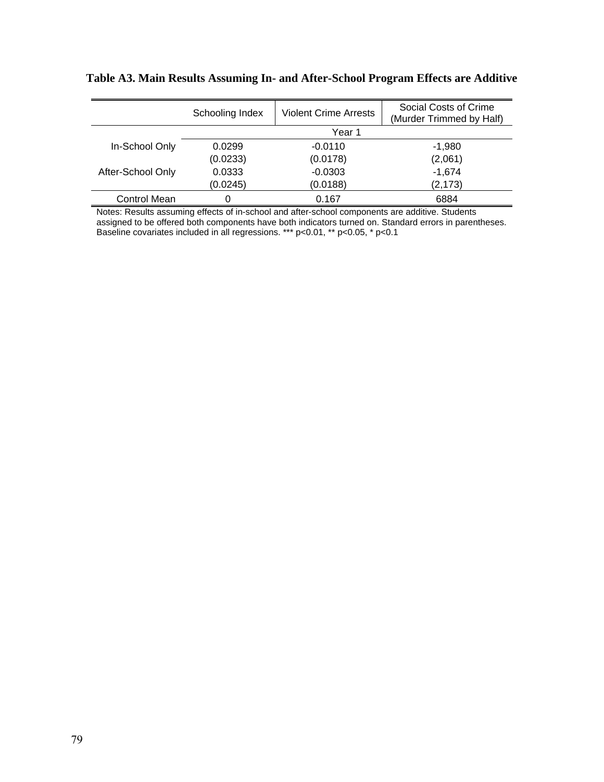|                   | Schooling Index | <b>Violent Crime Arrests</b> | Social Costs of Crime<br>(Murder Trimmed by Half) |
|-------------------|-----------------|------------------------------|---------------------------------------------------|
|                   |                 | Year 1                       |                                                   |
| In-School Only    | 0.0299          | $-0.0110$                    | $-1,980$                                          |
|                   | (0.0233)        | (0.0178)                     | (2,061)                                           |
| After-School Only | 0.0333          | $-0.0303$                    | $-1.674$                                          |
|                   | (0.0245)        | (0.0188)                     | (2, 173)                                          |
| Control Mean      |                 | 0.167                        | 6884                                              |

**Table A3. Main Results Assuming In- and After-School Program Effects are Additive**

Notes: Results assuming effects of in-school and after-school components are additive. Students assigned to be offered both components have both indicators turned on. Standard errors in parentheses. Baseline covariates included in all regressions. \*\*\* p<0.01, \*\* p<0.05, \* p<0.1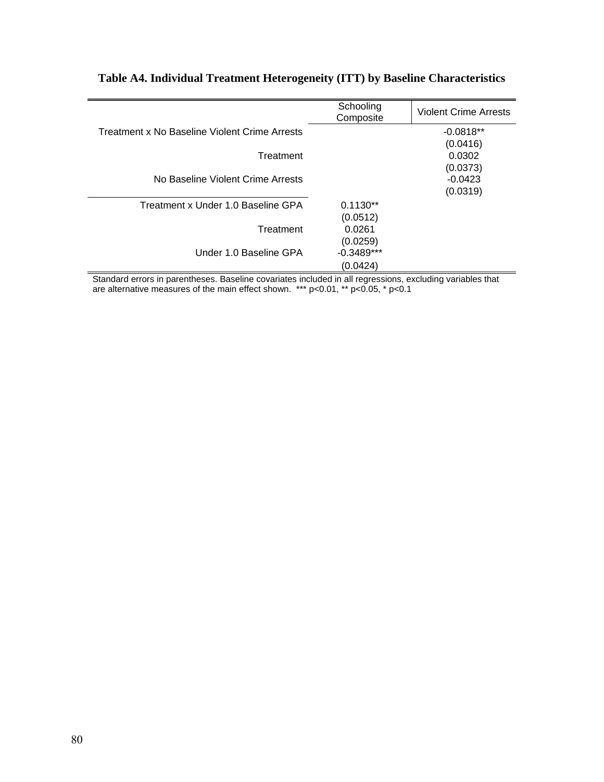|                                               | Schooling<br>Composite | <b>Violent Crime Arrests</b> |
|-----------------------------------------------|------------------------|------------------------------|
| Treatment x No Baseline Violent Crime Arrests |                        | $-0.0818**$                  |
|                                               |                        | (0.0416)                     |
| Treatment                                     |                        | 0.0302                       |
|                                               |                        | (0.0373)                     |
| No Baseline Violent Crime Arrests             |                        | $-0.0423$                    |
|                                               |                        | (0.0319)                     |
| Treatment x Under 1.0 Baseline GPA            | $0.1130**$             |                              |
|                                               | (0.0512)               |                              |
| Treatment                                     | 0.0261                 |                              |
|                                               | (0.0259)               |                              |
| Under 1.0 Baseline GPA                        | $-0.3489***$           |                              |
|                                               | (0.0424)               |                              |
|                                               |                        | $\cdots$<br>.                |

## **Table A4. Individual Treatment Heterogeneity (ITT) by Baseline Characteristics**

Standard errors in parentheses. Baseline covariates included in all regressions, excluding variables that are alternative measures of the main effect shown. \*\*\* p<0.01, \*\* p<0.05, \* p<0.1